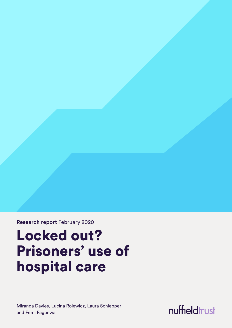**Research report** February 2020

# Locked out? Prisoners' use of hospital care

Miranda Davies, Lucina Rolewicz, Laura Schlepper and Femi Fagunwa

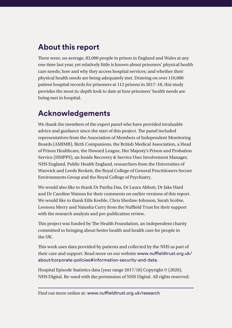### **About this report**

There were, on average, 83,000 people in prison in England and Wales at any one time last year, yet relatively little is known about prisoners' physical health care needs; how and why they access hospital services; and whether their physical health needs are being adequately met. Drawing on over 110,000 patient hospital records for prisoners at 112 prisons in 2017–18, this study provides the most in-depth look to date at how prisoners' health needs are being met in hospital.

### **Acknowledgements**

We thank the members of the expert panel who have provided invaluable advice and guidance since the start of this project. The panel included representatives from the Association of Members of Independent Monitoring Boards (AMIMB), Birth Companions, the British Medical Association, a Head of Prison Healthcare, the Howard League, Her Majesty's Prison and Probation Service (HMPPS), an Inside Recovery & Service User Involvement Manager, NHS England, Public Health England, researchers from the Universities of Warwick and Leeds Beckett, the Royal College of General Practitioners Secure Environments Group and the Royal College of Psychiatry.

We would also like to thank Dr Partha Das, Dr Laura Abbott, Dr Jake Hard and Dr Caroline Watson for their comments on earlier versions of this report. We would like to thank Eilís Keeble, Chris Sherlaw-Johnson, Sarah Scobie, Leonora Merry and Natasha Curry from the Nuffield Trust for their support with the research analysis and pre-publication review.

This project was funded by The Health Foundation, an independent charity committed to bringing about better health and health care for people in the UK.

This work uses data provided by patients and collected by the NHS as part of their care and support. Read more on our website [www.nuffieldtrust.org.uk/](http://www.nuffieldtrust.org.uk/about/corporate-policies#information-security-and-data) [about/corporate-policies#information-security-and-data](http://www.nuffieldtrust.org.uk/about/corporate-policies#information-security-and-data).

Hospital Episode Statistics data (year range 2017/18) Copyright © (2020), NHS Digital. Re-used with the permission of NHS Digital. All rights reserved.

Find out more online at: [www.nuffieldtrust.org.uk](http://www.nuffieldtrust.org.uk/research)/research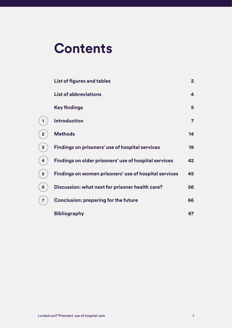# **Contents**

**[1](#page-8-1)**

**[2](#page-15-1)**

**[3](#page-20-1)**

**[4](#page-43-1)**

**[5](#page-46-1)**

**[6](#page-57-1)**

**[7](#page-67-1)**

| <b>List of figures and tables</b>                      | 2 <sup>1</sup> |
|--------------------------------------------------------|----------------|
| <b>List of abbreviations</b>                           | 4              |
| <b>Key findings</b>                                    | $5\phantom{1}$ |
| <b>Introduction</b>                                    | $\overline{7}$ |
| <b>Methods</b>                                         | 14             |
| <b>Findings on prisoners' use of hospital services</b> | 19             |
| Findings on older prisoners' use of hospital services  | 42             |
| Findings on women prisoners' use of hospital services  | 45             |
| Discussion: what next for prisoner health care?        | 56             |
| <b>Conclusion: preparing for the future</b>            | 66             |
| <b>Bibliography</b>                                    | 67             |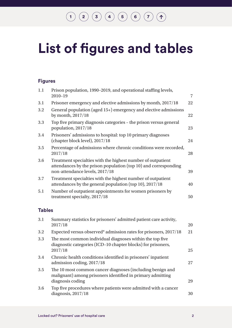# <span id="page-3-0"></span>**List of figures and tables**

### **Figures**

| 1.1 | Prison population, 1990-2019, and operational staffing levels,<br>$2010 - 19$                                                                                    | $\overline{7}$ |
|-----|------------------------------------------------------------------------------------------------------------------------------------------------------------------|----------------|
| 3.1 | Prisoner emergency and elective admissions by month, 2017/18                                                                                                     | 22             |
| 3.2 | General population (aged 15+) emergency and elective admissions<br>by month, 2017/18                                                                             | 22             |
| 3.3 | Top five primary diagnosis categories – the prison versus general<br>population, 2017/18                                                                         | 23             |
| 3.4 | Prisoners' admissions to hospital: top 10 primary diagnoses<br>(chapter block level), 2017/18                                                                    | 24             |
| 3.5 | Percentage of admissions where chronic conditions were recorded,<br>2017/18                                                                                      | 28             |
| 3.6 | Treatment specialties with the highest number of outpatient<br>attendances by the prison population (top 10) and corresponding<br>non-attendance levels, 2017/18 | 39             |
| 3.7 | Treatment specialties with the highest number of outpatient<br>attendances by the general population (top 10), 2017/18                                           | 40             |
| 5.1 | Number of outpatient appointments for women prisoners by<br>treatment specialty, 2017/18                                                                         | 50             |
|     |                                                                                                                                                                  |                |

### **Tables**

| 3.1 | Summary statistics for prisoners' admitted patient care activity,<br>2017/18                                                                | 20 |
|-----|---------------------------------------------------------------------------------------------------------------------------------------------|----|
| 3.2 | Expected versus observed* admission rates for prisoners, 2017/18                                                                            | 21 |
| 3.3 | The most common individual diagnoses within the top five<br>diagnostic categories (ICD-10 chapter blocks) for prisoners,<br>2017/18         | 25 |
| 3.4 | Chronic health conditions identified in prisoners' inpatient<br>admission coding, 2017/18                                                   | 27 |
| 3.5 | The 10 most common cancer diagnoses (including benign and<br>malignant) among prisoners identified in primary admitting<br>diagnosis coding | 29 |
| 3.6 | Top five procedures where patients were admitted with a cancer<br>diagnosis, $2017/18$                                                      | 30 |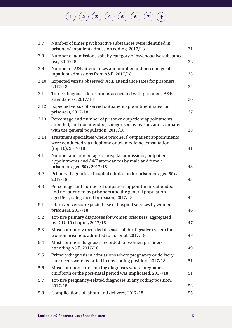| $3.7\,$ | Number of times psychoactive substances were identified in<br>prisoners' inpatient admission coding, 2017/18                                                         | 31 |
|---------|----------------------------------------------------------------------------------------------------------------------------------------------------------------------|----|
| 3.8     | Number of admissions split by category of psychoactive substance<br>use, 2017/18                                                                                     | 32 |
| 3.9     | Number of A&E attendances and number and percentage of<br>inpatient admissions from A&E, 2017/18                                                                     | 33 |
| 3.10    | Expected versus observed* A&E attendance rates for prisoners,<br>2017/18                                                                                             | 34 |
| 3.11    | Top 10 diagnosis descriptions associated with prisoners' A&E<br>attendances, 2017/18                                                                                 | 36 |
| 3.12    | Expected versus observed outpatient appointment rates for<br>prisoners, 2017/18                                                                                      | 37 |
| 3.13    | Percentage and number of prisoner outpatient appointments<br>attended, and not attended, categorised by reason, and compared<br>with the general population, 2017/18 | 38 |
| 3.14    | Treatment specialties where prisoners' outpatient appointments<br>were conducted via telephone or telemedicine consultation<br>$(top 10)$ , 2017/18                  | 41 |
| 4.1     | Number and percentage of hospital admissions, outpatient<br>appointments and A&E attendances by male and female<br>prisoners aged 50+, 2017/18                       | 43 |
| 4.2     | Primary diagnosis at hospital admission for prisoners aged 50+,<br>2017/18                                                                                           | 43 |
| 4.3     | Percentage and number of outpatient appointments attended<br>and not attended by prisoners and the general population<br>aged 50+, categorised by reason, 2017/18    | 44 |
| 5.1     | Observed versus expected use of hospital services by women<br>prisoners, $2017/18$                                                                                   | 46 |
| 5.2     | Top five primary diagnoses for women prisoners, aggregated<br>by ICD-10 chapter, 2017/18                                                                             | 47 |
| 5.3     | Most commonly recorded diseases of the digestive system for<br>women prisoners admitted to hospital, 2017/18                                                         | 48 |
| 5.4     | Most common diagnoses recorded for women prisoners<br>attending A&E, 2017/18                                                                                         | 49 |
| 5.5     | Primary diagnosis in admissions where pregnancy or delivery<br>care needs were recorded in any coding position, 2017/18                                              | 51 |
| 5.6     | Most common co-occurring diagnoses where pregnancy,<br>childbirth or the post-natal period was implicated, 2017/18                                                   | 51 |
| 5.7     | Top five pregnancy-related diagnoses in any coding position,<br>2017/18                                                                                              | 52 |
| 5.8     | Complications of labour and delivery, 2017/18                                                                                                                        | 55 |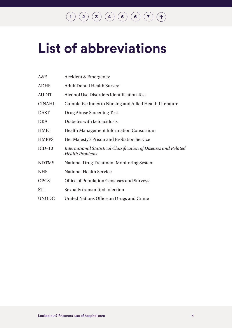# <span id="page-5-0"></span>**List of abbreviations**

| A&E           | <b>Accident &amp; Emergency</b>                                                            |
|---------------|--------------------------------------------------------------------------------------------|
| <b>ADHS</b>   | <b>Adult Dental Health Survey</b>                                                          |
| <b>AUDIT</b>  | Alcohol Use Disorders Identification Test                                                  |
| <b>CINAHL</b> | Cumulative Index to Nursing and Allied Health Literature                                   |
| <b>DAST</b>   | Drug Abuse Screening Test                                                                  |
| DKA           | Diabetes with ketoacidosis                                                                 |
| <b>HMIC</b>   | <b>Health Management Information Consortium</b>                                            |
| <b>HMPPS</b>  | Her Majesty's Prison and Probation Service                                                 |
| $ICD-10$      | International Statistical Classification of Diseases and Related<br><b>Health Problems</b> |
| <b>NDTMS</b>  | <b>National Drug Treatment Monitoring System</b>                                           |
| <b>NHS</b>    | National Health Service                                                                    |
| <b>OPCS</b>   | Office of Population Censuses and Surveys                                                  |
| <b>STI</b>    | Sexually transmitted infection                                                             |
| <b>UNODC</b>  | United Nations Office on Drugs and Crime                                                   |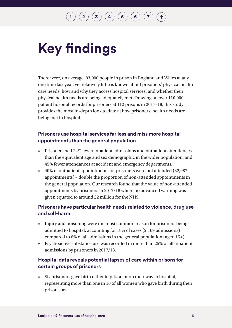# <span id="page-6-0"></span>**Key findings**

There were, on average, 83,000 people in prison in England and Wales at any one time last year, yet relatively little is known about prisoners' physical health care needs; how and why they access hospital services; and whether their physical health needs are being adequately met. Drawing on over 110,000 patient hospital records for prisoners at 112 prisons in 2017–18, this study provides the most in-depth look to date at how prisoners' health needs are being met in hospital.

### **Prisoners use hospital services far less and miss more hospital appointments than the general population**

- Prisoners had 24% fewer inpatient admissions and outpatient attendances than the equivalent age and sex demographic in the wider population, and 45% fewer attendances at accident and emergency departments.
- 40% of outpatient appointments for prisoners were not attended (32,987 appointments) – double the proportion of non-attended appointments in the general population. Our research found that the value of non-attended appointments by prisoners in 2017/18 where no advanced warning was given equated to around £2 million for the NHS.

### **Prisoners have particular health needs related to violence, drug use and self-harm**

- Injury and poisoning were the most common reason for prisoners being admitted to hospital, accounting for 18% of cases (2,169 admissions) compared to 6% of all admissions in the general population (aged 15+).
- Psychoactive substance use was recorded in more than 25% of all inpatient admissions by prisoners in 2017/18.

### **Hospital data reveals potential lapses of care within prisons for certain groups of prisoners**

• Six prisoners gave birth either in prison or on their way to hospital, representing more than one in 10 of all women who gave birth during their prison stay.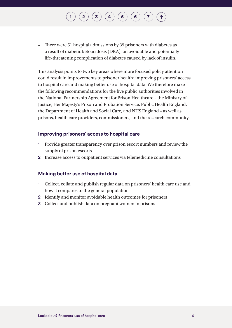# $\begin{pmatrix} 2 \end{pmatrix} \begin{pmatrix} 3 \end{pmatrix} \begin{pmatrix} 4 \end{pmatrix} \begin{pmatrix} 5 \end{pmatrix} \begin{pmatrix} 6 \end{pmatrix} \begin{pmatrix} 7 \end{pmatrix}$  $\begin{pmatrix} 2 \end{pmatrix} \begin{pmatrix} 3 \end{pmatrix} \begin{pmatrix} 4 \end{pmatrix} \begin{pmatrix} 5 \end{pmatrix} \begin{pmatrix} 6 \end{pmatrix} \begin{pmatrix} 7 \end{pmatrix}$  $\begin{pmatrix} 2 \end{pmatrix} \begin{pmatrix} 3 \end{pmatrix} \begin{pmatrix} 4 \end{pmatrix} \begin{pmatrix} 5 \end{pmatrix} \begin{pmatrix} 6 \end{pmatrix} \begin{pmatrix} 7 \end{pmatrix}$  $\begin{pmatrix} 2 \end{pmatrix} \begin{pmatrix} 3 \end{pmatrix} \begin{pmatrix} 4 \end{pmatrix} \begin{pmatrix} 5 \end{pmatrix} \begin{pmatrix} 6 \end{pmatrix} \begin{pmatrix} 7 \end{pmatrix}$  $\begin{pmatrix} 2 \end{pmatrix} \begin{pmatrix} 3 \end{pmatrix} \begin{pmatrix} 4 \end{pmatrix} \begin{pmatrix} 5 \end{pmatrix} \begin{pmatrix} 6 \end{pmatrix} \begin{pmatrix} 7 \end{pmatrix}$  $\begin{pmatrix} 2 \end{pmatrix} \begin{pmatrix} 3 \end{pmatrix} \begin{pmatrix} 4 \end{pmatrix} \begin{pmatrix} 5 \end{pmatrix} \begin{pmatrix} 6 \end{pmatrix} \begin{pmatrix} 7 \end{pmatrix}$  $\begin{pmatrix} 2 \end{pmatrix} \begin{pmatrix} 3 \end{pmatrix} \begin{pmatrix} 4 \end{pmatrix} \begin{pmatrix} 5 \end{pmatrix} \begin{pmatrix} 6 \end{pmatrix} \begin{pmatrix} 7 \end{pmatrix}$  $\begin{pmatrix} 2 \end{pmatrix} \begin{pmatrix} 3 \end{pmatrix} \begin{pmatrix} 4 \end{pmatrix} \begin{pmatrix} 5 \end{pmatrix} \begin{pmatrix} 6 \end{pmatrix} \begin{pmatrix} 7 \end{pmatrix}$  $\begin{pmatrix} 2 \end{pmatrix} \begin{pmatrix} 3 \end{pmatrix} \begin{pmatrix} 4 \end{pmatrix} \begin{pmatrix} 5 \end{pmatrix} \begin{pmatrix} 6 \end{pmatrix} \begin{pmatrix} 7 \end{pmatrix}$  $\begin{pmatrix} 2 \end{pmatrix} \begin{pmatrix} 3 \end{pmatrix} \begin{pmatrix} 4 \end{pmatrix} \begin{pmatrix} 5 \end{pmatrix} \begin{pmatrix} 6 \end{pmatrix} \begin{pmatrix} 7 \end{pmatrix}$  $\begin{pmatrix} 2 \end{pmatrix} \begin{pmatrix} 3 \end{pmatrix} \begin{pmatrix} 4 \end{pmatrix} \begin{pmatrix} 5 \end{pmatrix} \begin{pmatrix} 6 \end{pmatrix} \begin{pmatrix} 7 \end{pmatrix}$  $\begin{pmatrix} 2 \end{pmatrix} \begin{pmatrix} 3 \end{pmatrix} \begin{pmatrix} 4 \end{pmatrix} \begin{pmatrix} 5 \end{pmatrix} \begin{pmatrix} 6 \end{pmatrix} \begin{pmatrix} 7 \end{pmatrix}$  $\begin{pmatrix} 2 \end{pmatrix} \begin{pmatrix} 3 \end{pmatrix} \begin{pmatrix} 4 \end{pmatrix} \begin{pmatrix} 5 \end{pmatrix} \begin{pmatrix} 6 \end{pmatrix} \begin{pmatrix} 7 \end{pmatrix}$

• There were 51 hospital admissions by 39 prisoners with diabetes as a result of diabetic ketoacidosis (DKA), an avoidable and potentially life-threatening complication of diabetes caused by lack of insulin.

This analysis points to two key areas where more focused policy attention could result in improvements to prisoner health: improving prisoners' access to hospital care and making better use of hospital data. We therefore make the following recommendations for the five public authorities involved in the National Partnership Agreement for Prison Healthcare – the Ministry of Justice, Her Majesty's Prison and Probation Service, Public Health England, the Department of Health and Social Care, and NHS England – as well as prisons, health care providers, commissioners, and the research community.

#### **Improving prisoners' access to hospital care**

- 1 Provide greater transparency over prison escort numbers and review the supply of prison escorts
- 2 Increase access to outpatient services via telemedicine consultations

### **Making better use of hospital data**

- 1 Collect, collate and publish regular data on prisoners' health care use and how it compares to the general population
- 2 Identify and monitor avoidable health outcomes for prisoners
- 3 Collect and publish data on pregnant women in prisons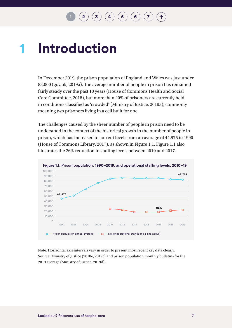### <span id="page-8-1"></span><span id="page-8-0"></span>**Introduction 1**

In December 2019, the prison population of England and Wales was just under 83,000 (gov.uk, 2019a). The average number of people in prison has remained fairly steady over the past 10 years (House of Commons Health and Social Care Committee, 2018), but more than 20% of prisoners are currently held in conditions classified as 'crowded' (Ministry of Justice, 2019a), commonly meaning two prisoners living in a cell built for one.

The challenges caused by the sheer number of people in prison need to be understood in the context of the historical growth in the number of people in prison, which has increased to current levels from an average of 44,975 in 1990 (House of Commons Library, 2017), as shown in Figure 1.1. Figure 1.1 also illustrates the 26% reduction in staffing levels between 2010 and 2017.



Note: Horizontal axis intervals vary in order to present most recent key data clearly. Source: Ministry of Justice (2018e, 2019c) and prison population monthly bulletins for the 2019 average (Ministry of Justice, 2019d).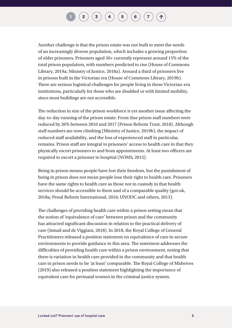### $\mathbf{2} \left( \mathbf{3} \right) \left( \mathbf{3} \right) \left( \mathbf{4} \right) \left( \mathbf{5} \right) \left( \mathbf{6} \right) \left( \mathbf{7} \right)$  $\mathbf{2} \left( \mathbf{3} \right) \left( \mathbf{3} \right) \left( \mathbf{4} \right) \left( \mathbf{5} \right) \left( \mathbf{6} \right) \left( \mathbf{7} \right)$  $\mathbf{2} \left( \mathbf{3} \right) \left( \mathbf{3} \right) \left( \mathbf{4} \right) \left( \mathbf{5} \right) \left( \mathbf{6} \right) \left( \mathbf{7} \right)$  $\mathbf{2} \left( \mathbf{3} \right) \left( \mathbf{3} \right) \left( \mathbf{4} \right) \left( \mathbf{5} \right) \left( \mathbf{6} \right) \left( \mathbf{7} \right)$  $\mathbf{2} \left( \mathbf{3} \right) \left( \mathbf{3} \right) \left( \mathbf{4} \right) \left( \mathbf{5} \right) \left( \mathbf{6} \right) \left( \mathbf{7} \right)$  $\mathbf{2} \left( \mathbf{3} \right) \left( \mathbf{3} \right) \left( \mathbf{4} \right) \left( \mathbf{5} \right) \left( \mathbf{6} \right) \left( \mathbf{7} \right)$  $\mathbf{2} \left( \mathbf{3} \right) \left( \mathbf{3} \right) \left( \mathbf{4} \right) \left( \mathbf{5} \right) \left( \mathbf{6} \right) \left( \mathbf{7} \right)$  $\mathbf{2} \left( \mathbf{3} \right) \left( \mathbf{3} \right) \left( \mathbf{4} \right) \left( \mathbf{5} \right) \left( \mathbf{6} \right) \left( \mathbf{7} \right)$  $\mathbf{2} \left( \mathbf{3} \right) \left( \mathbf{3} \right) \left( \mathbf{4} \right) \left( \mathbf{5} \right) \left( \mathbf{6} \right) \left( \mathbf{7} \right)$  $\mathbf{2} \left( \mathbf{3} \right) \left( \mathbf{3} \right) \left( \mathbf{4} \right) \left( \mathbf{5} \right) \left( \mathbf{6} \right) \left( \mathbf{7} \right)$  $\mathbf{2} \left( \mathbf{3} \right) \left( \mathbf{3} \right) \left( \mathbf{4} \right) \left( \mathbf{5} \right) \left( \mathbf{6} \right) \left( \mathbf{7} \right)$  $\mathbf{2} \left( \mathbf{3} \right) \left( \mathbf{3} \right) \left( \mathbf{4} \right) \left( \mathbf{5} \right) \left( \mathbf{6} \right) \left( \mathbf{7} \right)$  $\mathbf{2} \left( \mathbf{3} \right) \left( \mathbf{3} \right) \left( \mathbf{4} \right) \left( \mathbf{5} \right) \left( \mathbf{6} \right) \left( \mathbf{7} \right)$

Another challenge is that the prison estate was not built to meet the needs of an increasingly diverse population, which includes a growing proportion of older prisoners. Prisoners aged 50+ currently represent around 15% of the total prison population, with numbers predicted to rise (House of Commons Library, 2019a; Ministry of Justice, 2018a). Around a third of prisoners live in prisons built in the Victorian era (House of Commons Library, 2019b). There are serious logistical challenges for people living in these Victorian-era institutions, particularly for those who are disabled or with limited mobility, since most buildings are not accessible.

The reduction in size of the prison workforce is yet another issue affecting the day-to-day running of the prison estate. Front-line prison staff numbers were reduced by 26% between 2010 and 2017 (Prison Reform Trust, 2018). Although staff numbers are now climbing (Ministry of Justice, 2019b), the impact of reduced staff availability, and the loss of experienced staff in particular, remains. Prison staff are integral to prisoners' access to health care in that they physically escort prisoners to and from appointments. At least two officers are required to escort a prisoner to hospital (NOMS, 2015).

Being in prison means people have lost their freedom, but the punishment of being in prison does not mean people lose their right to health care. Prisoners have the same rights to health care as those not in custody in that health services should be accessible to them and of a comparable quality (gov.uk, 2018a; Penal Reform International, 2016; UNODC and others, 2013).

The challenges of providing health care within a prison setting mean that the notion of 'equivalence of care' between prison and the community has attracted significant discussion in relation to the practical delivery of care (Ismail and de Viggiani, 2018). In 2018, the Royal College of General Practitioners released a position statement on equivalence of care in secure environments to provide guidance in this area. The statement addresses the difficulties of providing health care within a prison environment, noting that there is variation in health care provided in the community and that health care in prison needs to be 'at least' comparable. The Royal College of Midwives (2019) also released a position statement highlighting the importance of equivalent care for perinatal women in the criminal justice system.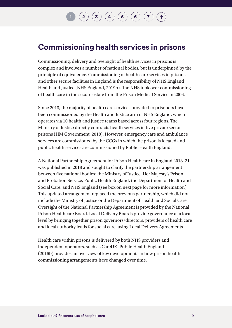### $\mathbf{2} \left( \mathbf{2} \right) \left( \mathbf{3} \right) \left( \mathbf{4} \right) \left( \mathbf{5} \right) \left( \mathbf{6} \right) \left( \mathbf{7} \right)$  $\mathbf{2} \left( \mathbf{2} \right) \left( \mathbf{3} \right) \left( \mathbf{4} \right) \left( \mathbf{5} \right) \left( \mathbf{6} \right) \left( \mathbf{7} \right)$  $\mathbf{2} \left( \mathbf{2} \right) \left( \mathbf{3} \right) \left( \mathbf{4} \right) \left( \mathbf{5} \right) \left( \mathbf{6} \right) \left( \mathbf{7} \right)$  $\mathbf{2} \left( \mathbf{2} \right) \left( \mathbf{3} \right) \left( \mathbf{4} \right) \left( \mathbf{5} \right) \left( \mathbf{6} \right) \left( \mathbf{7} \right)$  $\mathbf{2} \left( \mathbf{2} \right) \left( \mathbf{3} \right) \left( \mathbf{4} \right) \left( \mathbf{5} \right) \left( \mathbf{6} \right) \left( \mathbf{7} \right)$  $\mathbf{2} \left( \mathbf{2} \right) \left( \mathbf{3} \right) \left( \mathbf{4} \right) \left( \mathbf{5} \right) \left( \mathbf{6} \right) \left( \mathbf{7} \right)$  $\mathbf{2} \left( \mathbf{2} \right) \left( \mathbf{3} \right) \left( \mathbf{4} \right) \left( \mathbf{5} \right) \left( \mathbf{6} \right) \left( \mathbf{7} \right)$  $\mathbf{2} \left( \mathbf{2} \right) \left( \mathbf{3} \right) \left( \mathbf{4} \right) \left( \mathbf{5} \right) \left( \mathbf{6} \right) \left( \mathbf{7} \right)$  $\mathbf{2} \left( \mathbf{2} \right) \left( \mathbf{3} \right) \left( \mathbf{4} \right) \left( \mathbf{5} \right) \left( \mathbf{6} \right) \left( \mathbf{7} \right)$  $\mathbf{2} \left( \mathbf{2} \right) \left( \mathbf{3} \right) \left( \mathbf{4} \right) \left( \mathbf{5} \right) \left( \mathbf{6} \right) \left( \mathbf{7} \right)$  $\mathbf{2} \left( \mathbf{2} \right) \left( \mathbf{3} \right) \left( \mathbf{4} \right) \left( \mathbf{5} \right) \left( \mathbf{6} \right) \left( \mathbf{7} \right)$  $\mathbf{2} \left( \mathbf{2} \right) \left( \mathbf{3} \right) \left( \mathbf{4} \right) \left( \mathbf{5} \right) \left( \mathbf{6} \right) \left( \mathbf{7} \right)$  $\mathbf{2} \left( \mathbf{2} \right) \left( \mathbf{3} \right) \left( \mathbf{4} \right) \left( \mathbf{5} \right) \left( \mathbf{6} \right) \left( \mathbf{7} \right)$

### **Commissioning health services in prisons**

Commissioning, delivery and oversight of health services in prisons is complex and involves a number of national bodies, but is underpinned by the principle of equivalence. Commissioning of health care services in prisons and other secure facilities in England is the responsibility of NHS England Health and Justice (NHS England, 2019b). The NHS took over commissioning of health care in the secure estate from the Prison Medical Service in 2006.

Since 2013, the majority of health care services provided to prisoners have been commissioned by the Health and Justice arm of NHS England, which operates via 10 health and justice teams based across four regions. The Ministry of Justice directly contracts health services in five private sector prisons (HM Government, 2018). However, emergency care and ambulance services are commissioned by the CCGs in which the prison is located and public health services are commissioned by Public Health England.

A National Partnership Agreement for Prison Healthcare in England 2018–21 was published in 2018 and sought to clarify the partnership arrangement between five national bodies: the Ministry of Justice, Her Majesty's Prison and Probation Service, Public Health England, the Department of Health and Social Care, and NHS England (see box on next page for more information). This updated arrangement replaced the previous partnership, which did not include the Ministry of Justice or the Department of Health and Social Care. Oversight of the National Partnership Agreement is provided by the National Prison Healthcare Board. Local Delivery Boards provide governance at a local level by bringing together prison governors/directors, providers of health care and local authority leads for social care, using Local Delivery Agreements.

Health care within prisons is delivered by both NHS providers and independent operators, such as CareUK. Public Health England (2016b) provides an overview of key developments in how prison health commissioning arrangements have changed over time.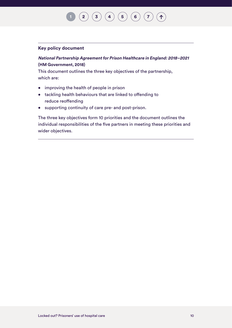### $\binom{2}{3}\binom{3}{4}\binom{5}{6}\binom{7}{7}$  $\binom{2}{3}\binom{3}{4}\binom{5}{6}\binom{7}{7}$  $\binom{2}{3}\binom{3}{4}\binom{5}{6}\binom{7}{7}$  $\binom{2}{3}\binom{3}{4}\binom{5}{6}\binom{7}{7}$  $\binom{2}{3}\binom{3}{4}\binom{5}{6}\binom{7}{7}$  $\binom{2}{3}\binom{3}{4}\binom{5}{6}\binom{7}{7}$  $\binom{2}{3}\binom{3}{4}\binom{5}{6}\binom{7}{7}$  $\binom{2}{3}\binom{3}{4}\binom{5}{6}\binom{7}{7}$  $\binom{2}{3}\binom{3}{4}\binom{5}{6}\binom{7}{7}$  $\binom{2}{3}\binom{3}{4}\binom{5}{6}\binom{7}{7}$  $\binom{2}{3}\binom{3}{4}\binom{5}{6}\binom{7}{7}$  $\binom{2}{3}\binom{3}{4}\binom{5}{6}\binom{7}{7}$  $\binom{2}{3}\binom{3}{4}\binom{5}{6}\binom{7}{7}$  $(1)$

#### **Key policy document**

### **National Partnership Agreement for Prison Healthcare in England: 2018–2021 (HM Government, 2018)**

This document outlines the three key objectives of the partnership, which are:

- improving the health of people in prison
- tackling health behaviours that are linked to offending to reduce reoffending
- supporting continuity of care pre- and post-prison.

The three key objectives form 10 priorities and the document outlines the individual responsibilities of the five partners in meeting these priorities and wider objectives.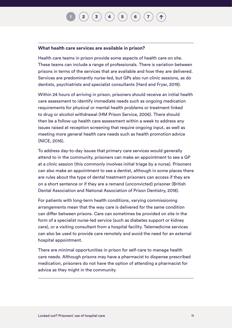## $\mathbf{2}\mathbf{2}\mathbf{3}\mathbf{4}$  $\mathbf{2}\mathbf{2}\mathbf{3}\mathbf{4}$  $\mathbf{2}\mathbf{2}\mathbf{3}\mathbf{4}$  $\mathbf{2}\mathbf{2}\mathbf{3}\mathbf{4}$  $\mathbf{2}\mathbf{2}\mathbf{3}\mathbf{4}$  $\mathbf{2}\mathbf{2}\mathbf{3}\mathbf{4}$  $\mathbf{2}\mathbf{2}\mathbf{3}\mathbf{4}$   $\mathbf{4}\mathbf{5}\mathbf{5}$  $\mathbf{4}\mathbf{5}\mathbf{5}$  $\mathbf{4}\mathbf{5}\mathbf{5}$   $\mathbf{5}\mathbf{6}\mathbf{6}$  $\mathbf{5}\mathbf{6}\mathbf{6}$  $\mathbf{5}\mathbf{6}\mathbf{6}$   $\mathbf{7}\mathbf{7}\mathbf{7}$  $\mathbf{7}\mathbf{7}\mathbf{7}$  $\mathbf{7}\mathbf{7}\mathbf{7}$

#### **What health care services are available in prison?**

Health care teams in prison provide some aspects of health care on site. These teams can include a range of professionals. There is variation between prisons in terms of the services that are available and how they are delivered. Services are predominantly nurse-led, but GPs also run clinic sessions, as do dentists, psychiatrists and specialist consultants (Hard and Fryar, 2019).

Within 24 hours of arriving in prison, prisoners should receive an initial health care assessment to identify immediate needs such as ongoing medication requirements for physical or mental health problems or treatment linked to drug or alcohol withdrawal (HM Prison Service, 2006). There should then be a follow-up health care assessment within a week to address any issues raised at reception screening that require ongoing input, as well as meeting more general health care needs such as health promotion advice (NICE, 2016).

To address day-to-day issues that primary care services would generally attend to in the community, prisoners can make an appointment to see a GP at a clinic session (this commonly involves initial triage by a nurse). Prisoners can also make an appointment to see a dentist, although in some places there are rules about the type of dental treatment prisoners can access if they are on a short sentence or if they are a remand (unconvicted) prisoner (British Dental Association and National Association of Prison Dentistry, 2018).

For patients with long-term health conditions, varying commissioning arrangements mean that the way care is delivered for the same condition can differ between prisons. Care can sometimes be provided on site in the form of a specialist nurse-led service (such as diabetes support or kidney care), or a visiting consultant from a hospital facility. Telemedicine services can also be used to provide care remotely and avoid the need for an external hospital appointment.

There are minimal opportunities in prison for self-care to manage health care needs. Although prisons may have a pharmacist to dispense prescribed medication, prisoners do not have the option of attending a pharmacist for advice as they might in the community.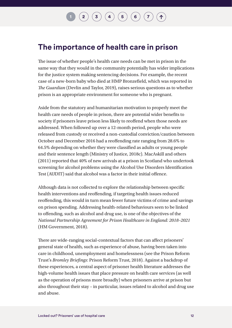### $\mathbf{2} \left( \mathbf{3} \right) \left( \mathbf{3} \right) \left( \mathbf{4} \right) \left( \mathbf{5} \right) \left( \mathbf{6} \right)$  $\mathbf{2} \left( \mathbf{3} \right) \left( \mathbf{3} \right) \left( \mathbf{4} \right) \left( \mathbf{5} \right) \left( \mathbf{6} \right)$  $\mathbf{2} \left( \mathbf{3} \right) \left( \mathbf{3} \right) \left( \mathbf{4} \right) \left( \mathbf{5} \right) \left( \mathbf{6} \right)$  $\mathbf{2} \left( \mathbf{3} \right) \left( \mathbf{3} \right) \left( \mathbf{4} \right) \left( \mathbf{5} \right) \left( \mathbf{6} \right)$  $\mathbf{2} \left( \mathbf{3} \right) \left( \mathbf{3} \right) \left( \mathbf{4} \right) \left( \mathbf{5} \right) \left( \mathbf{6} \right)$  $\mathbf{2} \left( \mathbf{3} \right) \left( \mathbf{3} \right) \left( \mathbf{4} \right) \left( \mathbf{5} \right) \left( \mathbf{6} \right)$  $\mathbf{2} \left( \mathbf{3} \right) \left( \mathbf{3} \right) \left( \mathbf{4} \right) \left( \mathbf{5} \right) \left( \mathbf{6} \right)$  $\mathbf{2} \left( \mathbf{3} \right) \left( \mathbf{3} \right) \left( \mathbf{4} \right) \left( \mathbf{5} \right) \left( \mathbf{6} \right)$  $\mathbf{2} \left( \mathbf{3} \right) \left( \mathbf{3} \right) \left( \mathbf{4} \right) \left( \mathbf{5} \right) \left( \mathbf{6} \right)$  $\mathbf{2} \left( \mathbf{3} \right) \left( \mathbf{3} \right) \left( \mathbf{4} \right) \left( \mathbf{5} \right) \left( \mathbf{6} \right)$  $\mathbf{2} \left( \mathbf{3} \right) \left( \mathbf{3} \right) \left( \mathbf{4} \right) \left( \mathbf{5} \right) \left( \mathbf{6} \right)$

### **The importance of health care in prison**

The issue of whether people's health care needs can be met in prison in the same way that they would in the community potentially has wider implications for the justice system making sentencing decisions. For example, the recent case of a new-born baby who died at HMP Bronzefield, which was reported in *The Guardian* (Devlin and Taylor, 2019), raises serious questions as to whether prison is an appropriate environment for someone who is pregnant.

Aside from the statutory and humanitarian motivation to properly meet the health care needs of people in prison, there are potential wider benefits to society if prisoners leave prison less likely to reoffend when those needs are addressed. When followed up over a 12-month period, people who were released from custody or received a non-custodial conviction/caution between October and December 2016 had a reoffending rate ranging from 28.6% to 64.5% depending on whether they were classified as adults or young people and their sentence length (Ministry of Justice, 2018c). MacAskill and others (2011) reported that 40% of new arrivals at a prison in Scotland who undertook screening for alcohol problems using the Alcohol Use Disorders Identification Test (AUDIT) said that alcohol was a factor in their initial offence.

Although data is not collected to explore the relationship between specific health interventions and reoffending, if targeting health issues reduced reoffending, this would in turn mean fewer future victims of crime and savings on prison spending. Addressing health-related behaviours seen to be linked to offending, such as alcohol and drug use, is one of the objectives of the *National Partnership Agreement for Prison Healthcare in England: 2018–2021* (HM Government, 2018).

There are wide-ranging social-contextual factors that can affect prisoners' general state of health, such as experience of abuse, having been taken into care in childhood, unemployment and homelessness (see the Prison Reform Trust's *Bromley Briefings*: Prison Reform Trust, 2018). Against a backdrop of these experiences, a central aspect of prisoner health literature addresses the high-volume health issues that place pressure on health care services (as well as the operation of prisons more broadly) when prisoners arrive at prison but also throughout their stay – in particular, issues related to alcohol and drug use and abuse.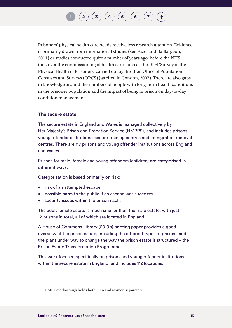### $\left( \begin{matrix} 3 \end{matrix} \right) \left( \begin{matrix} 4 \end{matrix} \right) \left( \begin{matrix} 5 \end{matrix} \right) \left( \begin{matrix} 6 \end{matrix} \right)$  $\left( \begin{matrix} 3 \end{matrix} \right) \left( \begin{matrix} 4 \end{matrix} \right) \left( \begin{matrix} 5 \end{matrix} \right) \left( \begin{matrix} 6 \end{matrix} \right)$  $\left( \begin{matrix} 3 \end{matrix} \right) \left( \begin{matrix} 4 \end{matrix} \right) \left( \begin{matrix} 5 \end{matrix} \right) \left( \begin{matrix} 6 \end{matrix} \right)$  $\left( \begin{matrix} 3 \end{matrix} \right) \left( \begin{matrix} 4 \end{matrix} \right) \left( \begin{matrix} 5 \end{matrix} \right) \left( \begin{matrix} 6 \end{matrix} \right)$  $\left( \begin{matrix} 3 \end{matrix} \right) \left( \begin{matrix} 4 \end{matrix} \right) \left( \begin{matrix} 5 \end{matrix} \right) \left( \begin{matrix} 6 \end{matrix} \right)$  $\left( \begin{matrix} 3 \end{matrix} \right) \left( \begin{matrix} 4 \end{matrix} \right) \left( \begin{matrix} 5 \end{matrix} \right) \left( \begin{matrix} 6 \end{matrix} \right)$  $\left( \begin{matrix} 3 \end{matrix} \right) \left( \begin{matrix} 4 \end{matrix} \right) \left( \begin{matrix} 5 \end{matrix} \right) \left( \begin{matrix} 6 \end{matrix} \right)$  $\left( \begin{matrix} 3 \end{matrix} \right) \left( \begin{matrix} 4 \end{matrix} \right) \left( \begin{matrix} 5 \end{matrix} \right) \left( \begin{matrix} 6 \end{matrix} \right)$  $\left( \begin{matrix} 3 \end{matrix} \right) \left( \begin{matrix} 4 \end{matrix} \right) \left( \begin{matrix} 5 \end{matrix} \right) \left( \begin{matrix} 6 \end{matrix} \right)$

Prisoners' physical health care needs receive less research attention. Evidence is primarily drawn from international studies (see Fazel and Baillargeon, 2011) or studies conducted quite a number of years ago, before the NHS took over the commissioning of health care, such as the 1994 'Survey of the Physical Health of Prisoners' carried out by the-then Office of Population Censuses and Surveys (OPCS) (as cited in Condon, 2007). There are also gaps in knowledge around the numbers of people with long-term health conditions in the prisoner population and the impact of being in prison on day-to-day condition management.

#### **The secure estate**

The secure estate in England and Wales is managed collectively by Her Majesty's Prison and Probation Service (HMPPS), and includes prisons, young offender institutions, secure training centres and immigration removal centres. There are 117 prisons and young offender institutions across England and Wales.**1**

Prisons for male, female and young offenders (children) are categorised in different ways.

Categorisation is based primarily on risk:

- risk of an attempted escape
- possible harm to the public if an escape was successful
- security issues within the prison itself.

The adult female estate is much smaller than the male estate, with just 12 prisons in total, all of which are located in England.

A House of Commons Library (2019b) briefing paper provides a good overview of the prison estate, including the different types of prisons, and the plans under way to change the way the prison estate is structured – the Prison Estate Transformation Programme.

This work focused specifically on prisons and young offender institutions within the secure estate in England, and includes 112 locations.

<sup>1</sup> HMP Peterborough holds both men and women separately.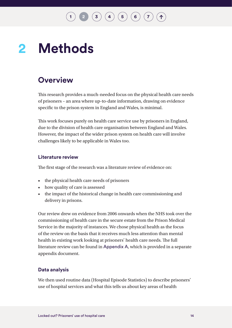# <span id="page-15-1"></span><span id="page-15-0"></span>2 Methods

### **Overview**

This research provides a much-needed focus on the physical health care needs of prisoners – an area where up-to-date information, drawing on evidence specific to the prison system in England and Wales, is minimal.

This work focuses purely on health care service use by prisoners in England, due to the division of health care organisation between England and Wales. However, the impact of the wider prison system on health care will involve challenges likely to be applicable in Wales too.

#### **Literature review**

The first stage of the research was a literature review of evidence on:

- the physical health care needs of prisoners
- how quality of care is assessed
- the impact of the historical change in health care commissioning and delivery in prisons.

Our review drew on evidence from 2006 onwards when the NHS took over the commissioning of health care in the secure estate from the Prison Medical Service in the majority of instances. We chose physical health as the focus of the review on the basis that it receives much less attention than mental health in existing work looking at prisoners' health care needs. The full literature review can be found in [Appendix A](http://www.nuffieldtrust.org.uk/locked-out), which is provided in a separate appendix document.

### **Data analysis**

We then used routine data (Hospital Episode Statistics) to describe prisoners' use of hospital services and what this tells us about key areas of health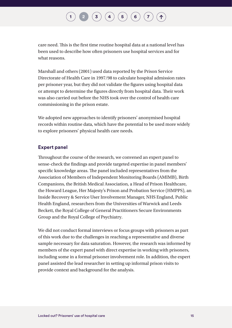care need. This is the first time routine hospital data at a national level has been used to describe how often prisoners use hospital services and for what reasons.

Marshall and others (2001) used data reported by the Prison Service Directorate of Health Care in 1997/98 to calculate hospital admission rates per prisoner year, but they did not validate the figures using hospital data or attempt to determine the figures directly from hospital data. Their work was also carried out before the NHS took over the control of health care commissioning in the prison estate.

We adopted new approaches to identify prisoners' anonymised hospital records within routine data, which have the potential to be used more widely to explore prisoners' physical health care needs.

#### **Expert panel**

Throughout the course of the research, we convened an expert panel to sense-check the findings and provide targeted expertise in panel members' specific knowledge areas. The panel included representatives from the Association of Members of Independent Monitoring Boards (AMIMB), Birth Companions, the British Medical Association, a Head of Prison Healthcare, the Howard League, Her Majesty's Prison and Probation Service (HMPPS), an Inside Recovery & Service User Involvement Manager, NHS England, Public Health England, researchers from the Universities of Warwick and Leeds Beckett, the Royal College of General Practitioners Secure Environments Group and the Royal College of Psychiatry.

We did not conduct formal interviews or focus groups with prisoners as part of this work due to the challenges in reaching a representative and diverse sample necessary for data saturation. However, the research was informed by members of the expert panel with direct expertise in working with prisoners, including some in a formal prisoner involvement role. In addition, the expert panel assisted the lead researcher in setting up informal prison visits to provide context and background for the analysis.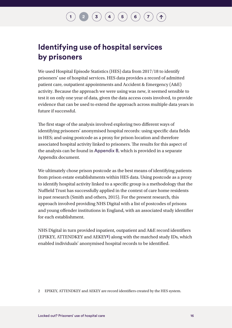### $\binom{3}{4}\binom{4}{5}\binom{5}{6}$  $\binom{3}{4}\binom{4}{5}\binom{5}{6}$  $\binom{3}{4}\binom{4}{5}\binom{5}{6}$  $\binom{3}{4}\binom{4}{5}\binom{5}{6}$  $\binom{3}{4}\binom{4}{5}\binom{5}{6}$  $\binom{3}{4}\binom{4}{5}\binom{5}{6}$  $\binom{3}{4}\binom{4}{5}\binom{5}{6}$  $\binom{3}{4}\binom{4}{5}\binom{5}{6}$  $\binom{3}{4}\binom{4}{5}\binom{5}{6}$

### **Identifying use of hospital services by prisoners**

We used Hospital Episode Statistics (HES) data from 2017/18 to identify prisoners' use of hospital services. HES data provides a record of admitted patient care, outpatient appointments and Accident & Emergency (A&E) activity. Because the approach we were using was new, it seemed sensible to test it on only one year of data, given the data access costs involved, to provide evidence that can be used to extend the approach across multiple data years in future if successful.

The first stage of the analysis involved exploring two different ways of identifying prisoners' anonymised hospital records: using specific data fields in HES; and using postcode as a proxy for prison location and therefore associated hospital activity linked to prisoners. The results for this aspect of the analysis can be found in [Appendix B](http://www.nuffieldtrust.org.uk/locked-out), which is provided in a separate Appendix document.

We ultimately chose prison postcode as the best means of identifying patients from prison estate establishments within HES data. Using postcode as a proxy to identify hospital activity linked to a specific group is a methodology that the Nuffield Trust has successfully applied in the context of care home residents in past research (Smith and others, 2015). For the present research, this approach involved providing NHS Digital with a list of postcodes of prisons and young offender institutions in England, with an associated study identifier for each establishment.

NHS Digital in turn provided inpatient, outpatient and A&E record identifiers (EPIKEY, ATTENDKEY and AEKEY**2**) along with the matched study IDs, which enabled individuals' anonymised hospital records to be identified.

<sup>2</sup> EPIKEY, ATTENDKEY and AEKEY are record identifiers created by the HES system.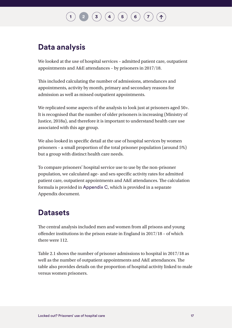### **Data analysis**

We looked at the use of hospital services – admitted patient care, outpatient appointments and A&E attendances – by prisoners in 2017/18.

This included calculating the number of admissions, attendances and appointments, activity by month, primary and secondary reasons for admission as well as missed outpatient appointments.

We replicated some aspects of the analysis to look just at prisoners aged  $50+$ . It is recognised that the number of older prisoners is increasing (Ministry of Justice, 2018a), and therefore it is important to understand health care use associated with this age group.

We also looked in specific detail at the use of hospital services by women prisoners – a small proportion of the total prisoner population (around 5%) but a group with distinct health care needs.

To compare prisoners' hospital service use to use by the non-prisoner population, we calculated age- and sex-specific activity rates for admitted patient care, outpatient appointments and A&E attendances. The calculation formula is provided in [Appendix C](http://www.nuffieldtrust.org.uk/locked-out), which is provided in a separate Appendix document.

### **Datasets**

The central analysis included men and women from all prisons and young offender institutions in the prison estate in England in 2017/18 – of which there were 112.

Table 2.1 shows the number of prisoner admissions to hospital in 2017/18 as well as the number of outpatient appointments and A&E attendances. The table also provides details on the proportion of hospital activity linked to male versus women prisoners.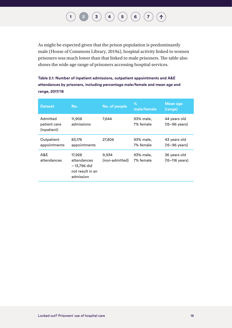#### **[1](#page-8-1) [2](#page-15-1) [3](#page-20-1) [4](#page-43-1) [5](#page-46-1) [6](#page-57-1) [7](#page-67-1)**  $(1)$

As might be expected given that the prison population is predominantly male (House of Commons Library, 2019a), hospital activity linked to women prisoners was much lower than that linked to male prisoners. The table also shows the wide age range of prisoners accessing hospital services.

**Table 2.1: Number of inpatient admissions, outpatient appointments and A&E attendances by prisoners, including percentage male/female and mean age and range, 2017/18** 

| <b>Dataset</b>                          | No.                                                                    | No. of people           | %<br>male/female       | <b>Mean age</b><br>(range)              |
|-----------------------------------------|------------------------------------------------------------------------|-------------------------|------------------------|-----------------------------------------|
| Admitted<br>patient care<br>(inpatient) | 11,908<br>admissions                                                   | 7.644                   | 93% male,<br>7% female | 44 years old<br>$(15-96 \text{ years})$ |
| Outpatient<br>appointments              | 83,176<br>appointments                                                 | 27,806                  | 93% male,<br>7% female | 43 years old<br>$(15-96 \text{ years})$ |
| A&E<br>attendances                      | 17,928<br>attendances<br>– 13,796 did<br>not result in an<br>admission | 9,934<br>(non-admitted) | 93% male,<br>7% female | 36 years old<br>$(15 - 116$ years)      |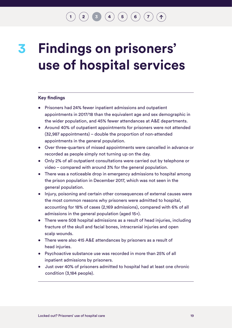### $\mathbf{2} \mathbf{3} \mathbf{4}$  $\mathbf{2} \mathbf{3} \mathbf{4}$  $\mathbf{2} \mathbf{3} \mathbf{4}$  $\mathbf{2} \mathbf{3} \mathbf{4}$  $\mathbf{2} \mathbf{3} \mathbf{4}$  $\mathbf{2} \mathbf{3} \mathbf{4}$  $\mathbf{2} \mathbf{3} \mathbf{4}$   $\mathbf{4} \mathbf{5}$  $\mathbf{4} \mathbf{5}$  $\mathbf{4} \mathbf{5}$   $\mathbf{5} \mathbf{6}$  $\mathbf{5} \mathbf{6}$  $\mathbf{5} \mathbf{6}$   $\mathbf{6} \mathbf{7}$  $\mathbf{6} \mathbf{7}$  $\mathbf{6} \mathbf{7}$

## <span id="page-20-1"></span><span id="page-20-0"></span>**Findings on prisoners' use of hospital services 3**

#### **Key findings**

- Prisoners had 24% fewer inpatient admissions and outpatient appointments in 2017/18 than the equivalent age and sex demographic in the wider population, and 45% fewer attendances at A&E departments.
- Around 40% of outpatient appointments for prisoners were not attended (32,987 appointments) – double the proportion of non-attended appointments in the general population.
- Over three-quarters of missed appointments were cancelled in advance or recorded as people simply not turning up on the day.
- Only 2% of all outpatient consultations were carried out by telephone or video – compared with around 3% for the general population.
- There was a noticeable drop in emergency admissions to hospital among the prison population in December 2017, which was not seen in the general population.
- Injury, poisoning and certain other consequences of external causes were the most common reasons why prisoners were admitted to hospital, accounting for 18% of cases (2,169 admissions), compared with 6% of all admissions in the general population (aged 15+).
- There were 508 hospital admissions as a result of head injuries, including fracture of the skull and facial bones, intracranial injuries and open scalp wounds.
- There were also 415 A&E attendances by prisoners as a result of head injuries.
- Psychoactive substance use was recorded in more than 25% of all inpatient admissions by prisoners.
- Just over 40% of prisoners admitted to hospital had at least one chronic condition (3,184 people).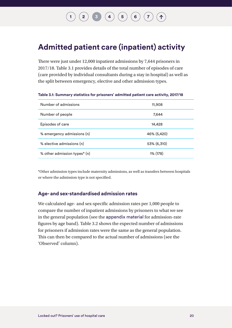# $\begin{pmatrix} 2 \end{pmatrix}$  $\begin{pmatrix} 2 \end{pmatrix}$  $\begin{pmatrix} 2 \end{pmatrix}$  **[3](#page-20-1)**  $\begin{pmatrix} 4 \end{pmatrix}$  $\begin{pmatrix} 4 \end{pmatrix}$  $\begin{pmatrix} 4 \end{pmatrix}$   $\begin{pmatrix} 5 \end{pmatrix}$  $\begin{pmatrix} 5 \end{pmatrix}$  $\begin{pmatrix} 5 \end{pmatrix}$   $\begin{pmatrix} 6 \end{pmatrix}$  $\begin{pmatrix} 6 \end{pmatrix}$  $\begin{pmatrix} 6 \end{pmatrix}$   $\begin{pmatrix} 7 \end{pmatrix}$  $\begin{pmatrix} 7 \end{pmatrix}$  $\begin{pmatrix} 7 \end{pmatrix}$

### <span id="page-21-0"></span>**Admitted patient care (inpatient) activity**

There were just under 12,000 inpatient admissions by 7,644 prisoners in 2017/18. Table 3.1 provides details of the total number of episodes of care (care provided by individual consultants during a stay in hospital) as well as the split between emergency, elective and other admission types.

| Number of admissions         | 11,908      |
|------------------------------|-------------|
| Number of people             | 7,644       |
| Episodes of care             | 14,428      |
| % emergency admissions (n)   | 46% (5,420) |
| % elective admissions (n)    | 53% (6,310) |
| % other admission types* (n) | 1% (178)    |

**Table 3.1: Summary statistics for prisoners' admitted patient care activity, 2017/18**

\*Other admission types include maternity admissions, as well as transfers between hospitals or where the admission type is not specified.

#### **Age- and sex-standardised admission rates**

We calculated age- and sex-specific admission rates per 1,000 people to compare the number of inpatient admissions by prisoners to what we see in the general population (see the [appendix material](http://www.nuffieldtrust.org.uk/locked-out) for admission-rate figures by age band). Table 3.2 shows the expected number of admissions for prisoners if admission rates were the same as the general population. This can then be compared to the actual number of admissions (see the 'Observed' column).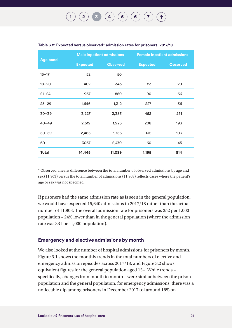|                 | Male inpatient admissions |                 | <b>Female inpatient admissions</b> |                 |
|-----------------|---------------------------|-----------------|------------------------------------|-----------------|
| <b>Age band</b> | <b>Expected</b>           | <b>Observed</b> | <b>Expected</b>                    | <b>Observed</b> |
| $15 - 17$       | 52                        | 50              |                                    |                 |
| $18 - 20$       | 402                       | 343             | 23                                 | 20              |
| $21 - 24$       | 967                       | 850             | 90                                 | 66              |
| $25 - 29$       | 1,646                     | 1,312           | 227                                | 136             |
| $30 - 39$       | 3,227                     | 2,383           | 452                                | 251             |
| $40 - 49$       | 2,619                     | 1,925           | 208                                | 193             |
| $50 - 59$       | 2,465                     | 1,756           | 135                                | 103             |
| $60+$           | 3067                      | 2,470           | 60                                 | 45              |
| <b>Total</b>    | 14,445                    | 11,089          | 1,195                              | 814             |

#### <span id="page-22-0"></span>**Table 3.2: Expected versus observed\* admission rates for prisoners, 2017/18**

\*'Observed' means difference between the total number of observed admissions by age and sex (11,903) versus the total number of admissions (11,908) reflects cases where the patient's age or sex was not specified.

If prisoners had the same admission rate as is seen in the general population, we would have expected 15,640 admissions in 2017/18 rather than the actual number of 11,903. The overall admission rate for prisoners was 252 per 1,000 population – 24% lower than in the general population (where the admission rate was 331 per 1,000 population).

#### **Emergency and elective admissions by month**

We also looked at the number of hospital admissions for prisoners by month. Figure 3.1 shows the monthly trends in the total numbers of elective and emergency admission episodes across 2017/18, and Figure 3.2 shows equivalent figures for the general population aged 15+. While trends – specifically, changes from month to month – were similar between the prison population and the general population, for emergency admissions, there was a noticeable dip among prisoners in December 2017 (of around 18% on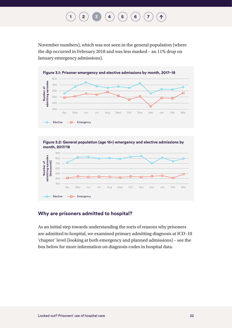## **[1](#page-8-1) [2](#page-15-1) 1 [3](#page-20-1) [4](#page-43-1) [6](#page-57-1) 6 6 [7](#page-67-1)**

<span id="page-23-0"></span>November numbers), which was not seen in the general population (where the dip occurred in February 2018 and was less marked – an 11% drop on January emergency admissions).





### **Why are prisoners admitted to hospital?**

As an initial step towards understanding the sorts of reasons why prisoners are admitted to hospital, we examined primary admitting diagnosis at ICD–10 'chapter' level (looking at both emergency and planned admissions) – see the box below for more information on diagnosis codes in hospital data.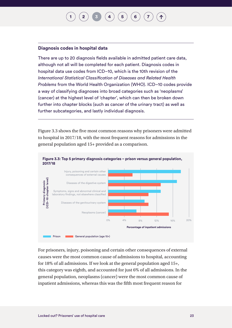#### <span id="page-24-0"></span>**Diagnosis codes in hospital data**

There are up to 20 diagnosis fields available in admitted patient care data, although not all will be completed for each patient. Diagnosis codes in hospital data use codes from ICD–10, which is the 10th revision of the *International Statistical Classification of Diseases and Related Health Problems* from the World Health Organization (WHO). ICD–10 codes provide a way of classifying diagnoses into broad categories such as 'neoplasms' (cancer) at the highest level of 'chapter', which can then be broken down further into chapter blocks (such as cancer of the urinary tract) as well as further subcategories, and lastly individual diagnosis.

Figure 3.3 shows the five most common reasons why prisoners were admitted to hospital in 2017/18, with the most frequent reasons for admissions in the general population aged 15+ provided as a comparison.



For prisoners, injury, poisoning and certain other consequences of external causes were the most common cause of admissions to hospital, accounting for 18% of all admissions. If we look at the general population aged 15+, this category was eighth, and accounted for just 6% of all admissions. In the general population, neoplasms (cancer) were the most common cause of inpatient admissions, whereas this was the fifth most frequent reason for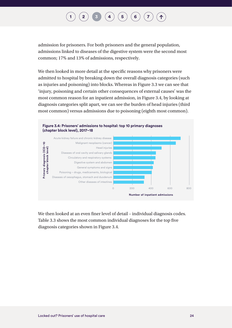<span id="page-25-0"></span>admission for prisoners. For both prisoners and the general population, admissions linked to diseases of the digestive system were the second most common; 17% and 13% of admissions, respectively.

We then looked in more detail at the specific reasons why prisoners were admitted to hospital by breaking down the overall diagnosis categories (such as injuries and poisoning) into blocks. Whereas in Figure 3.3 we can see that 'injury, poisoning and certain other consequences of external causes' was the most common reason for an inpatient admission, in Figure 3.4, by looking at diagnosis categories split apart, we can see the burden of head injuries (third most common) versus admissions due to poisoning (eighth most common).



We then looked at an even finer level of detail – individual diagnosis codes. Table 3.3 shows the most common individual diagnoses for the top five diagnosis categories shown in Figure 3.4.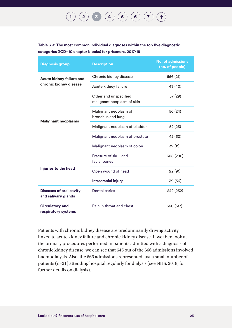#### **[1](#page-8-1) [2](#page-15-1) [3](#page-20-1) [4](#page-43-1) [5](#page-46-1) [6](#page-57-1) [7](#page-67-1)**  $($  ↑

<span id="page-26-0"></span>**Table 3.3: The most common individual diagnoses within the top five diagnostic categories (ICD–10 chapter blocks) for prisoners, 2017/18**

| <b>Diagnosis group</b>                                | <b>Description</b>                                  | <b>No. of admissions</b><br>(no. of people) |
|-------------------------------------------------------|-----------------------------------------------------|---------------------------------------------|
| Acute kidney failure and                              | Chronic kidney disease                              | 666 (21)                                    |
| chronic kidney disease                                | Acute kidney failure                                | 43 (40)                                     |
|                                                       | Other and unspecified<br>malignant neoplasm of skin | 57 (29)                                     |
| <b>Malignant neoplasms</b>                            | Malignant neoplasm of<br>bronchus and lung          | 56 (24)                                     |
|                                                       | Malignant neoplasm of bladder                       | 52 (23)                                     |
|                                                       | Malignant neoplasm of prostate                      | 42 (30)                                     |
|                                                       | Malignant neoplasm of colon                         | 39 (11)                                     |
|                                                       | Fracture of skull and<br>facial bones               | 308 (290)                                   |
| Injuries to the head                                  | Open wound of head                                  | 92 (91)                                     |
|                                                       | Intracranial injury                                 | 39 (36)                                     |
| <b>Diseases of oral cavity</b><br>and salivary glands | <b>Dental caries</b>                                | 242 (232)                                   |
| <b>Circulatory and</b><br>respiratory systems         | Pain in throat and chest                            | 360 (317)                                   |

Patients with chronic kidney disease are predominantly driving activity linked to acute kidney failure and chronic kidney disease. If we then look at the primary procedures performed in patients admitted with a diagnosis of chronic kidney disease, we can see that 645 out of the 666 admissions involved haemodialysis. Also, the 666 admissions represented just a small number of patients (n=21) attending hospital regularly for dialysis (see NHS, 2018, for further details on dialysis).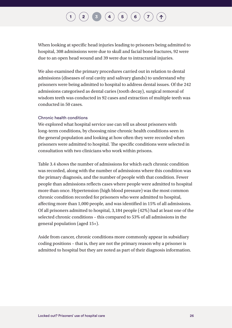### $\begin{pmatrix} 2 \end{pmatrix}$  $\begin{pmatrix} 2 \end{pmatrix}$  $\begin{pmatrix} 2 \end{pmatrix}$  **[3](#page-20-1)**  $\begin{pmatrix} 4 \end{pmatrix}$  $\begin{pmatrix} 4 \end{pmatrix}$  $\begin{pmatrix} 4 \end{pmatrix}$   $\begin{pmatrix} 5 \end{pmatrix}$  $\begin{pmatrix} 5 \end{pmatrix}$  $\begin{pmatrix} 5 \end{pmatrix}$   $\begin{pmatrix} 6 \end{pmatrix}$  $\begin{pmatrix} 6 \end{pmatrix}$  $\begin{pmatrix} 6 \end{pmatrix}$   $\begin{pmatrix} 7 \end{pmatrix}$  $\begin{pmatrix} 7 \end{pmatrix}$  $\begin{pmatrix} 7 \end{pmatrix}$

When looking at specific head injuries leading to prisoners being admitted to hospital, 308 admissions were due to skull and facial bone fractures, 92 were due to an open head wound and 39 were due to intracranial injuries.

We also examined the primary procedures carried out in relation to dental admissions (diseases of oral cavity and salivary glands) to understand why prisoners were being admitted to hospital to address dental issues. Of the 242 admissions categorised as dental caries (tooth decay), surgical removal of wisdom teeth was conducted in 92 cases and extraction of multiple teeth was conducted in 50 cases.

#### Chronic health conditions

We explored what hospital service use can tell us about prisoners with long-term conditions, by choosing nine chronic health conditions seen in the general population and looking at how often they were recorded when prisoners were admitted to hospital. The specific conditions were selected in consultation with two clinicians who work within prisons.

Table 3.4 shows the number of admissions for which each chronic condition was recorded, along with the number of admissions where this condition was the primary diagnosis, and the number of people with that condition. Fewer people than admissions reflects cases where people were admitted to hospital more than once. Hypertension (high blood pressure) was the most common chronic condition recorded for prisoners who were admitted to hospital, affecting more than 1,000 people, and was identified in 15% of all admissions. Of all prisoners admitted to hospital, 3,184 people (42%) had at least one of the selected chronic conditions – this compared to 53% of all admissions in the general population (aged 15+).

Aside from cancer, chronic conditions more commonly appear in subsidiary coding positions – that is, they are not the primary reason why a prisoner is admitted to hospital but they are noted as part of their diagnosis information.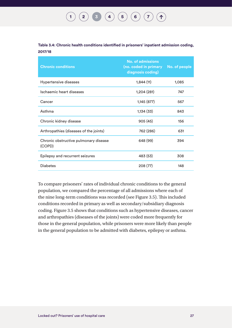<span id="page-28-0"></span>**Table 3.4: Chronic health conditions identified in prisoners' inpatient admission coding, 2017/18**

| <b>Chronic conditions</b>                       | <b>No. of admissions</b><br>(no. coded in primary<br>diagnosis coding) | No. of people |
|-------------------------------------------------|------------------------------------------------------------------------|---------------|
| Hypertensive diseases                           | 1,844(11)                                                              | 1,085         |
| Ischaemic heart diseases                        | 1,204 (281)                                                            | 747           |
| Cancer                                          | 1,145 (877)                                                            | 567           |
| Asthma                                          | 1,134 (33)                                                             | 843           |
| Chronic kidney disease                          | 905(45)                                                                | 156           |
| Arthropathies (diseases of the joints)          | 762 (286)                                                              | 631           |
| Chronic obstructive pulmonary disease<br>(COPD) | 648 (99)                                                               | 394           |
| Epilepsy and recurrent seizures                 | 483 (53)                                                               | 308           |
| <b>Diabetes</b>                                 | 208 (77)                                                               | 148           |

To compare prisoners' rates of individual chronic conditions to the general population, we compared the percentage of all admissions where each of the nine long-term conditions was recorded (see Figure 3.5). This included conditions recorded in primary as well as secondary/subsidiary diagnosis coding. Figure 3.5 shows that conditions such as hypertensive diseases, cancer and arthropathies (diseases of the joints) were coded more frequently for those in the general population, while prisoners were more likely than people in the general population to be admitted with diabetes, epilepsy or asthma.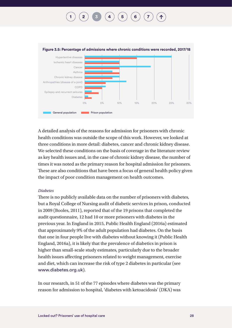<span id="page-29-0"></span>

A detailed analysis of the reasons for admission for prisoners with chronic health conditions was outside the scope of this work. However, we looked at three conditions in more detail: diabetes, cancer and chronic kidney disease. We selected these conditions on the basis of coverage in the literature review as key health issues and, in the case of chronic kidney disease, the number of times it was noted as the primary reason for hospital admission for prisoners. These are also conditions that have been a focus of general health policy given the impact of poor condition management on health outcomes.

#### *Diabetes*

There is no publicly available data on the number of prisoners with diabetes, but a Royal College of Nursing audit of diabetic services in prison, conducted in 2009 (Booles, 2011), reported that of the 19 prisons that completed the audit questionnaire, 12 had 10 or more prisoners with diabetes in the previous year. In England in 2015, Public Health England (2016a) estimated that approximately 9% of the adult population had diabetes. On the basis that one in four people live with diabetes without knowing it (Public Health England, 2016a), it is likely that the prevalence of diabetics in prison is higher than small-scale study estimates, particularly due to the broader health issues affecting prisoners related to weight management, exercise and diet, which can increase the risk of type 2 diabetes in particular (see [www.diabetes.org.uk](http://www.diabetes.org.uk)).

In our research, in 51 of the 77 episodes where diabetes was the primary reason for admission to hospital, 'diabetes with ketoacidosis' (DKA) was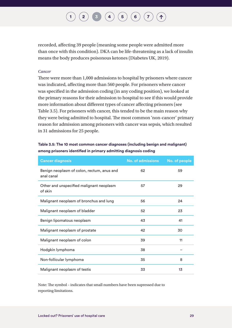### $\begin{pmatrix} 2 \end{pmatrix}$  $\begin{pmatrix} 2 \end{pmatrix}$  $\begin{pmatrix} 2 \end{pmatrix}$  **[3](#page-20-1)**  $\begin{pmatrix} 4 \end{pmatrix}$  $\begin{pmatrix} 4 \end{pmatrix}$  $\begin{pmatrix} 4 \end{pmatrix}$   $\begin{pmatrix} 5 \end{pmatrix}$  $\begin{pmatrix} 5 \end{pmatrix}$  $\begin{pmatrix} 5 \end{pmatrix}$   $\begin{pmatrix} 6 \end{pmatrix}$  $\begin{pmatrix} 6 \end{pmatrix}$  $\begin{pmatrix} 6 \end{pmatrix}$   $\begin{pmatrix} 7 \end{pmatrix}$  $\begin{pmatrix} 7 \end{pmatrix}$  $\begin{pmatrix} 7 \end{pmatrix}$

<span id="page-30-0"></span>recorded, affecting 39 people (meaning some people were admitted more than once with this condition). DKA can be life-threatening as a lack of insulin means the body produces poisonous ketones (Diabetes UK, 2019).

#### *Cancer*

There were more than 1,000 admissions to hospital by prisoners where cancer was indicated, affecting more than 560 people. For prisoners where cancer was specified in the admission coding (in any coding position), we looked at the primary reasons for their admission to hospital to see if this would provide more information about different types of cancer affecting prisoners (see Table 3.5). For prisoners with cancer, this tended to be the main reason why they were being admitted to hospital. The most common 'non-cancer' primary reason for admission among prisoners with cancer was sepsis, which resulted in 31 admissions for 25 people.

#### **Table 3.5: The 10 most common cancer diagnoses (including benign and malignant) among prisoners identified in primary admitting diagnosis coding**

| <b>Cancer diagnosis</b>                                  | <b>No. of admissions</b> | No. of people |
|----------------------------------------------------------|--------------------------|---------------|
| Benign neoplasm of colon, rectum, anus and<br>anal canal | 62                       | 59            |
| Other and unspecified malignant neoplasm<br>of skin      | 57                       | 29            |
| Malignant neoplasm of bronchus and lung                  | 56                       | 24            |
| Malignant neoplasm of bladder                            | 52                       | 23            |
| Benign lipomatous neoplasm                               | 43                       | 41            |
| Malignant neoplasm of prostate                           | 42                       | 30            |
| Malignant neoplasm of colon                              | 39                       | 11            |
| Hodgkin lymphoma                                         | 38                       |               |
| Non-follicular lymphoma                                  | 35                       | 8             |
| Malignant neoplasm of testis                             | 33                       | 13            |

Note: The symbol – indicates that small numbers have been supressed due to reporting limitations.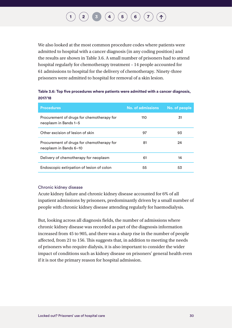<span id="page-31-0"></span>We also looked at the most common procedure codes where patients were admitted to hospital with a cancer diagnosis (in any coding position) and the results are shown in Table 3.6. A small number of prisoners had to attend hospital regularly for chemotherapy treatment – 14 people accounted for 61 admissions to hospital for the delivery of chemotherapy. Ninety-three prisoners were admitted to hospital for removal of a skin lesion.

#### **Table 3.6: Top five procedures where patients were admitted with a cancer diagnosis, 2017/18**

| <b>Procedures</b>                                                   | No. of admissions | No. of people |
|---------------------------------------------------------------------|-------------------|---------------|
| Procurement of drugs for chemotherapy for<br>neoplasm in Bands 1-5  | 110               | 31            |
| Other excision of lesion of skin                                    | 97                | 93            |
| Procurement of drugs for chemotherapy for<br>neoplasm in Bands 6-10 | 81                | 24            |
| Delivery of chemotherapy for neoplasm                               | 61                | 14            |
| Endoscopic extirpation of lesion of colon                           | 55                | 53            |

#### Chronic kidney disease

Acute kidney failure and chronic kidney disease accounted for 6% of all inpatient admissions by prisoners, predominantly driven by a small number of people with chronic kidney disease attending regularly for haemodialysis.

But, looking across all diagnosis fields, the number of admissions where chronic kidney disease was recorded as part of the diagnosis information increased from 45 to 905, and there was a sharp rise in the number of people affected, from 21 to 156. This suggests that, in addition to meeting the needs of prisoners who require dialysis, it is also important to consider the wider impact of conditions such as kidney disease on prisoners' general health even if it is not the primary reason for hospital admission.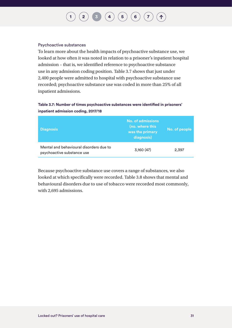#### <span id="page-32-0"></span>Psychoactive substances

To learn more about the health impacts of psychoactive substance use, we looked at how often it was noted in relation to a prisoner's inpatient hospital admission – that is, we identified reference to psychoactive substance use in any admission coding position. Table 3.7 shows that just under 2,400 people were admitted to hospital with psychoactive substance use recorded; psychoactive substance use was coded in more than 25% of all inpatient admissions.

#### **Table 3.7: Number of times psychoactive substances were identified in prisoners' inpatient admission coding, 2017/18**

| <b>Diagnosis</b>                                                      | No. of admissions<br>(no. where this<br>was the primary<br>diagnosis) | No. of people |
|-----------------------------------------------------------------------|-----------------------------------------------------------------------|---------------|
| Mental and behavioural disorders due to<br>psychoactive substance use | 3,160(47)                                                             | 2,397         |

Because psychoactive substance use covers a range of substances, we also looked at which specifically were recorded. Table 3.8 shows that mental and behavioural disorders due to use of tobacco were recorded most commonly, with 2,695 admissions.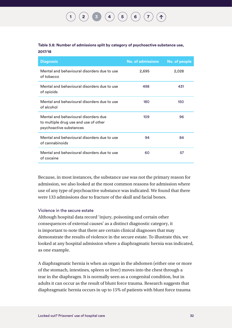# $\begin{pmatrix} 2 \end{pmatrix}$  $\begin{pmatrix} 2 \end{pmatrix}$  $\begin{pmatrix} 2 \end{pmatrix}$   $\begin{pmatrix} 3 \end{pmatrix}$  $\begin{pmatrix} 3 \end{pmatrix}$  $\begin{pmatrix} 3 \end{pmatrix}$   $\begin{pmatrix} 4 \end{pmatrix}$  $\begin{pmatrix} 4 \end{pmatrix}$  $\begin{pmatrix} 4 \end{pmatrix}$   $\begin{pmatrix} 5 \end{pmatrix}$  $\begin{pmatrix} 5 \end{pmatrix}$  $\begin{pmatrix} 5 \end{pmatrix}$   $\begin{pmatrix} 6 \end{pmatrix}$  $\begin{pmatrix} 6 \end{pmatrix}$  $\begin{pmatrix} 6 \end{pmatrix}$   $\begin{pmatrix} 7 \end{pmatrix}$  $\begin{pmatrix} 7 \end{pmatrix}$  $\begin{pmatrix} 7 \end{pmatrix}$

#### <span id="page-33-0"></span>**Table 3.8: Number of admissions split by category of psychoactive substance use, 2017/18**

| <b>Diagnosis</b>                                                                                         | <b>No. of admissions</b> | No. of people |
|----------------------------------------------------------------------------------------------------------|--------------------------|---------------|
| Mental and behavioural disorders due to use<br>of tobacco                                                | 2,695                    | 2,028         |
| Mental and behavioural disorders due to use<br>of opioids                                                | 498                      | 431           |
| Mental and behavioural disorders due to use<br>of alcohol                                                | 180                      | 150           |
| Mental and behavioural disorders due<br>to multiple drug use and use of other<br>psychoactive substances | 109                      | 96            |
| Mental and behavioural disorders due to use<br>of cannabinoids                                           | 94                       | 84            |
| Mental and behavioural disorders due to use<br>of cocaine                                                | 60                       | 57            |

Because, in most instances, the substance use was not the primary reason for admission, we also looked at the most common reasons for admission where use of any type of psychoactive substance was indicated. We found that there were 133 admissions due to fracture of the skull and facial bones.

#### Violence in the secure estate

Although hospital data record 'injury, poisoning and certain other consequences of external causes' as a distinct diagnostic category, it is important to note that there are certain clinical diagnoses that may demonstrate the results of violence in the secure estate. To illustrate this, we looked at any hospital admission where a diaphragmatic hernia was indicated, as one example.

A diaphragmatic hernia is when an organ in the abdomen (either one or more of the stomach, intestines, spleen or liver) moves into the chest through a tear in the diaphragm. It is normally seen as a congenital condition, but in adults it can occur as the result of blunt force trauma. Research suggests that diaphragmatic hernia occurs in up to 15% of patients with blunt force trauma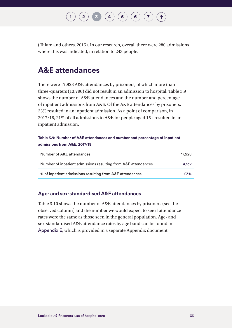### $\begin{pmatrix} 2 \end{pmatrix}$  $\begin{pmatrix} 2 \end{pmatrix}$  $\begin{pmatrix} 2 \end{pmatrix}$  **[3](#page-20-1)**  $\begin{pmatrix} 4 \end{pmatrix}$  $\begin{pmatrix} 4 \end{pmatrix}$  $\begin{pmatrix} 4 \end{pmatrix}$   $\begin{pmatrix} 5 \end{pmatrix}$  $\begin{pmatrix} 5 \end{pmatrix}$  $\begin{pmatrix} 5 \end{pmatrix}$   $\begin{pmatrix} 6 \end{pmatrix}$  $\begin{pmatrix} 6 \end{pmatrix}$  $\begin{pmatrix} 6 \end{pmatrix}$   $\begin{pmatrix} 7 \end{pmatrix}$  $\begin{pmatrix} 7 \end{pmatrix}$  $\begin{pmatrix} 7 \end{pmatrix}$

<span id="page-34-0"></span>(Thiam and others, 2015). In our research, overall there were 280 admissions where this was indicated, in relation to 243 people.

### **A&E attendances**

There were 17,928 A&E attendances by prisoners, of which more than three-quarters (13,796) did not result in an admission to hospital. Table 3.9 shows the number of A&E attendances and the number and percentage of inpatient admissions from A&E. Of the A&E attendances by prisoners, 23% resulted in an inpatient admission. As a point of comparison, in 2017/18, 21% of all admissions to A&E for people aged 15+ resulted in an inpatient admission.

#### **Table 3.9: Number of A&E attendances and number and percentage of inpatient admissions from A&E, 2017/18**

| Number of A&E attendances                                     | 17,928 |
|---------------------------------------------------------------|--------|
| Number of inpatient admissions resulting from A&E attendances | 4.132  |
| % of inpatient admissions resulting from A&E attendances      | 23%    |

#### **Age- and sex-standardised A&E attendances**

Table 3.10 shows the number of A&E attendances by prisoners (see the observed column) and the number we would expect to see if attendance rates were the same as those seen in the general population. Age- and sex-standardised A&E attendance rates by age band can be found in [Appendix E](http://www.nuffieldtrust.org.uk/locked-out), which is provided in a separate Appendix document.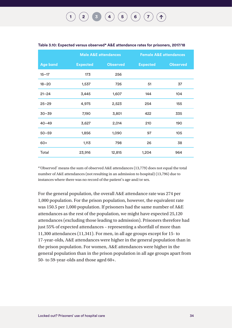### $\begin{pmatrix} 2 \end{pmatrix}$  $\begin{pmatrix} 2 \end{pmatrix}$  $\begin{pmatrix} 2 \end{pmatrix}$  [3](#page-20-1)  $\begin{pmatrix} 4 \end{pmatrix}$  $\begin{pmatrix} 4 \end{pmatrix}$  $\begin{pmatrix} 4 \end{pmatrix}$   $\begin{pmatrix} 5 \end{pmatrix}$  $\begin{pmatrix} 5 \end{pmatrix}$  $\begin{pmatrix} 5 \end{pmatrix}$   $\begin{pmatrix} 6 \end{pmatrix}$  $\begin{pmatrix} 6 \end{pmatrix}$  $\begin{pmatrix} 6 \end{pmatrix}$   $\begin{pmatrix} 7 \end{pmatrix}$  $\begin{pmatrix} 7 \end{pmatrix}$  $\begin{pmatrix} 7 \end{pmatrix}$

|                 | <b>Male A&amp;E attendances</b> |                 | <b>Female A&amp;E attendances</b> |                 |
|-----------------|---------------------------------|-----------------|-----------------------------------|-----------------|
| <b>Age band</b> | <b>Expected</b>                 | <b>Observed</b> | <b>Expected</b>                   | <b>Observed</b> |
| $15 - 17$       | 173                             | 256             |                                   |                 |
| $18 - 20$       | 1,537                           | 726             | 51                                | 37              |
| $21 - 24$       | 3,445                           | 1,607           | 144                               | 104             |
| $25 - 29$       | 4,975                           | 2,523           | 254                               | 155             |
| $30 - 39$       | 7,190                           | 3,801           | 422                               | 335             |
| $40 - 49$       | 3,627                           | 2,014           | 210                               | 190             |
| $50 - 59$       | 1,856                           | 1,090           | 97                                | 105             |
| $60+$           | 1,113                           | 798             | 26                                | 38              |
| Total           | 23,916                          | 12,815          | 1,204                             | 964             |

#### <span id="page-35-0"></span>**Table 3.10: Expected versus observed\* A&E attendance rates for prisoners, 2017/18**

\*'Observed' means the sum of observed A&E attendances (13,779) does not equal the total number of A&E attendances (not resulting in an admission to hospital) (13,796) due to instances where there was no record of the patient's age and/or sex.

For the general population, the overall A&E attendance rate was 274 per 1,000 population. For the prison population, however, the equivalent rate was 150.5 per 1,000 population. If prisoners had the same number of A&E attendances as the rest of the population, we might have expected 25,120 attendances (excluding those leading to admission). Prisoners therefore had just 55% of expected attendances – representing a shortfall of more than 11,300 attendances (11,341). For men, in all age groups except for 15- to 17-year-olds, A&E attendances were higher in the general population than in the prison population. For women, A&E attendances were higher in the general population than in the prison population in all age groups apart from 50- to 59-year-olds and those aged 60+.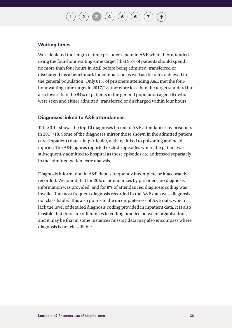## $\begin{pmatrix} 2 \end{pmatrix}$  $\begin{pmatrix} 2 \end{pmatrix}$  $\begin{pmatrix} 2 \end{pmatrix}$  **[3](#page-20-0)**  $\begin{pmatrix} 4 \end{pmatrix}$  $\begin{pmatrix} 4 \end{pmatrix}$  $\begin{pmatrix} 4 \end{pmatrix}$   $\begin{pmatrix} 5 \end{pmatrix}$  $\begin{pmatrix} 5 \end{pmatrix}$  $\begin{pmatrix} 5 \end{pmatrix}$   $\begin{pmatrix} 6 \end{pmatrix}$  $\begin{pmatrix} 6 \end{pmatrix}$  $\begin{pmatrix} 6 \end{pmatrix}$   $\begin{pmatrix} 7 \end{pmatrix}$  $\begin{pmatrix} 7 \end{pmatrix}$  $\begin{pmatrix} 7 \end{pmatrix}$

#### **Waiting times**

We calculated the length of time prisoners spent in A&E when they attended using the four-hour waiting-time target (that 95% of patients should spend no more than four hours in A&E before being admitted, transferred or discharged) as a benchmark for comparison as well as the rates achieved in the general population. Only 81% of prisoners attending A&E met the fourhour waiting-time target in 2017/18, therefore less than the target standard but also lower than the 84% of patients in the general population aged 15+ who were seen and either admitted, transferred or discharged within four hours.

#### **Diagnoses linked to A&E attendances**

Table 3.11 shows the top 10 diagnoses linked to A&E attendances by prisoners in 2017/18. Some of the diagnoses mirror those shown in the admitted patient care (inpatient) data – in particular, activity linked to poisoning and head injuries. The A&E figures reported exclude episodes where the patient was subsequently admitted to hospital as these episodes are addressed separately in the admitted patient care analysis.

Diagnosis information in A&E data is frequently incomplete or inaccurately recorded. We found that for 20% of attendances by prisoners, no diagnosis information was provided, and for 8% of attendances, diagnosis coding was invalid. The most frequent diagnosis recorded in the A&E data was 'diagnosis not classifiable'. This also points to the incompleteness of A&E data, which lack the level of detailed diagnosis coding provided in inpatient data. It is also feasible that there are differences in coding practice between organisations, and it may be that in some instances missing data may also encompass where diagnosis is not classifiable.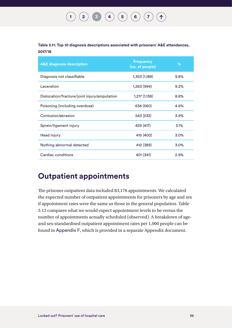#### **[1](#page-8-0) [2](#page-15-0) [3](#page-20-0) [4](#page-43-0) [5](#page-46-0) [6](#page-57-0) [7](#page-67-0)**  $(1)$

#### **Table 3.11: Top 10 diagnosis descriptions associated with prisoners' A&E attendances, 2017/18**

| <b>A&amp;E diagnosis description</b>         | <b>Frequency</b><br>(no. of people) | %    |
|----------------------------------------------|-------------------------------------|------|
| Diagnosis not classifiable                   | 1,353 (1,189)                       | 9.8% |
| Laceration                                   | 1,263 (994)                         | 9.2% |
| Dislocation/fracture/joint injury/amputation | 1,217(1,138)                        | 8.8% |
| Poisoning (including overdose)               | 634 (560)                           | 4.6% |
| Contusion/abrasion                           | 543 (532)                           | 3.9% |
| Sprain/ligament injury                       | 429 (417)                           | 3.1% |
| Head injury                                  | 415 (400)                           | 3.0% |
| Nothing abnormal detected                    | 412 (389)                           | 3.0% |
| Cardiac conditions                           | 401 (341)                           | 2.9% |

### **Outpatient appointments**

The prisoner outpatient data included 83,176 appointments. We calculated the expected number of outpatient appointments for prisoners by age and sex if appointment rates were the same as those in the general population. Table 3.12 compares what we would expect appointment levels to be versus the number of appointments actually scheduled (observed). A breakdown of ageand sex-standardised outpatient appointment rates per 1,000 people can be found in [Appendix F](http://www.nuffieldtrust.org.uk/locked-out), which is provided in a separate Appendix document.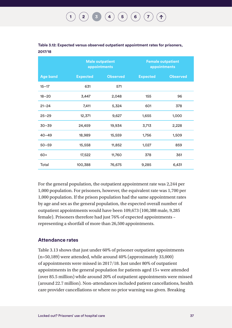|                 |                 | <b>Male outpatient</b><br>appointments |                 | <b>Female outpatient</b><br>appointments |
|-----------------|-----------------|----------------------------------------|-----------------|------------------------------------------|
| <b>Age band</b> | <b>Expected</b> | <b>Observed</b>                        | <b>Expected</b> | <b>Observed</b>                          |
| $15 - 17$       | 631             | 571                                    |                 |                                          |
| $18 - 20$       | 3,447           | 2,048                                  | 155             | 96                                       |
| $21 - 24$       | 7,411           | 5,324                                  | 601             | 378                                      |
| $25 - 29$       | 12,371          | 9,627                                  | 1,655           | 1,000                                    |
| $30 - 39$       | 24,459          | 19,934                                 | 3,713           | 2,228                                    |
| $40 - 49$       | 18,989          | 15,559                                 | 1,756           | 1,509                                    |
| $50 - 59$       | 15,558          | 11,852                                 | 1,027           | 859                                      |
| $60+$           | 17,522          | 11,760                                 | 378             | 361                                      |
| Total           | 100,388         | 76,675                                 | 9,285           | 6,431                                    |

| Table 3.12: Expected versus observed outpatient appointment rates for prisoners, |  |
|----------------------------------------------------------------------------------|--|
| 2017/18                                                                          |  |

For the general population, the outpatient appointment rate was 2,244 per 1,000 population. For prisoners, however, the equivalent rate was 1,700 per 1,000 population. If the prison population had the same appointment rates by age and sex as the general population, the expected overall number of outpatient appointments would have been 109,673 (100,388 male, 9,285 female). Prisoners therefore had just 76% of expected appointments – representing a shortfall of more than 26,500 appointments.

#### **Attendance rates**

Table 3.13 shows that just under 60% of prisoner outpatient appointments (n=50,189) were attended, while around 40% (approximately 33,000) of appointments were missed in 2017/18. Just under 80% of outpatient appointments in the general population for patients aged 15+ were attended (over 85.5 million) while around 20% of outpatient appointments were missed (around 22.7 million). Non-attendances included patient cancellations, health care provider cancellations or where no prior warning was given. Breaking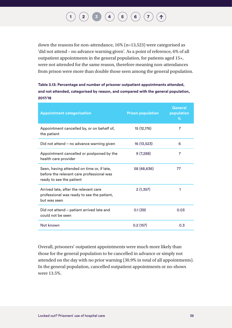## $\begin{pmatrix} 2 \end{pmatrix}$  $\begin{pmatrix} 2 \end{pmatrix}$  $\begin{pmatrix} 2 \end{pmatrix}$  **[3](#page-20-0)**  $\begin{pmatrix} 4 \end{pmatrix}$  $\begin{pmatrix} 4 \end{pmatrix}$  $\begin{pmatrix} 4 \end{pmatrix}$   $\begin{pmatrix} 5 \end{pmatrix}$  $\begin{pmatrix} 5 \end{pmatrix}$  $\begin{pmatrix} 5 \end{pmatrix}$   $\begin{pmatrix} 6 \end{pmatrix}$  $\begin{pmatrix} 6 \end{pmatrix}$  $\begin{pmatrix} 6 \end{pmatrix}$   $\begin{pmatrix} 7 \end{pmatrix}$  $\begin{pmatrix} 7 \end{pmatrix}$  $\begin{pmatrix} 7 \end{pmatrix}$

down the reasons for non-attendance, 16% (n=13,523) were categorised as 'did not attend – no advance warning given'. As a point of reference, 6% of all outpatient appointments in the general population, for patients aged 15+, were not attended for the same reason, therefore meaning non-attendances from prison were more than double those seen among the general population.

**Table 3.13: Percentage and number of prisoner outpatient appointments attended, and not attended, categorised by reason, and compared with the general population, 2017/18** 

| <b>Appointment categorisation</b>                                                                                   | <b>Prison population</b> | General<br>population<br>% |
|---------------------------------------------------------------------------------------------------------------------|--------------------------|----------------------------|
| Appointment cancelled by, or on behalf of,<br>the patient                                                           | 15 (12,176)              | 7                          |
| Did not attend - no advance warning given                                                                           | 16 (13,523)              | 6                          |
| Appointment cancelled or postponed by the<br>health care provider                                                   | 9(7,288)                 | 7                          |
| Seen, having attended on time or, if late,<br>before the relevant care professional was<br>ready to see the patient | 58 (48,636)              | 77                         |
| Arrived late, after the relevant care<br>professional was ready to see the patient,<br>but was seen                 | 2(1,357)                 | 1                          |
| Did not attend – patient arrived late and<br>could not be seen                                                      | 0.1(39)                  | 0.03                       |
| Not known                                                                                                           | 0.2(157)                 | 0.3                        |

Overall, prisoners' outpatient appointments were much more likely than those for the general population to be cancelled in advance or simply not attended on the day with no prior warning (30.9% in total of all appointments). In the general population, cancelled outpatient appointments or no-shows were 13.5%.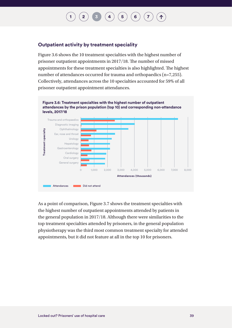## $\left( \begin{array}{c} 4 \end{array} \right)$  $\left( \begin{array}{c} 4 \end{array} \right)$  $\left( \begin{array}{c} 4 \end{array} \right)$   $\left( \begin{array}{c} 5 \end{array} \right)$  $\left( \begin{array}{c} 5 \end{array} \right)$  $\left( \begin{array}{c} 5 \end{array} \right)$   $\left( \begin{array}{c} 6 \end{array} \right)$  $\left( \begin{array}{c} 6 \end{array} \right)$  $\left( \begin{array}{c} 6 \end{array} \right)$

#### **Outpatient activity by treatment speciality**

Figure 3.6 shows the 10 treatment specialties with the highest number of prisoner outpatient appointments in 2017/18. The number of missed appointments for these treatment specialties is also highlighted. The highest number of attendances occurred for trauma and orthopaedics (n=7,255). Collectively, attendances across the 10 specialties accounted for 59% of all prisoner outpatient appointment attendances.



As a point of comparison, Figure 3.7 shows the treatment specialties with the highest number of outpatient appointments attended by patients in the general population in 2017/18. Although there were similarities to the top treatment specialties attended by prisoners, in the general population physiotherapy was the third most common treatment specialty for attended appointments, but it did not feature at all in the top 10 for prisoners.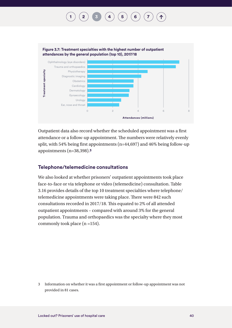## **[2](#page-15-0)**  $\binom{3}{4}$  $\binom{3}{4}$  $\binom{3}{4}$  $\binom{3}{4}$  $\binom{3}{4}$   $\binom{4}{5}$  $\binom{4}{5}$  $\binom{4}{5}$   $\binom{5}{6}$  $\binom{5}{6}$  $\binom{5}{6}$



Outpatient data also record whether the scheduled appointment was a first attendance or a follow-up appointment. The numbers were relatively evenly split, with 54% being first appointments (n=44,697) and 46% being follow-up appointments (n=38,398).**<sup>3</sup>**

#### **Telephone/telemedicine consultations**

We also looked at whether prisoners' outpatient appointments took place face-to-face or via telephone or video (telemedicine) consultation. Table 3.16 provides details of the top 10 treatment specialties where telephone/ telemedicine appointments were taking place. There were 842 such consultations recorded in 2017/18. This equated to 2% of all attended outpatient appointments – compared with around 3% for the general population. Trauma and orthopaedics was the specialty where they most commonly took place (n =154).

<sup>3</sup> Information on whether it was a first appointment or follow-up appointment was not provided in 81 cases.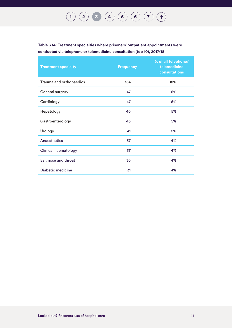**Table 3.14: Treatment specialties where prisoners' outpatient appointments were conducted via telephone or telemedicine consultation (top 10), 2017/18**

| <b>Treatment specialty</b>  | <b>Frequency</b> | % of all telephone/<br>telemedicine<br>consultations |
|-----------------------------|------------------|------------------------------------------------------|
| Trauma and orthopaedics     | 154              | 18%                                                  |
| General surgery             | 47               | 6%                                                   |
| Cardiology                  | 47               | 6%                                                   |
| Hepatology                  | 46               | 5%                                                   |
| Gastroenterology            | 43               | 5%                                                   |
| Urology                     | 41               | 5%                                                   |
| Anaesthetics                | 37               | 4%                                                   |
| <b>Clinical haematology</b> | 37               | 4%                                                   |
| Ear, nose and throat        | 36               | 4%                                                   |
| Diabetic medicine           | 31               | 4%                                                   |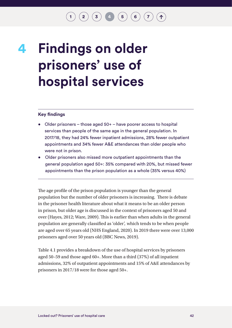### $\binom{2}{3}$  $\binom{2}{3}$  $\binom{2}{3}$  $\binom{2}{3}$  $\binom{2}{3}$  **[4](#page-43-0) [6](#page-57-0) 6 [7](#page-67-0)**

## <span id="page-43-0"></span>**Findings on older prisoners' use of hospital services 4**

#### **Key findings**

- Older prisoners those aged 50+ have poorer access to hospital services than people of the same age in the general population. In 2017/18, they had 24% fewer inpatient admissions, 28% fewer outpatient appointments and 34% fewer A&E attendances than older people who were not in prison.
- Older prisoners also missed more outpatient appointments than the general population aged 50+: 35% compared with 20%, but missed fewer appointments than the prison population as a whole (35% versus 40%)

The age profile of the prison population is younger than the general population but the number of older prisoners is increasing. There is debate in the prisoner health literature about what it means to be an older person in prison, but older age is discussed in the context of prisoners aged 50 and over (Hayes, 2012; Ware, 2009). This is earlier than when adults in the general population are generally classified as 'older', which tends to be when people are aged over 65 years old (NHS England, 2020). In 2019 there were over 13,000 prisoners aged over 50 years old (BBC News, 2019).

Table 4.1 provides a breakdown of the use of hospital services by prisoners aged 50–59 and those aged 60+. More than a third (37%) of all inpatient admissions, 32% of outpatient appointments and 15% of A&E attendances by prisoners in 2017/18 were for those aged 50+.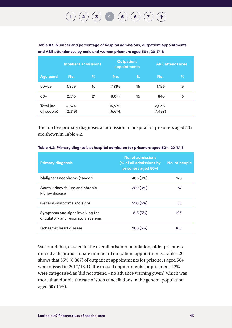**Table 4.1: Number and percentage of hospital admissions, outpatient appointments and A&E attendances by male and women prisoners aged 50+, 2017/18**

|                          | <b>Inpatient admissions</b> |    | <b>Outpatient</b><br>appointments |    | <b>A&amp;E</b> attendances |   |
|--------------------------|-----------------------------|----|-----------------------------------|----|----------------------------|---|
| <b>Age band</b>          | No.                         | %  | No.                               | %  | No.                        | % |
| $50 - 59$                | 1,859                       | 16 | 7,895                             | 16 | 1,195                      | 9 |
| $60+$                    | 2,515                       | 21 | 8,077                             | 16 | 840                        | 6 |
| Total (no.<br>of people) | 4,374<br>(2,319)            |    | 15,972<br>(6, 674)                |    | 2,035<br>(1,438)           |   |

The top five primary diagnoses at admission to hospital for prisoners aged 50+ are shown in Table 4.2.

| <b>Primary diagnosis</b>                                                | <b>No. of admissions</b><br>(% of all admissions by<br>prisoners aged 50+) | No. of people |
|-------------------------------------------------------------------------|----------------------------------------------------------------------------|---------------|
| Malignant neoplasms (cancer)                                            | 403 (9%)                                                                   | 175           |
| Acute kidney failure and chronic<br>kidney disease                      | 389 (9%)                                                                   | 37            |
| General symptoms and signs                                              | 250 (6%)                                                                   | 88            |
| Symptoms and signs involving the<br>circulatory and respiratory systems | 215 (5%)                                                                   | 193           |
| Ischaemic heart disease                                                 | 206(5%)                                                                    | 160           |

#### **Table 4.2: Primary diagnosis at hospital admission for prisoners aged 50+, 2017/18**

We found that, as seen in the overall prisoner population, older prisoners missed a disproportionate number of outpatient appointments. Table 4.3 shows that 35% (8,867) of outpatient appointments for prisoners aged 50+ were missed in 2017/18. Of the missed appointments for prisoners, 12% were categorised as 'did not attend – no advance warning given', which was more than double the rate of such cancellations in the general population aged 50+ (5%).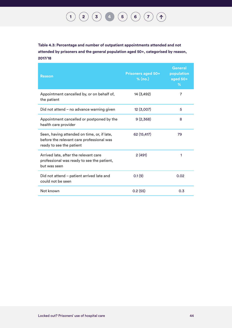**Table 4.3: Percentage and number of outpatient appointments attended and not attended by prisoners and the general population aged 50+, categorised by reason, 2017/18**

| <b>Reason</b>                                                                                                        | <b>Prisoners aged 50+</b><br>% (no.) | General<br>population<br>aged 50+<br>% |
|----------------------------------------------------------------------------------------------------------------------|--------------------------------------|----------------------------------------|
| Appointment cancelled by, or on behalf of,<br>the patient                                                            | 14 (3,492)                           | $\overline{7}$                         |
| Did not attend - no advance warning given                                                                            | 12(3,007)                            | 5                                      |
| Appointment cancelled or postponed by the<br>health care provider                                                    | 9(2,368)                             | 8                                      |
| Seen, having attended on time, or, if late,<br>before the relevant care professional was<br>ready to see the patient | 62 (15,417)                          | 79                                     |
| Arrived late, after the relevant care<br>professional was ready to see the patient,<br>but was seen                  | 2(491)                               | 1                                      |
| Did not attend – patient arrived late and<br>could not be seen                                                       | 0.1(9)                               | 0.02                                   |
| Not known                                                                                                            | 0.2(55)                              | 0.3                                    |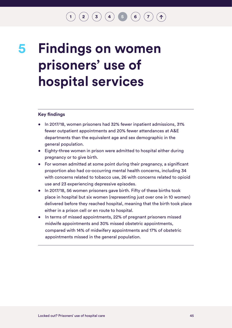$\binom{2}{\frac{3}{4}} \binom{4}{5} \binom{5}{6} \binom{7}{7}$  $\binom{2}{\frac{3}{4}} \binom{4}{5} \binom{5}{6} \binom{7}{7}$  $\binom{2}{\frac{3}{4}} \binom{4}{5} \binom{5}{6} \binom{7}{7}$  $\binom{2}{\frac{3}{4}} \binom{4}{5} \binom{5}{6} \binom{7}{7}$  $\binom{2}{\frac{3}{4}} \binom{4}{5} \binom{5}{6} \binom{7}{7}$  $\binom{2}{\frac{3}{4}} \binom{4}{5} \binom{5}{6} \binom{7}{7}$  $\binom{2}{\frac{3}{4}} \binom{4}{5} \binom{5}{6} \binom{7}{7}$  $\binom{2}{\frac{3}{4}} \binom{4}{5} \binom{5}{6} \binom{7}{7}$  $\binom{2}{\frac{3}{4}} \binom{4}{5} \binom{5}{6} \binom{7}{7}$  $\binom{2}{\frac{3}{4}} \binom{4}{5} \binom{5}{6} \binom{7}{7}$  $\binom{2}{\frac{3}{4}} \binom{4}{5} \binom{5}{6} \binom{7}{7}$  $\binom{2}{\frac{3}{4}} \binom{4}{5} \binom{5}{6} \binom{7}{7}$  $\binom{2}{\frac{3}{4}} \binom{4}{5} \binom{5}{6} \binom{7}{7}$ 

## **5**

# <span id="page-46-0"></span>**Findings on women prisoners' use of hospital services**

#### **Key findings**

- In 2017/18, women prisoners had 32% fewer inpatient admissions, 31% fewer outpatient appointments and 20% fewer attendances at A&E departments than the equivalent age and sex demographic in the general population.
- Eighty-three women in prison were admitted to hospital either during pregnancy or to give birth.
- For women admitted at some point during their pregnancy, a significant proportion also had co-occurring mental health concerns, including 34 with concerns related to tobacco use, 26 with concerns related to opioid use and 23 experiencing depressive episodes.
- In 2017/18, 56 women prisoners gave birth. Fifty of these births took place in hospital but six women (representing just over one in 10 women) delivered before they reached hospital, meaning that the birth took place either in a prison cell or en route to hospital.
- In terms of missed appointments, 22% of pregnant prisoners missed midwife appointments and 30% missed obstetric appointments, compared with 14% of midwifery appointments and 17% of obstetric appointments missed in the general population.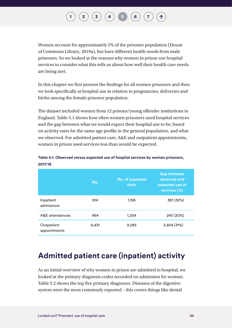## $\begin{pmatrix} \mathbf{2} \end{pmatrix} \begin{pmatrix} \mathbf{3} \end{pmatrix} \begin{pmatrix} \mathbf{4} \end{pmatrix} \begin{pmatrix} \mathbf{5} \end{pmatrix} \begin{pmatrix} \mathbf{6} \end{pmatrix}$  $\begin{pmatrix} \mathbf{2} \end{pmatrix} \begin{pmatrix} \mathbf{3} \end{pmatrix} \begin{pmatrix} \mathbf{4} \end{pmatrix} \begin{pmatrix} \mathbf{5} \end{pmatrix} \begin{pmatrix} \mathbf{6} \end{pmatrix}$  $\begin{pmatrix} \mathbf{2} \end{pmatrix} \begin{pmatrix} \mathbf{3} \end{pmatrix} \begin{pmatrix} \mathbf{4} \end{pmatrix} \begin{pmatrix} \mathbf{5} \end{pmatrix} \begin{pmatrix} \mathbf{6} \end{pmatrix}$  $\begin{pmatrix} \mathbf{2} \end{pmatrix} \begin{pmatrix} \mathbf{3} \end{pmatrix} \begin{pmatrix} \mathbf{4} \end{pmatrix} \begin{pmatrix} \mathbf{5} \end{pmatrix} \begin{pmatrix} \mathbf{6} \end{pmatrix}$  $\begin{pmatrix} \mathbf{2} \end{pmatrix} \begin{pmatrix} \mathbf{3} \end{pmatrix} \begin{pmatrix} \mathbf{4} \end{pmatrix} \begin{pmatrix} \mathbf{5} \end{pmatrix} \begin{pmatrix} \mathbf{6} \end{pmatrix}$  $\begin{pmatrix} \mathbf{2} \end{pmatrix} \begin{pmatrix} \mathbf{3} \end{pmatrix} \begin{pmatrix} \mathbf{4} \end{pmatrix} \begin{pmatrix} \mathbf{5} \end{pmatrix} \begin{pmatrix} \mathbf{6} \end{pmatrix}$  $\begin{pmatrix} \mathbf{2} \end{pmatrix} \begin{pmatrix} \mathbf{3} \end{pmatrix} \begin{pmatrix} \mathbf{4} \end{pmatrix} \begin{pmatrix} \mathbf{5} \end{pmatrix} \begin{pmatrix} \mathbf{6} \end{pmatrix}$  $\begin{pmatrix} \mathbf{2} \end{pmatrix} \begin{pmatrix} \mathbf{3} \end{pmatrix} \begin{pmatrix} \mathbf{4} \end{pmatrix} \begin{pmatrix} \mathbf{5} \end{pmatrix} \begin{pmatrix} \mathbf{6} \end{pmatrix}$  $\begin{pmatrix} \mathbf{2} \end{pmatrix} \begin{pmatrix} \mathbf{3} \end{pmatrix} \begin{pmatrix} \mathbf{4} \end{pmatrix} \begin{pmatrix} \mathbf{5} \end{pmatrix} \begin{pmatrix} \mathbf{6} \end{pmatrix}$  $\begin{pmatrix} \mathbf{2} \end{pmatrix} \begin{pmatrix} \mathbf{3} \end{pmatrix} \begin{pmatrix} \mathbf{4} \end{pmatrix} \begin{pmatrix} \mathbf{5} \end{pmatrix} \begin{pmatrix} \mathbf{6} \end{pmatrix}$  $\begin{pmatrix} \mathbf{2} \end{pmatrix} \begin{pmatrix} \mathbf{3} \end{pmatrix} \begin{pmatrix} \mathbf{4} \end{pmatrix} \begin{pmatrix} \mathbf{5} \end{pmatrix} \begin{pmatrix} \mathbf{6} \end{pmatrix}$

Women account for approximately 5% of the prisoner population (House of Commons Library, 2019a), but have different health needs from male prisoners. So we looked at the reasons why women in prison use hospital services to consider what this tells us about how well their health care needs are being met.

In this chapter we first present the findings for all women prisoners and then we look specifically at hospital use in relation to pregnancies, deliveries and births among the female prisoner population.

The dataset included women from 12 prisons/young offender institutions in England. Table 5.1 shows how often women prisoners used hospital services and the gap between what we would expect their hospital use to be, based on activity rates for the same age profile in the general population, and what we observed. For admitted patient care, A&E and outpatient appointments, women in prison used services less than would be expected.

|                            | No.   | No. of expected<br><b>visits</b> | <b>Gap between</b><br>observed and<br>expected use of<br>services (%) |
|----------------------------|-------|----------------------------------|-----------------------------------------------------------------------|
| Inpatient<br>admissions    | 814   | 1,195                            | 381 (32%)                                                             |
| A&E attendances            | 964   | 1,204                            | 240 (20%)                                                             |
| Outpatient<br>appointments | 6,431 | 9,285                            | 2,854(31%)                                                            |

**Table 5.1: Observed versus expected use of hospital services by women prisoners, 2017/18**

### **Admitted patient care (inpatient) activity**

As an initial overview of why women in prison are admitted to hospital, we looked at the primary diagnosis codes recorded on admission for women. Table 5.2 shows the top five primary diagnoses. Diseases of the digestive system were the most commonly reported – this covers things like dental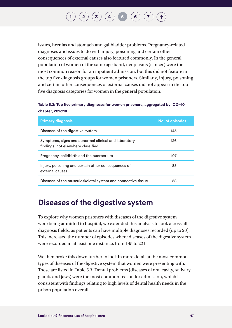issues, hernias and stomach and gallbladder problems. Pregnancy-related diagnoses and issues to do with injury, poisoning and certain other consequences of external causes also featured commonly. In the general population of women of the same age band, neoplasms (cancer) were the most common reason for an inpatient admission, but this did not feature in the top five diagnosis groups for women prisoners. Similarly, injury, poisoning and certain other consequences of external causes did not appear in the top five diagnosis categories for women in the general population.

#### **Table 5.2: Top five primary diagnoses for women prisoners, aggregated by ICD–10 chapter, 2017/18**

| <b>Primary diagnosis</b>                                                                   | No. of episodes |
|--------------------------------------------------------------------------------------------|-----------------|
| Diseases of the digestive system                                                           | 145             |
| Symptoms, signs and abnormal clinical and laboratory<br>findings, not elsewhere classified | 126             |
| Pregnancy, childbirth and the puerperium                                                   | 107             |
| Injury, poisoning and certain other consequences of<br>external causes                     | 88              |
| Diseases of the musculoskeletal system and connective tissue                               | 58              |

### **Diseases of the digestive system**

To explore why women prisoners with diseases of the digestive system were being admitted to hospital, we extended this analysis to look across all diagnosis fields, as patients can have multiple diagnoses recorded (up to 20). This increased the number of episodes where diseases of the digestive system were recorded in at least one instance, from 145 to 221.

We then broke this down further to look in more detail at the most common types of diseases of the digestive system that women were presenting with. These are listed in Table 5.3. Dental problems (diseases of oral cavity, salivary glands and jaws) were the most common reason for admission, which is consistent with findings relating to high levels of dental health needs in the prison population overall.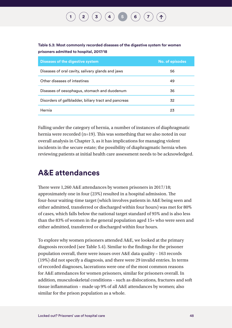## $\binom{2}{\phantom{1}}\binom{3}{\phantom{1}}\binom{4}{\phantom{1}}$  $\binom{2}{\phantom{1}}\binom{3}{\phantom{1}}\binom{4}{\phantom{1}}$  $\binom{2}{\phantom{1}}\binom{3}{\phantom{1}}\binom{4}{\phantom{1}}$  $\binom{2}{\phantom{1}}\binom{3}{\phantom{1}}\binom{4}{\phantom{1}}$  $\binom{2}{\phantom{1}}\binom{3}{\phantom{1}}\binom{4}{\phantom{1}}$  $\binom{2}{\phantom{1}}\binom{3}{\phantom{1}}\binom{4}{\phantom{1}}$  $\binom{2}{\phantom{1}}\binom{3}{\phantom{1}}\binom{4}{\phantom{1}}$  **[5](#page-46-0)**  $\binom{6}{\phantom{1}}$  $\binom{6}{\phantom{1}}$  $\binom{6}{\phantom{1}}$

#### **Table 5.3: Most commonly recorded diseases of the digestive system for women prisoners admitted to hospital, 2017/18**

| <b>Diseases of the digestive system</b>              | No. of episodes |
|------------------------------------------------------|-----------------|
| Diseases of oral cavity, salivary glands and jaws    | 56              |
| Other diseases of intestines                         | 49              |
| Diseases of oesophagus, stomach and duodenum         | 36              |
| Disorders of gallbladder, biliary tract and pancreas | 32              |
| Hernia                                               | 23              |

Falling under the category of hernia, a number of instances of diaphragmatic hernia were recorded  $(n=19)$ . This was something that we also noted in our overall analysis in Chapter 3, as it has implications for managing violent incidents in the secure estate; the possibility of diaphragmatic hernia when reviewing patients at initial health care assessment needs to be acknowledged.

### **A&E attendances**

There were 1,260 A&E attendances by women prisoners in 2017/18; approximately one in four (23%) resulted in a hospital admission. The four-hour waiting-time target (which involves patients in A&E being seen and either admitted, transferred or discharged within four hours) was met for 80% of cases, which falls below the national target standard of 95% and is also less than the 83% of women in the general population aged 15+ who were seen and either admitted, transferred or discharged within four hours.

To explore why women prisoners attended A&E, we looked at the primary diagnosis recorded (see Table 5.4). Similar to the findings for the prisoner population overall, there were issues over A&E data quality – 163 records (19%) did not specify a diagnosis, and there were 29 invalid entries. In terms of recorded diagnoses, lacerations were one of the most common reasons for A&E attendances for women prisoners, similar for prisoners overall. In addition, musculoskeletal conditions – such as dislocations, fractures and soft tissue inflammation – made up 9% of all A&E attendances by women; also similar for the prison population as a whole.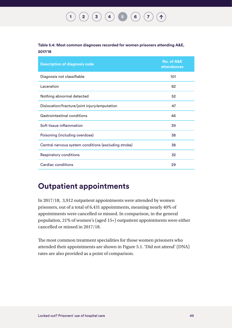#### **[1](#page-8-0) [2](#page-15-0) [3](#page-20-0) [4](#page-43-0) [5](#page-46-0) [6](#page-57-0) [7](#page-67-0)**  $(1)$

#### **Table 5.4: Most common diagnoses recorded for women prisoners attending A&E, 2017/18**

| <b>Description of diagnosis code</b>                 | No. of A&E<br><b>attendances</b> |
|------------------------------------------------------|----------------------------------|
| Diagnosis not classifiable                           | 101                              |
| Laceration                                           | 82                               |
| Nothing abnormal detected                            | 52                               |
| Dislocation/fracture/joint injury/amputation         | 47                               |
| Gastrointestinal conditions                          | 46                               |
| Soft tissue inflammation                             | 39                               |
| Poisoning (including overdose)                       | 38                               |
| Central nervous system conditions (excluding stroke) | 38                               |
| <b>Respiratory conditions</b>                        | 32                               |
| Cardiac conditions                                   | 29                               |

### **Outpatient appointments**

In 2017/18, 3,912 outpatient appointments were attended by women prisoners, out of a total of 6,431 appointments, meaning nearly 40% of appointments were cancelled or missed. In comparison, in the general population, 21% of women's (aged 15+) outpatient appointments were either cancelled or missed in 2017/18.

The most common treatment specialities for those women prisoners who attended their appointments are shown in Figure 5.1. 'Did not attend' (DNA) rates are also provided as a point of comparison.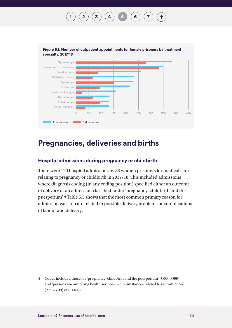

### **Pregnancies, deliveries and births**

#### **Hospital admissions during pregnancy or childbirth**

There were 120 hospital admissions by 83 women prisoners for medical care relating to pregnancy or childbirth in 2017/18. This included admissions where diagnosis coding (in any coding position) specified either an outcome of delivery or an admission classified under 'pregnancy, childbirth and the puerperium'.**4** Table 5.5 shows that the most common primary reason for admission was for care related to possible delivery problems or complications of labour and delivery.

4 Codes included those for 'pregnancy, childbirth and the puerperium' (O00 – O99) and 'persons encountering health services in circumstances related to reproduction' (Z32 – Z39) of ICD–10.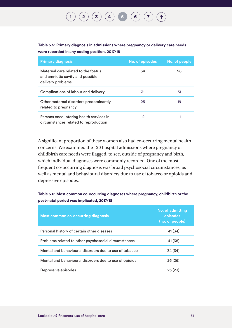#### **Table 5.5: Primary diagnosis in admissions where pregnancy or delivery care needs were recorded in any coding position, 2017/18**

| <b>Primary diagnosis</b>                                                                     | <b>No. of episodes</b> | No. of people |
|----------------------------------------------------------------------------------------------|------------------------|---------------|
| Maternal care related to the foetus<br>and amniotic cavity and possible<br>delivery problems | 34                     | 26            |
| Complications of labour and delivery                                                         | 31                     | 31            |
| Other maternal disorders predominantly<br>related to pregnancy                               | 25                     | 19            |
| Persons encountering health services in<br>circumstances related to reproduction             | $12 \,$                | 11            |

A significant proportion of these women also had co-occurring mental health concerns. We examined the 120 hospital admissions where pregnancy or childbirth care needs were flagged, to see, outside of pregnancy and birth, which individual diagnoses were commonly recorded. One of the most frequent co-occurring diagnosis was broad psychosocial circumstances, as well as mental and behavioural disorders due to use of tobacco or opioids and depressive episodes.

#### **Table 5.6: Most common co-occurring diagnoses where pregnancy, childbirth or the post-natal period was implicated, 2017/18**

| <b>Most common co-occurring diagnosis</b>              | <b>No. of admitting</b><br>episodes<br>(no. of people) |
|--------------------------------------------------------|--------------------------------------------------------|
| Personal history of certain other diseases             | 41 (34)                                                |
| Problems related to other psychosocial circumstances   | 41 (38)                                                |
| Mental and behavioural disorders due to use of tobacco | 34 (34)                                                |
| Mental and behavioural disorders due to use of opioids | 26(26)                                                 |
| Depressive episodes                                    | 23(23)                                                 |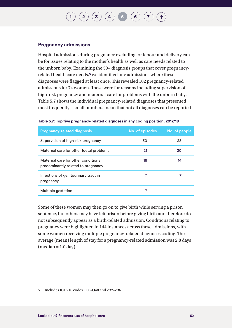## $\begin{pmatrix} \mathbf{2} \end{pmatrix} \begin{pmatrix} \mathbf{3} \end{pmatrix} \begin{pmatrix} \mathbf{4} \end{pmatrix} \begin{pmatrix} \mathbf{5} \end{pmatrix} \begin{pmatrix} \mathbf{6} \end{pmatrix}$  $\begin{pmatrix} \mathbf{2} \end{pmatrix} \begin{pmatrix} \mathbf{3} \end{pmatrix} \begin{pmatrix} \mathbf{4} \end{pmatrix} \begin{pmatrix} \mathbf{5} \end{pmatrix} \begin{pmatrix} \mathbf{6} \end{pmatrix}$  $\begin{pmatrix} \mathbf{2} \end{pmatrix} \begin{pmatrix} \mathbf{3} \end{pmatrix} \begin{pmatrix} \mathbf{4} \end{pmatrix} \begin{pmatrix} \mathbf{5} \end{pmatrix} \begin{pmatrix} \mathbf{6} \end{pmatrix}$  $\begin{pmatrix} \mathbf{2} \end{pmatrix} \begin{pmatrix} \mathbf{3} \end{pmatrix} \begin{pmatrix} \mathbf{4} \end{pmatrix} \begin{pmatrix} \mathbf{5} \end{pmatrix} \begin{pmatrix} \mathbf{6} \end{pmatrix}$  $\begin{pmatrix} \mathbf{2} \end{pmatrix} \begin{pmatrix} \mathbf{3} \end{pmatrix} \begin{pmatrix} \mathbf{4} \end{pmatrix} \begin{pmatrix} \mathbf{5} \end{pmatrix} \begin{pmatrix} \mathbf{6} \end{pmatrix}$  $\begin{pmatrix} \mathbf{2} \end{pmatrix} \begin{pmatrix} \mathbf{3} \end{pmatrix} \begin{pmatrix} \mathbf{4} \end{pmatrix} \begin{pmatrix} \mathbf{5} \end{pmatrix} \begin{pmatrix} \mathbf{6} \end{pmatrix}$  $\begin{pmatrix} \mathbf{2} \end{pmatrix} \begin{pmatrix} \mathbf{3} \end{pmatrix} \begin{pmatrix} \mathbf{4} \end{pmatrix} \begin{pmatrix} \mathbf{5} \end{pmatrix} \begin{pmatrix} \mathbf{6} \end{pmatrix}$  $\begin{pmatrix} \mathbf{2} \end{pmatrix} \begin{pmatrix} \mathbf{3} \end{pmatrix} \begin{pmatrix} \mathbf{4} \end{pmatrix} \begin{pmatrix} \mathbf{5} \end{pmatrix} \begin{pmatrix} \mathbf{6} \end{pmatrix}$  $\begin{pmatrix} \mathbf{2} \end{pmatrix} \begin{pmatrix} \mathbf{3} \end{pmatrix} \begin{pmatrix} \mathbf{4} \end{pmatrix} \begin{pmatrix} \mathbf{5} \end{pmatrix} \begin{pmatrix} \mathbf{6} \end{pmatrix}$  $\begin{pmatrix} \mathbf{2} \end{pmatrix} \begin{pmatrix} \mathbf{3} \end{pmatrix} \begin{pmatrix} \mathbf{4} \end{pmatrix} \begin{pmatrix} \mathbf{5} \end{pmatrix} \begin{pmatrix} \mathbf{6} \end{pmatrix}$  $\begin{pmatrix} \mathbf{2} \end{pmatrix} \begin{pmatrix} \mathbf{3} \end{pmatrix} \begin{pmatrix} \mathbf{4} \end{pmatrix} \begin{pmatrix} \mathbf{5} \end{pmatrix} \begin{pmatrix} \mathbf{6} \end{pmatrix}$

#### **Pregnancy admissions**

Hospital admissions during pregnancy excluding for labour and delivery can be for issues relating to the mother's health as well as care needs related to the unborn baby. Examining the 50+ diagnosis groups that cover pregnancyrelated health care needs,**5** we identified any admissions where these diagnoses were flagged at least once. This revealed 102 pregnancy-related admissions for 74 women. These were for reasons including supervision of high-risk pregnancy and maternal care for problems with the unborn baby. Table 5.7 shows the individual pregnancy-related diagnoses that presented most frequently – small numbers mean that not all diagnoses can be reported.

| <b>Pregnancy-related diagnosis</b>                                       | No. of episodes | No. of people |
|--------------------------------------------------------------------------|-----------------|---------------|
| Supervision of high-risk pregnancy                                       | 30              | 28            |
| Maternal care for other foetal problems                                  | 21              | 20            |
| Maternal care for other conditions<br>predominantly related to pregnancy | 18              | 14            |
| Infections of genitourinary tract in<br>pregnancy                        | 7               |               |
| Multiple gestation                                                       | 7               |               |

#### **Table 5.7: Top five pregnancy-related diagnoses in any coding position, 2017/18**

Some of these women may then go on to give birth while serving a prison sentence, but others may have left prison before giving birth and therefore do not subsequently appear as a birth-related admission. Conditions relating to pregnancy were highlighted in 144 instances across these admissions, with some women receiving multiple pregnancy-related diagnoses coding. The average (mean) length of stay for a pregnancy-related admission was 2.8 days  $(median = 1.0 day).$ 

5 Includes ICD–10 codes O00–O48 and Z32–Z36.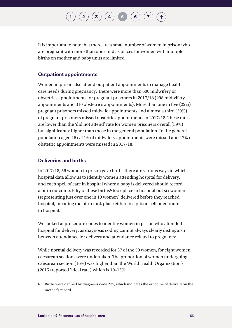## $\begin{pmatrix} \mathbf{2} \end{pmatrix} \begin{pmatrix} \mathbf{3} \end{pmatrix} \begin{pmatrix} \mathbf{4} \end{pmatrix} \begin{pmatrix} \mathbf{5} \end{pmatrix} \begin{pmatrix} \mathbf{6} \end{pmatrix}$  $\begin{pmatrix} \mathbf{2} \end{pmatrix} \begin{pmatrix} \mathbf{3} \end{pmatrix} \begin{pmatrix} \mathbf{4} \end{pmatrix} \begin{pmatrix} \mathbf{5} \end{pmatrix} \begin{pmatrix} \mathbf{6} \end{pmatrix}$  $\begin{pmatrix} \mathbf{2} \end{pmatrix} \begin{pmatrix} \mathbf{3} \end{pmatrix} \begin{pmatrix} \mathbf{4} \end{pmatrix} \begin{pmatrix} \mathbf{5} \end{pmatrix} \begin{pmatrix} \mathbf{6} \end{pmatrix}$  $\begin{pmatrix} \mathbf{2} \end{pmatrix} \begin{pmatrix} \mathbf{3} \end{pmatrix} \begin{pmatrix} \mathbf{4} \end{pmatrix} \begin{pmatrix} \mathbf{5} \end{pmatrix} \begin{pmatrix} \mathbf{6} \end{pmatrix}$  $\begin{pmatrix} \mathbf{2} \end{pmatrix} \begin{pmatrix} \mathbf{3} \end{pmatrix} \begin{pmatrix} \mathbf{4} \end{pmatrix} \begin{pmatrix} \mathbf{5} \end{pmatrix} \begin{pmatrix} \mathbf{6} \end{pmatrix}$  $\begin{pmatrix} \mathbf{2} \end{pmatrix} \begin{pmatrix} \mathbf{3} \end{pmatrix} \begin{pmatrix} \mathbf{4} \end{pmatrix} \begin{pmatrix} \mathbf{5} \end{pmatrix} \begin{pmatrix} \mathbf{6} \end{pmatrix}$  $\begin{pmatrix} \mathbf{2} \end{pmatrix} \begin{pmatrix} \mathbf{3} \end{pmatrix} \begin{pmatrix} \mathbf{4} \end{pmatrix} \begin{pmatrix} \mathbf{5} \end{pmatrix} \begin{pmatrix} \mathbf{6} \end{pmatrix}$  $\begin{pmatrix} \mathbf{2} \end{pmatrix} \begin{pmatrix} \mathbf{3} \end{pmatrix} \begin{pmatrix} \mathbf{4} \end{pmatrix} \begin{pmatrix} \mathbf{5} \end{pmatrix} \begin{pmatrix} \mathbf{6} \end{pmatrix}$  $\begin{pmatrix} \mathbf{2} \end{pmatrix} \begin{pmatrix} \mathbf{3} \end{pmatrix} \begin{pmatrix} \mathbf{4} \end{pmatrix} \begin{pmatrix} \mathbf{5} \end{pmatrix} \begin{pmatrix} \mathbf{6} \end{pmatrix}$  $\begin{pmatrix} \mathbf{2} \end{pmatrix} \begin{pmatrix} \mathbf{3} \end{pmatrix} \begin{pmatrix} \mathbf{4} \end{pmatrix} \begin{pmatrix} \mathbf{5} \end{pmatrix} \begin{pmatrix} \mathbf{6} \end{pmatrix}$  $\begin{pmatrix} \mathbf{2} \end{pmatrix} \begin{pmatrix} \mathbf{3} \end{pmatrix} \begin{pmatrix} \mathbf{4} \end{pmatrix} \begin{pmatrix} \mathbf{5} \end{pmatrix} \begin{pmatrix} \mathbf{6} \end{pmatrix}$

It is important to note that there are a small number of women in prison who are pregnant with more than one child as places for women with multiple births on mother and baby units are limited.

#### **Outpatient appointments**

Women in prison also attend outpatient appointments to manage health care needs during pregnancy. There were more than 600 midwifery or obstetrics appointments for pregnant prisoners in 2017/18 (298 midwifery appointments and 310 obstetrics appointments). More than one in five (22%) pregnant prisoners missed midwife appointments and almost a third (30%) of pregnant prisoners missed obstetric appointments in 2017/18. These rates are lower than the 'did not attend' rate for women prisoners overall (39%) but significantly higher than those in the general population. In the general population aged 15+, 14% of midwifery appointments were missed and 17% of obstetric appointments were missed in 2017/18.

#### **Deliveries and births**

In 2017/18, 56 women in prison gave birth. There are various ways in which hospital data allow us to identify women attending hospital for delivery, and each spell of care in hospital where a baby is delivered should record a birth outcome. Fifty of these births**6** took place in hospital but six women (representing just over one in 10 women) delivered before they reached hospital, meaning the birth took place either in a prison cell or en route to hospital.

We looked at procedure codes to identify women in prison who attended hospital for delivery, as diagnosis coding cannot always clearly distinguish between attendance for delivery and attendance related to pregnancy.

While normal delivery was recorded for 37 of the 50 women, for eight women, caesarean sections were undertaken. The proportion of women undergoing caesarean section (16%) was higher than the World Health Organization's (2015) reported 'ideal rate', which is 10–15%.

6 Births were defined by diagnosis code Z37, which indicates the outcome of delivery on the mother's record.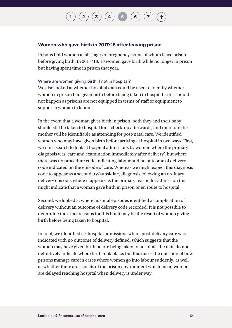## $\binom{2}{3}$  $\binom{2}{3}$  $\binom{2}{3}$  $\binom{2}{3}$  $\binom{2}{3}$   $\binom{3}{4}$  $\binom{3}{4}$  $\binom{3}{4}$  **[5](#page-46-0) [6](#page-57-0) [7](#page-67-0)**

#### **Women who gave birth in 2017/18 after leaving prison**

Prisons hold women at all stages of pregnancy, some of whom leave prison before giving birth. In 2017/18, 10 women gave birth while no longer in prison but having spent time in prison that year.

#### Where are women giving birth if not in hospital?

We also looked at whether hospital data could be used to identify whether women in prison had given birth before being taken to hospital – this should not happen as prisons are not equipped in terms of staff or equipment to support a woman in labour.

In the event that a woman gives birth in prison, both they and their baby should still be taken to hospital for a check-up afterwards, and therefore the mother will be identifiable as attending for post-natal care. We identified women who may have given birth before arriving at hospital in two ways. First, we ran a search to look at hospital admissions by women where the primary diagnosis was 'care and examination immediately after delivery', but where there was no procedure code indicating labour and no outcome of delivery code indicated on the episode of care. Whereas we might expect this diagnosis code to appear as a secondary/subsidiary diagnosis following an ordinary delivery episode, where it appears as the primary reason for admission this might indicate that a woman gave birth in prison or en route to hospital.

Second, we looked at where hospital episodes identified a complication of delivery without an outcome of delivery code recorded. It is not possible to determine the exact reasons for this but it may be the result of women giving birth before being taken to hospital.

In total, we identified six hospital admissions where post-delivery care was indicated with no outcome of delivery defined, which suggests that the women may have given birth before being taken to hospital. The data do not definitively indicate where birth took place, but this raises the question of how prisons manage care in cases where women go into labour suddenly, as well as whether there are aspects of the prison environment which mean women are delayed reaching hospital when delivery is under way.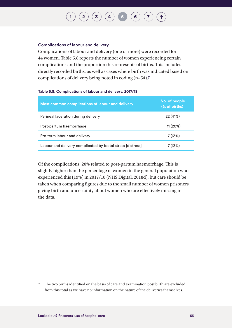#### Complications of labour and delivery

Complications of labour and delivery (one or more) were recorded for 44 women. Table 5.8 reports the number of women experiencing certain complications and the proportion this represents of births. This includes directly recorded births, as well as cases where birth was indicated based on complications of delivery being noted in coding (n=54).**7**

#### **Table 5.8: Complications of labour and delivery, 2017/18**

| Most common complications of labour and delivery            | No. of people<br>(% of births) |
|-------------------------------------------------------------|--------------------------------|
| Perineal laceration during delivery                         | 22 (41%)                       |
| Post-partum haemorrhage                                     | 11(20%)                        |
| Pre-term labour and delivery                                | 7(13%)                         |
| Labour and delivery complicated by foetal stress [distress] | 7 (13%)                        |

Of the complications, 20% related to post-partum haemorrhage. This is slightly higher than the percentage of women in the general population who experienced this (19%) in 2017/18 (NHS Digital, 2018d), but care should be taken when comparing figures due to the small number of women prisoners giving birth and uncertainty about women who are effectively missing in the data.

7 The two births identified on the basis of care and examination post birth are excluded from this total as we have no information on the nature of the deliveries themselves.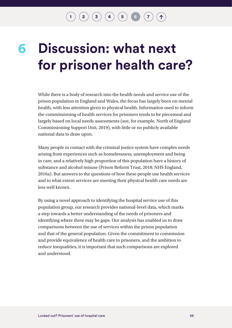$\binom{2}{3}$  $\binom{2}{3}$  $\binom{2}{3}$  $\binom{2}{3}$  $\binom{2}{3}$   $\binom{3}{4}$  $\binom{3}{4}$  $\binom{3}{4}$   $\binom{5}{5}$  $\binom{5}{5}$  $\binom{5}{5}$   $\binom{6}{7}$  $\binom{6}{7}$  $\binom{6}{7}$  $\binom{6}{7}$  $\binom{6}{7}$ 

## <span id="page-57-0"></span>**Discussion: what next for prisoner health care? 6**

While there is a body of research into the health needs and service use of the prison population in England and Wales, the focus has largely been on mental health, with less attention given to physical health. Information used to inform the commissioning of health services for prisoners tends to be piecemeal and largely based on local needs assessments (see, for example, North of England Commissioning Support Unit, 2019), with little or no publicly available national data to draw upon.

Many people in contact with the criminal justice system have complex needs arising from experiences such as homelessness, unemployment and being in care, and a relatively high proportion of this population have a history of substance and alcohol misuse (Prison Reform Trust, 2018; NHS England, 2016a). But answers to the questions of how these people use health services and to what extent services are meeting their physical health care needs are less well known.

By using a novel approach to identifying the hospital service use of this population group, our research provides national-level data, which marks a step towards a better understanding of the needs of prisoners and identifying where there may be gaps. Our analysis has enabled us to draw comparisons between the use of services within the prison population and that of the general population. Given the commitment to commission and provide equivalence of health care to prisoners, and the ambition to reduce inequalities, it is important that such comparisons are explored and understood.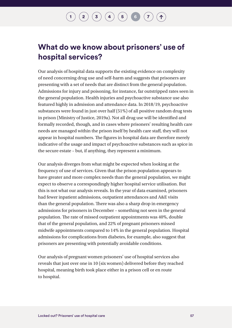### **What do we know about prisoners' use of hospital services?**

Our analysis of hospital data supports the existing evidence on complexity of need concerning drug use and self-harm and suggests that prisoners are presenting with a set of needs that are distinct from the general population. Admissions for injury and poisoning, for instance, far outstripped rates seen in the general population. Health injuries and psychoactive substance use also featured highly in admission and attendance data. In 2018/19, psychoactive substances were found in just over half (51%) of all positive random drug tests in prison (Ministry of Justice, 2019a). Not all drug use will be identified and formally recorded, though, and in cases where prisoners' resulting health care needs are managed within the prison itself by health care staff, they will not appear in hospital numbers. The figures in hospital data are therefore merely indicative of the usage and impact of psychoactive substances such as spice in the secure estate – but, if anything, they represent a minimum.

Our analysis diverges from what might be expected when looking at the frequency of use of services. Given that the prison population appears to have greater and more complex needs than the general population, we might expect to observe a correspondingly higher hospital service utilisation. But this is not what our analysis reveals. In the year of data examined, prisoners had fewer inpatient admissions, outpatient attendances and A&E visits than the general population. There was also a sharp drop in emergency admissions for prisoners in December – something not seen in the general population. The rate of missed outpatient appointments was 40%, double that of the general population, and 22% of pregnant prisoners missed midwife appointments compared to 14% in the general population. Hospital admissions for complications from diabetes, for example, also suggest that prisoners are presenting with potentially avoidable conditions.

Our analysis of pregnant women prisoners' use of hospital services also reveals that just over one in 10 (six women) delivered before they reached hospital, meaning birth took place either in a prison cell or en route to hospital.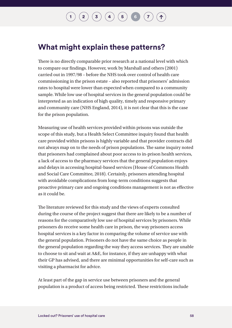## $\binom{2}{\frac{3}{4}}\binom{4}{4}\binom{5}{5}$  $\binom{2}{\frac{3}{4}}\binom{4}{4}\binom{5}{5}$  $\binom{2}{\frac{3}{4}}\binom{4}{4}\binom{5}{5}$  $\binom{2}{\frac{3}{4}}\binom{4}{4}\binom{5}{5}$  $\binom{2}{\frac{3}{4}}\binom{4}{4}\binom{5}{5}$  $\binom{2}{\frac{3}{4}}\binom{4}{4}\binom{5}{5}$  $\binom{2}{\frac{3}{4}}\binom{4}{4}\binom{5}{5}$  $\binom{2}{\frac{3}{4}}\binom{4}{4}\binom{5}{5}$  $\binom{2}{\frac{3}{4}}\binom{4}{4}\binom{5}{5}$

### **What might explain these patterns?**

There is no directly comparable prior research at a national level with which to compare our findings. However, work by Marshall and others (2001) carried out in 1997/98 – before the NHS took over control of health care commissioning in the prison estate – also reported that prisoners' admission rates to hospital were lower than expected when compared to a community sample. While low use of hospital services in the general population could be interpreted as an indication of high quality, timely and responsive primary and community care (NHS England, 2014), it is not clear that this is the case for the prison population.

Measuring use of health services provided within prisons was outside the scope of this study, but a Health Select Committee inquiry found that health care provided within prisons is highly variable and that provider contracts did not always map on to the needs of prison populations. The same inquiry noted that prisoners had complained about poor access to in-prison health services, a lack of access to the pharmacy services that the general population enjoys and delays in accessing hospital-based services (House of Commons Health and Social Care Committee, 2018). Certainly, prisoners attending hospital with avoidable complications from long-term conditions suggests that proactive primary care and ongoing conditions management is not as effective as it could be.

The literature reviewed for this study and the views of experts consulted during the course of the project suggest that there are likely to be a number of reasons for the comparatively low use of hospital services by prisoners. While prisoners do receive some health care in prison, the way prisoners access hospital services is a key factor in comparing the volume of service use with the general population. Prisoners do not have the same choice as people in the general population regarding the way they access services. They are unable to choose to sit and wait at A&E, for instance, if they are unhappy with what their GP has advised, and there are minimal opportunities for self-care such as visiting a pharmacist for advice.

At least part of the gap in service use between prisoners and the general population is a product of access being restricted. These restrictions include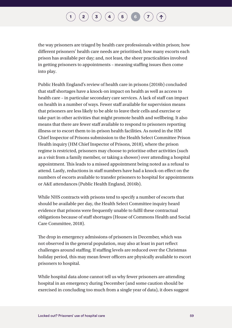## $\binom{2}{3}$  $\binom{2}{3}$  $\binom{2}{3}$  $\binom{2}{3}$  $\binom{2}{3}$   $\binom{3}{4}$  $\binom{3}{4}$  $\binom{3}{4}$   $\binom{5}{5}$  $\binom{5}{5}$  $\binom{5}{5}$   $\binom{6}{7}$  $\binom{6}{7}$  $\binom{6}{7}$  $\binom{6}{7}$  $\binom{6}{7}$

the way prisoners are triaged by health care professionals within prison; how different prisoners' health care needs are prioritised; how many escorts each prison has available per day; and, not least, the sheer practicalities involved in getting prisoners to appointments – meaning staffing issues then come into play.

Public Health England's review of health care in prisons (2016b) concluded that staff shortages have a knock-on impact on health as well as access to health care – in particular secondary care services. A lack of staff can impact on health in a number of ways. Fewer staff available for supervision means that prisoners are less likely to be able to leave their cells and exercise or take part in other activities that might promote health and wellbeing. It also means that there are fewer staff available to respond to prisoners reporting illness or to escort them to in-prison health facilities. As noted in the HM Chief Inspector of Prisons submission to the Health Select Committee Prison Health inquiry (HM Chief Inspector of Prisons, 2018), where the prison regime is restricted, prisoners may choose to prioritise other activities (such as a visit from a family member, or taking a shower) over attending a hospital appointment. This leads to a missed appointment being noted as a refusal to attend. Lastly, reductions in staff numbers have had a knock-on effect on the numbers of escorts available to transfer prisoners to hospital for appointments or A&E attendances (Public Health England, 2016b).

While NHS contracts with prisons tend to specify a number of escorts that should be available per day, the Health Select Committee inquiry heard evidence that prisons were frequently unable to fulfil these contractual obligations because of staff shortages (House of Commons Health and Social Care Committee, 2018).

The drop in emergency admissions of prisoners in December, which was not observed in the general population, may also at least in part reflect challenges around staffing. If staffing levels are reduced over the Christmas holiday period, this may mean fewer officers are physically available to escort prisoners to hospital.

While hospital data alone cannot tell us why fewer prisoners are attending hospital in an emergency during December (and some caution should be exercised in concluding too much from a single year of data), it does suggest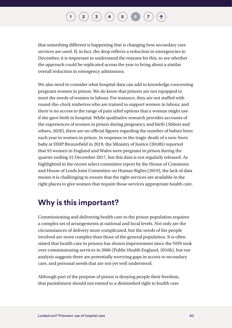## $\binom{2}{3}$  $\binom{2}{3}$  $\binom{2}{3}$  $\binom{2}{3}$  $\binom{2}{3}$   $\binom{3}{4}$  $\binom{3}{4}$  $\binom{3}{4}$   $\binom{5}{5}$  $\binom{5}{5}$  $\binom{5}{5}$   $\binom{6}{7}$  $\binom{6}{7}$  $\binom{6}{7}$  $\binom{6}{7}$  $\binom{6}{7}$

that something different is happening that is changing how secondary care services are used. If, in fact, the drop reflects a reduction in emergencies in December, it is important to understand the reasons for this, to see whether the approach could be replicated across the year to bring about a similar overall reduction in emergency admissions.

We also need to consider what hospital data can add to knowledge concerning pregnant women in prison. We do know that prisons are not equipped to meet the needs of women in labour. For instance, they are not staffed with round-the-clock midwives who are trained to support women in labour, and there is no access to the range of pain relief options that a woman might use if she gave birth in hospital. While qualitative research provides accounts of the experiences of women in prison during pregnancy and birth (Abbott and others, 2020), there are no official figures regarding the number of babies born each year to women in prison. In response to the tragic death of a new-born baby at HMP Bronzefield in 2019, the Ministry of Justice (2018b) reported that 93 women in England and Wales were pregnant in prison during the quarter ending 31 December 2017, but this data is not regularly released. As highlighted in the recent select committee report by the House of Commons and House of Lords Joint Committee on Human Rights (2019), the lack of data means it is challenging to ensure that the right services are available in the right places to give women that require those services appropriate health care.

### **Why is this important?**

Commissioning and delivering health care to the prison population requires a complex set of arrangements at national and local levels. Not only are the circumstances of delivery more complicated, but the needs of the people involved are more complex than those of the general population. It is often stated that health care in prisons has shown improvement since the NHS took over commissioning services in 2006 (Public Health England, 2016b), but our analysis suggests there are potentially worrying gaps in access to secondary care, and personal needs that are not yet well understood.

Although part of the purpose of prison is denying people their freedom, that punishment should not extend to a diminished right to health care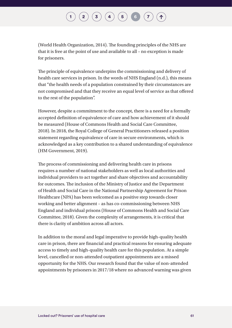(World Health Organization, 2014). The founding principles of the NHS are that it is free at the point of use and available to all – no exception is made for prisoners.

The principle of equivalence underpins the commissioning and delivery of health care services in prison. In the words of NHS England (n.d.), this means that "the health needs of a population constrained by their circumstances are not compromised and that they receive an equal level of service as that offered to the rest of the population".

However, despite a commitment to the concept, there is a need for a formally accepted definition of equivalence of care and how achievement of it should be measured (House of Commons Health and Social Care Committee, 2018). In 2018, the Royal College of General Practitioners released a position statement regarding equivalence of care in secure environments, which is acknowledged as a key contribution to a shared understanding of equivalence (HM Government, 2019).

The process of commissioning and delivering health care in prisons requires a number of national stakeholders as well as local authorities and individual providers to act together and share objectives and accountability for outcomes. The inclusion of the Ministry of Justice and the Department of Health and Social Care in the National Partnership Agreement for Prison Healthcare (NPA) has been welcomed as a positive step towards closer working and better alignment – as has co-commissioning between NHS England and individual prisons (House of Commons Health and Social Care Committee, 2018). Given the complexity of arrangements, it is critical that there is clarity of ambition across all actors.

In addition to the moral and legal imperative to provide high-quality health care in prison, there are financial and practical reasons for ensuring adequate access to timely and high-quality health care for this population. At a simple level, cancelled or non-attended outpatient appointments are a missed opportunity for the NHS. Our research found that the value of non-attended appointments by prisoners in 2017/18 where no advanced warning was given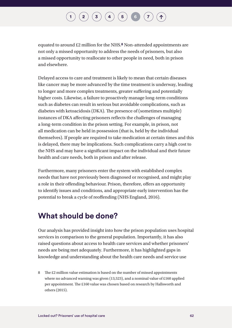## $\begin{pmatrix} \mathbf{2} \end{pmatrix} \begin{pmatrix} \mathbf{3} \end{pmatrix} \begin{pmatrix} \mathbf{4} \end{pmatrix} \begin{pmatrix} \mathbf{5} \end{pmatrix} \begin{pmatrix} \mathbf{6} \end{pmatrix}$  $\begin{pmatrix} \mathbf{2} \end{pmatrix} \begin{pmatrix} \mathbf{3} \end{pmatrix} \begin{pmatrix} \mathbf{4} \end{pmatrix} \begin{pmatrix} \mathbf{5} \end{pmatrix} \begin{pmatrix} \mathbf{6} \end{pmatrix}$  $\begin{pmatrix} \mathbf{2} \end{pmatrix} \begin{pmatrix} \mathbf{3} \end{pmatrix} \begin{pmatrix} \mathbf{4} \end{pmatrix} \begin{pmatrix} \mathbf{5} \end{pmatrix} \begin{pmatrix} \mathbf{6} \end{pmatrix}$  $\begin{pmatrix} \mathbf{2} \end{pmatrix} \begin{pmatrix} \mathbf{3} \end{pmatrix} \begin{pmatrix} \mathbf{4} \end{pmatrix} \begin{pmatrix} \mathbf{5} \end{pmatrix} \begin{pmatrix} \mathbf{6} \end{pmatrix}$  $\begin{pmatrix} \mathbf{2} \end{pmatrix} \begin{pmatrix} \mathbf{3} \end{pmatrix} \begin{pmatrix} \mathbf{4} \end{pmatrix} \begin{pmatrix} \mathbf{5} \end{pmatrix} \begin{pmatrix} \mathbf{6} \end{pmatrix}$  $\begin{pmatrix} \mathbf{2} \end{pmatrix} \begin{pmatrix} \mathbf{3} \end{pmatrix} \begin{pmatrix} \mathbf{4} \end{pmatrix} \begin{pmatrix} \mathbf{5} \end{pmatrix} \begin{pmatrix} \mathbf{6} \end{pmatrix}$  $\begin{pmatrix} \mathbf{2} \end{pmatrix} \begin{pmatrix} \mathbf{3} \end{pmatrix} \begin{pmatrix} \mathbf{4} \end{pmatrix} \begin{pmatrix} \mathbf{5} \end{pmatrix} \begin{pmatrix} \mathbf{6} \end{pmatrix}$  $\begin{pmatrix} \mathbf{2} \end{pmatrix} \begin{pmatrix} \mathbf{3} \end{pmatrix} \begin{pmatrix} \mathbf{4} \end{pmatrix} \begin{pmatrix} \mathbf{5} \end{pmatrix} \begin{pmatrix} \mathbf{6} \end{pmatrix}$  $\begin{pmatrix} \mathbf{2} \end{pmatrix} \begin{pmatrix} \mathbf{3} \end{pmatrix} \begin{pmatrix} \mathbf{4} \end{pmatrix} \begin{pmatrix} \mathbf{5} \end{pmatrix} \begin{pmatrix} \mathbf{6} \end{pmatrix}$  $\begin{pmatrix} \mathbf{2} \end{pmatrix} \begin{pmatrix} \mathbf{3} \end{pmatrix} \begin{pmatrix} \mathbf{4} \end{pmatrix} \begin{pmatrix} \mathbf{5} \end{pmatrix} \begin{pmatrix} \mathbf{6} \end{pmatrix}$  $\begin{pmatrix} \mathbf{2} \end{pmatrix} \begin{pmatrix} \mathbf{3} \end{pmatrix} \begin{pmatrix} \mathbf{4} \end{pmatrix} \begin{pmatrix} \mathbf{5} \end{pmatrix} \begin{pmatrix} \mathbf{6} \end{pmatrix}$

equated to around £2 million for the NHS.**8** Non-attended appointments are not only a missed opportunity to address the needs of prisoners, but also a missed opportunity to reallocate to other people in need, both in prison and elsewhere.

Delayed access to care and treatment is likely to mean that certain diseases like cancer may be more advanced by the time treatment is underway, leading to longer and more complex treatments, greater suffering and potentially higher costs. Likewise, a failure to proactively manage long-term conditions such as diabetes can result in serious but avoidable complications, such as diabetes with ketoacidosis (DKA). The presence of (sometimes multiple) instances of DKA affecting prisoners reflects the challenges of managing a long-term condition in the prison setting. For example, in prison, not all medication can be held in possession (that is, held by the individual themselves). If people are required to take medication at certain times and this is delayed, there may be implications. Such complications carry a high cost to the NHS and may have a significant impact on the individual and their future health and care needs, both in prison and after release.

Furthermore, many prisoners enter the system with established complex needs that have not previously been diagnosed or recognised, and might play a role in their offending behaviour. Prison, therefore, offers an opportunity to identify issues and conditions, and appropriate early intervention has the potential to break a cycle of reoffending (NHS England, 2016).

### **What should be done?**

Our analysis has provided insight into how the prison population uses hospital services in comparison to the general population. Importantly, it has also raised questions about access to health care services and whether prisoners' needs are being met adequately. Furthermore, it has highlighted gaps in knowledge and understanding about the health care needs and service use

8 The £2 million value estimation is based on the number of missed appointments where no advanced warning was given (13,523), and a nominal value of £160 applied per appointment. The £160 value was chosen based on research by Hallsworth and others (2015).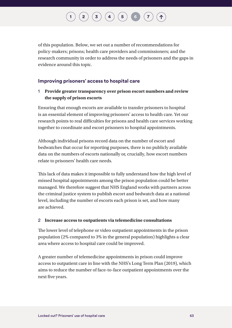of this population. Below, we set out a number of recommendations for policy-makers; prisons; health care providers and commissioners; and the research community in order to address the needs of prisoners and the gaps in evidence around this topic.

#### **Improving prisoners' access to hospital care**

#### 1 **Provide greater transparency over prison escort numbers and review the supply of prison escorts**

Ensuring that enough escorts are available to transfer prisoners to hospital is an essential element of improving prisoners' access to health care. Yet our research points to real difficulties for prisons and health care services working together to coordinate and escort prisoners to hospital appointments.

Although individual prisons record data on the number of escort and bedwatches that occur for reporting purposes, there is no publicly available data on the numbers of escorts nationally or, crucially, how escort numbers relate to prisoners' health care needs.

This lack of data makes it impossible to fully understand how the high level of missed hospital appointments among the prison population could be better managed. We therefore suggest that NHS England works with partners across the criminal justice system to publish escort and bedwatch data at a national level, including the number of escorts each prison is set, and how many are achieved.

#### 2 **Increase access to outpatients via telemedicine consultations**

The lower level of telephone or video outpatient appointments in the prison population (2% compared to 3% in the general population) highlights a clear area where access to hospital care could be improved.

A greater number of telemedicine appointments in prison could improve access to outpatient care in line with the NHS's Long Term Plan (2019), which aims to reduce the number of face-to-face outpatient appointments over the next five years.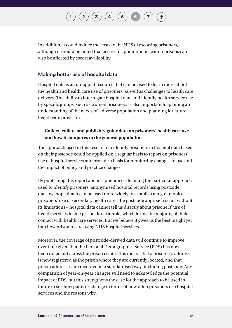## $\binom{2}{3}$  $\binom{2}{3}$  $\binom{2}{3}$  $\binom{2}{3}$  $\binom{2}{3}$   $\binom{3}{4}$  $\binom{3}{4}$  $\binom{3}{4}$   $\binom{5}{5}$  $\binom{5}{5}$  $\binom{5}{5}$   $\binom{6}{7}$  $\binom{6}{7}$  $\binom{6}{7}$  $\binom{6}{7}$  $\binom{6}{7}$

In addition, it could reduce the costs to the NHS of escorting prisoners, although it should be noted that access to appointments within prisons can also be affected by escort availability.

#### **Making better use of hospital data**

Hospital data is an untapped resource that can be used to learn more about the health and health care use of prisoners, as well as challenges to health care delivery. The ability to interrogate hospital data and identify health service use by specific groups, such as women prisoners, is also important for gaining an understanding of the needs of a diverse population and planning for future health care provision.

#### 1 **Collect, collate and publish regular data on prisoners' health care use and how it compares to the general population**

The approach used in this research to identify prisoners in hospital data based on their postcode could be applied on a regular basis to report on prisoners' use of hospital services and provide a basis for monitoring changes in use and the impact of policy and practice changes.

By publishing this report and its appendices detailing the particular approach used to identify prisoners' anonymised hospital records using postcode data, we hope that it can be used more widely to establish a regular look at prisoners' use of secondary health care. The postcode approach is not without its limitations – hospital data cannot tell us directly about prisoners' use of health services inside prison, for example, which forms the majority of their contact with health care services. But we believe it gives us the best insight yet into how prisoners are using NHS hospital services.

Moreover, the coverage of postcode-derived data will continue to improve over time given that the Personal Demographics Service (PDS) has now been rolled out across the prison estate. This means that a prisoner's address is now registered as the prison where they are currently located, and that prison addresses are recorded in a standardised way, including postcode. Any comparison of year-on-year changes will need to acknowledge the potential impact of PDS, but this strengthens the case for the approach to be used in future to see how patterns change in terms of how often prisoners use hospital services and the reasons why.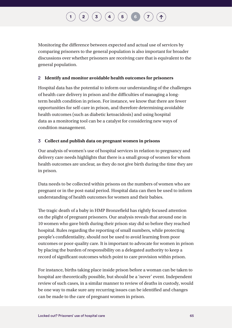## $\binom{2}{3}$  $\binom{2}{3}$  $\binom{2}{3}$  $\binom{2}{3}$  $\binom{2}{3}$   $\binom{3}{4}$  $\binom{3}{4}$  $\binom{3}{4}$   $\binom{5}{5}$  $\binom{5}{5}$  $\binom{5}{5}$   $\binom{6}{7}$  $\binom{6}{7}$  $\binom{6}{7}$  $\binom{6}{7}$  $\binom{6}{7}$

Monitoring the difference between expected and actual use of services by comparing prisoners to the general population is also important for broader discussions over whether prisoners are receiving care that is equivalent to the general population.

#### 2 **Identify and monitor avoidable health outcomes for prisoners**

Hospital data has the potential to inform our understanding of the challenges of health care delivery in prison and the difficulties of managing a longterm health condition in prison. For instance, we know that there are fewer opportunities for self-care in prison, and therefore determining avoidable health outcomes (such as diabetic ketoacidosis) and using hospital data as a monitoring tool can be a catalyst for considering new ways of condition management.

#### 3 **Collect and publish data on pregnant women in prisons**

Our analysis of women's use of hospital services in relation to pregnancy and delivery care needs highlights that there is a small group of women for whom health outcomes are unclear, as they do not give birth during the time they are in prison.

Data needs to be collected within prisons on the numbers of women who are pregnant or in the post-natal period. Hospital data can then be used to inform understanding of health outcomes for women and their babies.

The tragic death of a baby in HMP Bronzefield has rightly focused attention on the plight of pregnant prisoners. Our analysis reveals that around one in 10 women who gave birth during their prison stay did so before they reached hospital. Rules regarding the reporting of small numbers, while protecting people's confidentiality, should not be used to avoid learning from poor outcomes or poor-quality care. It is important to advocate for women in prison by placing the burden of responsibility on a delegated authority to keep a record of significant outcomes which point to care provision within prison.

For instance, births taking place inside prison before a woman can be taken to hospital are theoretically possible, but should be a 'never' event. Independent review of such cases, in a similar manner to review of deaths in custody, would be one way to make sure any recurring issues can be identified and changes can be made to the care of pregnant women in prison.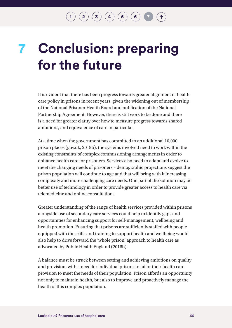## <span id="page-67-0"></span>**Conclusion: preparing for the future 7**

It is evident that there has been progress towards greater alignment of health care policy in prisons in recent years, given the widening out of membership of the National Prisoner Health Board and publication of the National Partnership Agreement. However, there is still work to be done and there is a need for greater clarity over how to measure progress towards shared ambitions, and equivalence of care in particular.

At a time when the government has committed to an additional 10,000 prison places (gov.uk, 2019b), the systems involved need to work within the existing constraints of complex commissioning arrangements in order to enhance health care for prisoners. Services also need to adapt and evolve to meet the changing needs of prisoners – demographic projections suggest the prison population will continue to age and that will bring with it increasing complexity and more challenging care needs. One part of the solution may be better use of technology in order to provide greater access to health care via telemedicine and online consultations.

Greater understanding of the range of health services provided within prisons alongside use of secondary care services could help to identify gaps and opportunities for enhancing support for self-management, wellbeing and health promotion. Ensuring that prisons are sufficiently staffed with people equipped with the skills and training to support health and wellbeing would also help to drive forward the 'whole prison' approach to health care as advocated by Public Health England (2016b).

A balance must be struck between setting and achieving ambitions on quality and provision, with a need for individual prisons to tailor their health care provision to meet the needs of their population. Prison affords an opportunity not only to maintain health, but also to improve and proactively manage the health of this complex population.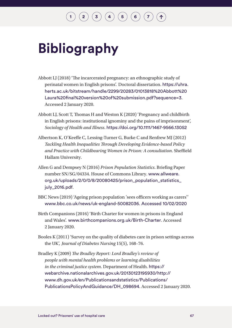# **Bibliography**

- Abbott LJ (2018) 'The incarcerated pregnancy: an ethnographic study of perinatal women in English prisons'. Doctoral dissertation. [https://uhra.](https://uhra.herts.ac.uk/bitstream/handle/2299/20283/01013818%20Abbott%20Laura%20final%20version%20of%20submission.pdf?sequence=3) [herts.ac.uk/bitstream/handle/2299/20283/01013818%20Abbott%20](https://uhra.herts.ac.uk/bitstream/handle/2299/20283/01013818%20Abbott%20Laura%20final%20version%20of%20submission.pdf?sequence=3) [Laura%20final%20version%20of%20submission.pdf?sequence=3](https://uhra.herts.ac.uk/bitstream/handle/2299/20283/01013818%20Abbott%20Laura%20final%20version%20of%20submission.pdf?sequence=3). Accessed 2 January 2020.
- Abbott LJ, Scott T, Thomas H and Weston K (2020) 'Pregnancy and childbirth in English prisons: institutional ignominy and the pains of imprisonment', *Sociology of Health and Illness*. <https://doi.org/10.1111/1467-9566.13052>
- Albertson K, O'Keeffe C, Lessing-Turner G, Burke C and Renfrew MJ (2012) *Tackling Health Inequalities Through Developing Evidence-based Policy and Practice with Childbearing Women in Prison: A consultation*. Sheffield Hallam University.
- Allen G and Dempsey N (2016) *Prison Population Statistics*. Briefing Paper number SN/SG/04334. House of Commons Library. [www.allweare.](http://www.allweare.org.uk/uploads/2/0/0/8/20080425/prison_population_statistics_july_2016.pdf) [org.uk/uploads/2/0/0/8/20080425/prison\\_population\\_statistics\\_](http://www.allweare.org.uk/uploads/2/0/0/8/20080425/prison_population_statistics_july_2016.pdf) [july\\_2016.pdf](http://www.allweare.org.uk/uploads/2/0/0/8/20080425/prison_population_statistics_july_2016.pdf).
- BBC News (2019) 'Ageing prison population 'sees officers working as carers'' [www.bbc.co.uk/news/uk-england-50082036. Accessed 10/02/2020](http://www.bbc.co.uk/news/uk-england-50082036)
- Birth Companions (2016) 'Birth Charter for women in prisons in England and Wales'. [www.birthcompanions.org.uk/Birth-Charter](http://www.birthcompanions.org.uk/Birth-Charter). Accessed 2 January 2020.
- Booles K (2011) 'Survey on the quality of diabetes care in prison settings across the UK', *Journal of Diabetes Nursing* 15(5), 168–76.
- Bradley K (2009) *The Bradley Report: Lord Bradley's review of people with mental health problems or learning disabilities in the criminal justice system*. Department of Health. [https://](https://webarchive.nationalarchives.gov.uk/20130123195930/http://www.dh.gov.uk/en/Publicationsandstatistics/Publications/PublicationsPolicyAndGuidance/DH_098694) [webarchive.nationalarchives.gov.uk/20130123195930/http://](https://webarchive.nationalarchives.gov.uk/20130123195930/http://www.dh.gov.uk/en/Publicationsandstatistics/Publications/PublicationsPolicyAndGuidance/DH_098694) [www.dh.gov.uk/en/Publicationsandstatistics/Publications/](https://webarchive.nationalarchives.gov.uk/20130123195930/http://www.dh.gov.uk/en/Publicationsandstatistics/Publications/PublicationsPolicyAndGuidance/DH_098694) [PublicationsPolicyAndGuidance/DH\\_098694](https://webarchive.nationalarchives.gov.uk/20130123195930/http://www.dh.gov.uk/en/Publicationsandstatistics/Publications/PublicationsPolicyAndGuidance/DH_098694). Accessed 2 January 2020.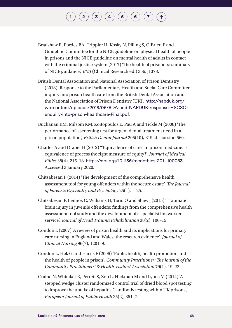- Bradshaw R, Pordes BA, Trippier H, Kosky N, Pilling S, O'Brien F and Guideline Committee for the NICE guideline on physical health of people in prisons and the NICE guideline on mental health of adults in contact with the criminal justice system (2017) 'The health of prisoners: summary of NICE guidance', *BMJ* (Clinical Research ed.) 356, j1378.
- British Dental Association and National Association of Prison Dentistry (2018) 'Response to the Parliamentary Health and Social Care Committee inquiry into prison health care from the British Dental Association and the National Association of Prison Dentistry (UK)'. [http://napduk.org/](http://napduk.org/wp-content/uploads/2018/06/BDA-and-NAPDUK-response-HSCSC-enquiry-into-prison-healthcare-Final.pdf) [wp-content/uploads/2018/06/BDA-and-NAPDUK-response-HSCSC](http://napduk.org/wp-content/uploads/2018/06/BDA-and-NAPDUK-response-HSCSC-enquiry-into-prison-healthcare-Final.pdf)[enquiry-into-prison-healthcare-Final.pdf](http://napduk.org/wp-content/uploads/2018/06/BDA-and-NAPDUK-response-HSCSC-enquiry-into-prison-healthcare-Final.pdf).
- Buchanan KM, Milsom KM, Zoitopoulos L, Pau A and Tickle M (2008) 'The performance of a screening test for urgent dental treatment need in a prison population', *British Dental Journal* 205(10), E19, discussion 560.
- Charles A and Draper H (2012) '"Equivalence of care" in prison medicine: is equivalence of process the right measure of equity?', *Journal of Medical Ethics* 38(4), 215–18. <https://doi.org/10.1136/medethics-2011-100083>. Accessed 3 January 2020.
- Chitsabesan P (2014) 'The development of the comprehensive health assessment tool for young offenders within the secure estate', *The Journal of Forensic Psychiatry and Psychology* 25(1), 1–25.
- Chitsabesan P, Lennox C, Williams H, Tariq O and Shaw J (2015) 'Traumatic brain injury in juvenile offenders: findings from the comprehensive health assessment tool study and the development of a specialist linkworker service', *Journal of Head Trauma Rehabilitation* 30(2), 106–15.
- Condon L (2007) 'A review of prison health and its implications for primary care nursing in England and Wales: the research evidence', *Journal of Clinical Nursing* 96(7), 1201–9.
- Condon L, Hek G and Harris F (2006) 'Public health, health promotion and the health of people in prison', *Community Practitioner: The Journal of the Community Practitioners' & Health Visitors' Association* 79(1), 19–22.
- Craine N, Whitaker R, Perrett S, Zou L, Hickman M and Lyons M (2014) 'A stepped wedge cluster randomized control trial of dried blood spot testing to improve the uptake of hepatitis C antibody testing within UK prisons', *European Journal of Public Health* 25(2), 351–7.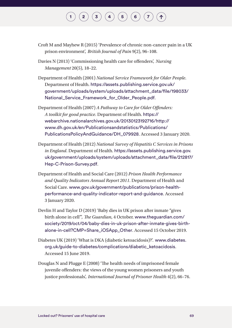- Croft M and Mayhew R (2015) 'Prevalence of chronic non-cancer pain in a UK prison environment', *British Journal of Pain* 9(2), 96–108.
- Davies N (2013) 'Commissioning health care for offenders', *Nursing Management* 20(5), 18–22.
- Department of Health (2001) *National Service Framework for Older People*. Department of Health. [https://assets.publishing.service.gov.uk/](https://assets.publishing.service.gov.uk/government/uploads/system/uploads/attachment_data/file/198033/National_Service_Framework_for_Older_People.pdf) [government/uploads/system/uploads/attachment\\_data/file/198033/](https://assets.publishing.service.gov.uk/government/uploads/system/uploads/attachment_data/file/198033/National_Service_Framework_for_Older_People.pdf) [National\\_Service\\_Framework\\_for\\_Older\\_People.pdf](https://assets.publishing.service.gov.uk/government/uploads/system/uploads/attachment_data/file/198033/National_Service_Framework_for_Older_People.pdf).
- Department of Health (2007) *A Pathway to Care for Older Offenders: A toolkit for good practice*. Department of Health. [https://](https://webarchive.nationalarchives.gov.uk/20130123192716/http://www.dh.gov.uk/en/Publicationsandstatistics/Publications/PublicationsPolicyAndGuidance/DH_079928) [webarchive.nationalarchives.gov.uk/20130123192716/http://](https://webarchive.nationalarchives.gov.uk/20130123192716/http://www.dh.gov.uk/en/Publicationsandstatistics/Publications/PublicationsPolicyAndGuidance/DH_079928) [www.dh.gov.uk/en/Publicationsandstatistics/Publications/](https://webarchive.nationalarchives.gov.uk/20130123192716/http://www.dh.gov.uk/en/Publicationsandstatistics/Publications/PublicationsPolicyAndGuidance/DH_079928) [PublicationsPolicyAndGuidance/DH\\_079928](https://webarchive.nationalarchives.gov.uk/20130123192716/http://www.dh.gov.uk/en/Publicationsandstatistics/Publications/PublicationsPolicyAndGuidance/DH_079928). Accessed 3 January 2020.
- Department of Health (2012) *National Survey of Hepatitis C Services in Prisons in England*. Department of Health. [https://assets.publishing.service.gov.](https://assets.publishing.service.gov.uk/government/uploads/system/uploads/attachment_data/file/212817/Hep-C-Prison-Survey.pdf) [uk/government/uploads/system/uploads/attachment\\_data/file/212817/](https://assets.publishing.service.gov.uk/government/uploads/system/uploads/attachment_data/file/212817/Hep-C-Prison-Survey.pdf) [Hep-C-Prison-Survey.pdf](https://assets.publishing.service.gov.uk/government/uploads/system/uploads/attachment_data/file/212817/Hep-C-Prison-Survey.pdf).
- Department of Health and Social Care (2012) *Prison Health Performance and Quality Indicators Annual Report 2011*. Department of Health and Social Care. [www.gov.uk/government/publications/prison-health](http://www.gov.uk/government/publications/prison-health-performance-and-quality-indicator-report-and-guidance)[performance-and-quality-indicator-report-and-guidance](http://www.gov.uk/government/publications/prison-health-performance-and-quality-indicator-report-and-guidance). Accessed 3 January 2020.
- Devlin H and Taylor D (2019) 'Baby dies in UK prison after inmate "gives birth alone in cell"', *The Guardian*, 4 October. [www.theguardian.com/](http://www.theguardian.com/society/2019/oct/04/baby-dies-in-uk-prison-after-inmate-gives-birth-alone-in-cell?CMP=Share_iOSApp_Other) [society/2019/oct/04/baby-dies-in-uk-prison-after-inmate-gives-birth](http://www.theguardian.com/society/2019/oct/04/baby-dies-in-uk-prison-after-inmate-gives-birth-alone-in-cell?CMP=Share_iOSApp_Other)[alone-in-cell?CMP=Share\\_iOSApp\\_Other](http://www.theguardian.com/society/2019/oct/04/baby-dies-in-uk-prison-after-inmate-gives-birth-alone-in-cell?CMP=Share_iOSApp_Other). Accessed 15 October 2019.
- Diabetes UK (2019) 'What is DKA (diabetic ketoacidosis)?'. [www.diabetes.](http://www.diabetes.org.uk/guide-to-diabetes/complications/diabetic_ketoacidosis) [org.uk/guide-to-diabetes/complications/diabetic\\_ketoacidosis](http://www.diabetes.org.uk/guide-to-diabetes/complications/diabetic_ketoacidosis). Accessed 15 June 2019.
- Douglas N and Plugge E (2008) 'The health needs of imprisoned female juvenile offenders: the views of the young women prisoners and youth justice professionals', *International Journal of Prisoner Health* 4(2), 66–76.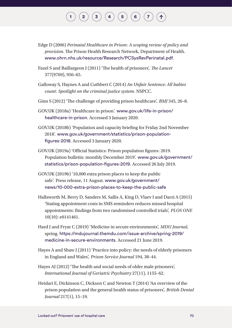Edge D (2006) *Perinatal Healthcare in Prison: A scoping review of policy and provision*. The Prison Health Research Network, Department of Health. [www.ohrn.nhs.uk/resource/Research/PCSysRevPerinatal.pdf](http://www.ohrn.nhs.uk/resource/Research/PCSysRevPerinatal.pdf).

Fazel S and Baillargeon J (2011) 'The health of prisoners', *The Lancet* 377(9769), 956–65.

- Galloway S, Haynes A and Cuthbert C (2014) *An Unfair Sentence: All babies count: Spotlight on the criminal justice system*. NSPCC.
- Ginn S (2012) 'The challenge of providing prison healthcare', *BMJ* 345, 26–8.
- GOV.UK (2018a) 'Healthcare in prison'. [www.gov.uk/life-in-prison/](http://www.gov.uk/life-in-prison/healthcare-in-prison) [healthcare-in-prison](http://www.gov.uk/life-in-prison/healthcare-in-prison). Accessed 3 January 2020.
- GOV.UK (2018b) 'Population and capacity briefing for Friday 2nd November 2018'. [www.gov.uk/government/statistics/prison-population](http://www.gov.uk/government/statistics/prison-population-figures-2018)[figures-2018](http://www.gov.uk/government/statistics/prison-population-figures-2018). Accessed 3 January 2020.
- GOV.UK (2019a) 'Official Statistics: Prison population figures: 2019. Population bulletin: monthly December 2019'. [www.gov.uk/government/](http://www.gov.uk/government/statistics/prison-population-figures-2019) [statistics/prison-population-figures-2019](http://www.gov.uk/government/statistics/prison-population-figures-2019). Accessed 26 July 2019.
- GOV.UK (2019b) '10,000 extra prison places to keep the public safe'. Press release, 11 August. [www.gov.uk/government/](http://www.gov.uk/government/news/10-000-extra-prison-places-to-keep-the-public-safe) [news/10-000-extra-prison-places-to-keep-the-public-safe](http://www.gov.uk/government/news/10-000-extra-prison-places-to-keep-the-public-safe)
- Hallsworth M, Berry D, Sanders M, Sallis A, King D, Vlaev I and Darzi A (2015) 'Stating appointment costs in SMS reminders reduces missed hospital appointments: findings from two randomised controlled trials', *PLOS ONE* 10(10): e0141461.
- Hard J and Fryar C (2019) 'Medicine in secure environments', *MDU Journal*, spring. [https://mdujournal.themdu.com/issue-archive/spring-2019/](https://mdujournal.themdu.com/issue-archive/spring-2019/medicine-in-secure-environments) [medicine-in-secure-environments](https://mdujournal.themdu.com/issue-archive/spring-2019/medicine-in-secure-environments). Accessed 21 June 2019.
- Hayes A and Shaw J (2011) 'Practice into policy: the needs of elderly prisoners in England and Wales', *Prison Service Journal* 194, 38–44.
- Hayes AJ (2012) 'The health and social needs of older male prisoners', *International Journal of Geriatric Psychiatry* 27(11), 1155–62.
- Heidari E, Dickinson C, Dickson C and Newton T (2014) 'An overview of the prison population and the general health status of prisoners', *British Dental Journal* 217(1), 15–19.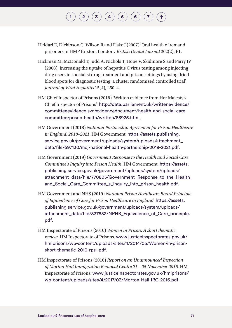- Heidari E, Dickinson C, Wilson R and Fiske J (2007) 'Oral health of remand prisoners in HMP Brixton, London', *British Dental Journal* 202(2), E1.
- Hickman M, McDonald T, Judd A, Nichols T, Hope V, Skidmore S and Parry JV (2008) 'Increasing the uptake of hepatitis C virus testing among injecting drug users in specialist drug treatment and prison settings by using dried blood spots for diagnostic testing: a cluster randomized controlled trial', *Journal of Viral Hepatitis* 15(4), 250–4.
- HM Chief Inspector of Prisons (2018) 'Written evidence from Her Majesty's Chief Inspector of Prisons'. [http://data.parliament.uk/writtenevidence/](http://data.parliament.uk/writtenevidence/committeeevidence.svc/evidencedocument/health-and-social-care-committee/prison-health/written/83925.htm) [committeeevidence.svc/evidencedocument/health-and-social-care](http://data.parliament.uk/writtenevidence/committeeevidence.svc/evidencedocument/health-and-social-care-committee/prison-health/written/83925.htm)[committee/prison-health/written/83925.htm](http://data.parliament.uk/writtenevidence/committeeevidence.svc/evidencedocument/health-and-social-care-committee/prison-health/written/83925.htm)l.
- HM Government (2018) *National Partnership Agreement for Prison Healthcare in England: 2018–2021*. HM Government. [https://assets.publishing.](https://assets.publishing.service.gov.uk/government/uploads/system/uploads/attachment_data/file/697130/moj-national-health-partnership-2018-2021.pdf) [service.gov.uk/government/uploads/system/uploads/attachment\\_](https://assets.publishing.service.gov.uk/government/uploads/system/uploads/attachment_data/file/697130/moj-national-health-partnership-2018-2021.pdf) [data/file/697130/moj-national-health-partnership-2018-2021.pdf](https://assets.publishing.service.gov.uk/government/uploads/system/uploads/attachment_data/file/697130/moj-national-health-partnership-2018-2021.pdf).
- HM Government (2019) *Government Response to the Health and Social Care Committee's Inquiry into Prison Health*. HM Government. [https://assets.](https://assets.publishing.service.gov.uk/government/uploads/system/uploads/attachment_data/file/770805/Government_Response_to_the_Health_and_Social_Care_Committee_s_inquiry_into_prison_health.pdf) [publishing.service.gov.uk/government/uploads/system/uploads/](https://assets.publishing.service.gov.uk/government/uploads/system/uploads/attachment_data/file/770805/Government_Response_to_the_Health_and_Social_Care_Committee_s_inquiry_into_prison_health.pdf) attachment\_data/file/770805/Government\_Response\_to\_the\_Health [and\\_Social\\_Care\\_Committee\\_s\\_inquiry\\_into\\_prison\\_health.pdf](https://assets.publishing.service.gov.uk/government/uploads/system/uploads/attachment_data/file/770805/Government_Response_to_the_Health_and_Social_Care_Committee_s_inquiry_into_prison_health.pdf).
- HM Government and NHS (2019) *National Prison Healthcare Board Principle of Equivalence of Care for Prison Healthcare in England*. [https://assets.](https://assets.publishing.service.gov.uk/government/uploads/system/uploads/attachment_data/file/837882/NPHB_Equivalence_of_Care_principle.pdf) [publishing.service.gov.uk/government/uploads/system/uploads/](https://assets.publishing.service.gov.uk/government/uploads/system/uploads/attachment_data/file/837882/NPHB_Equivalence_of_Care_principle.pdf) [attachment\\_data/file/837882/NPHB\\_Equivalence\\_of\\_Care\\_principle.](https://assets.publishing.service.gov.uk/government/uploads/system/uploads/attachment_data/file/837882/NPHB_Equivalence_of_Care_principle.pdf) [pdf](https://assets.publishing.service.gov.uk/government/uploads/system/uploads/attachment_data/file/837882/NPHB_Equivalence_of_Care_principle.pdf).
- HM Inspectorate of Prisons (2010) *Women in Prison: A short thematic review*. HM Inspectorate of Prisons. [www.justiceinspectorates.gov.uk/](http://www.justiceinspectorates.gov.uk/hmiprisons/wp-content/uploads/sites/4/2014/05/Women-in-prison-short-thematic-2010-rps-.pdf) [hmiprisons/wp-content/uploads/sites/4/2014/05/Women-in-prison](http://www.justiceinspectorates.gov.uk/hmiprisons/wp-content/uploads/sites/4/2014/05/Women-in-prison-short-thematic-2010-rps-.pdf)[short-thematic-2010-rps-.pdf](http://www.justiceinspectorates.gov.uk/hmiprisons/wp-content/uploads/sites/4/2014/05/Women-in-prison-short-thematic-2010-rps-.pdf).
- HM Inspectorate of Prisons (2016) *Report on an Unannounced Inspection of Morton Hall Immigration Removal Centre 21 – 25 November 2016*. HM Inspectorate of Prisons. [www.justiceinspectorates.gov.uk/hmiprisons/](http://www.justiceinspectorates.gov.uk/hmiprisons/wp-content/uploads/sites/4/2017/03/Morton-Hall-IRC-2016.pdf) [wp-content/uploads/sites/4/2017/03/Morton-Hall-IRC-2016.pdf](http://www.justiceinspectorates.gov.uk/hmiprisons/wp-content/uploads/sites/4/2017/03/Morton-Hall-IRC-2016.pdf).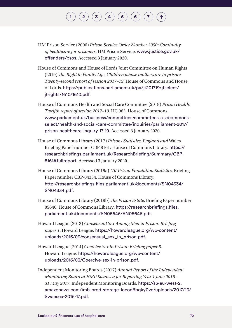- HM Prison Service (2006) *Prison Service Order Number 3050: Continuity of healthcare for prisoners*. HM Prison Service. [www.justice.gov.uk/](http://www.justice.gov.uk/offenders/psos) [offenders/psos](http://www.justice.gov.uk/offenders/psos). Accessed 3 January 2020.
- House of Commons and House of Lords Joint Committee on Human Rights (2019) *The Right to Family Life: Children whose mothers are in prison: Twenty-second report of session 2017–19*. House of Commons and House of Lords. [https://publications.parliament.uk/pa/jt201719/jtselect/](https://publications.parliament.uk/pa/jt201719/jtselect/jtrights/1610/1610.pdf) [jtrights/1610/1610.pdf](https://publications.parliament.uk/pa/jt201719/jtselect/jtrights/1610/1610.pdf).
- House of Commons Health and Social Care Committee (2018) *Prison Health: Twelfth report of session 2017–19*. HC 963. House of Commons. [www.parliament.uk/business/committees/committees-a-z/commons](http://www.parliament.uk/business/committees/committees-a-z/commons-select/health-and-social-care-committee/inquiries/parliament-2017/prison-healthcare-inquiry-17-19)[select/health-and-social-care-committee/inquiries/parliament-2017/](http://www.parliament.uk/business/committees/committees-a-z/commons-select/health-and-social-care-committee/inquiries/parliament-2017/prison-healthcare-inquiry-17-19) [prison-healthcare-inquiry-17-19](http://www.parliament.uk/business/committees/committees-a-z/commons-select/health-and-social-care-committee/inquiries/parliament-2017/prison-healthcare-inquiry-17-19). Accessed 3 January 2020.
- House of Commons Library (2017) *Prisons Statistics, England and* Wales. Briefing Paper number CBP 8161. House of Commons Library. [https://](https://researchbriefings.parliament.uk/ResearchBriefing/Summary/CBP-8161#fullreport) [researchbriefings.parliament.uk/ResearchBriefing/Summary/CBP-](https://researchbriefings.parliament.uk/ResearchBriefing/Summary/CBP-8161#fullreport)[8161#fullreport](https://researchbriefings.parliament.uk/ResearchBriefing/Summary/CBP-8161#fullreport). Accessed 3 January 2020.
- House of Commons Library (2019a) *UK Prison Population Statistics*. Briefing Paper number CBP-04334. House of Commons Library. [http://researchbriefings.files.parliament.uk/documents/SN04334/](http://researchbriefings.files.parliament.uk/documents/SN04334/SN04334.pdf) [SN04334.pdf](http://researchbriefings.files.parliament.uk/documents/SN04334/SN04334.pdf).
- House of Commons Library (2019b) *The Prison Estate*. Briefing Paper number 05646. House of Commons Library. [https://researchbriefings.files.](https://researchbriefings.files.parliament.uk/documents/SN05646/SN05646.pdf) [parliament.uk/documents/SN05646/SN05646.pdf](https://researchbriefings.files.parliament.uk/documents/SN05646/SN05646.pdf).
- Howard League (2013) *Consensual Sex Among Men in Prison: Briefing paper 1*. Howard League. [https://howardleague.org/wp-content/](https://howardleague.org/wp-content/uploads/2016/03/consensual_sex_in_prison.pdf) [uploads/2016/03/consensual\\_sex\\_in\\_prison.pdf](https://howardleague.org/wp-content/uploads/2016/03/consensual_sex_in_prison.pdf).
- Howard League (2014) *Coercive Sex in Prison: Briefing paper 3*. Howard League. [https://howardleague.org/wp-content/](https://howardleague.org/wp-content/uploads/2016/03/Coercive-sex-in-prison.pdf) [uploads/2016/03/Coercive-sex-in-prison.pdf](https://howardleague.org/wp-content/uploads/2016/03/Coercive-sex-in-prison.pdf).
- Independent Monitoring Boards (2017) *Annual Report of the Independent Monitoring Board at HMP Swansea for Reporting Year 1 June 2016 – 31 May 2017*. Independent Monitoring Boards. [https://s3-eu-west-2.](https://s3-eu-west-2.amazonaws.com/imb-prod-storage-1ocod6bqky0vo/uploads/2017/10/Swansea-2016-17.pdf) [amazonaws.com/imb-prod-storage-1ocod6bqky0vo/uploads/2017/10/](https://s3-eu-west-2.amazonaws.com/imb-prod-storage-1ocod6bqky0vo/uploads/2017/10/Swansea-2016-17.pdf) [Swansea-2016-17.pdf](https://s3-eu-west-2.amazonaws.com/imb-prod-storage-1ocod6bqky0vo/uploads/2017/10/Swansea-2016-17.pdf).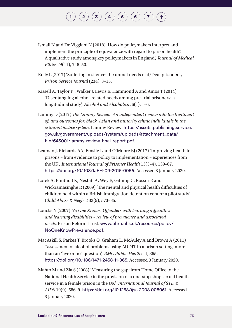## $\begin{pmatrix} \mathbf{2} \end{pmatrix} \begin{pmatrix} \mathbf{3} \end{pmatrix} \begin{pmatrix} \mathbf{4} \end{pmatrix} \begin{pmatrix} \mathbf{5} \end{pmatrix} \begin{pmatrix} \mathbf{6} \end{pmatrix}$  $\begin{pmatrix} \mathbf{2} \end{pmatrix} \begin{pmatrix} \mathbf{3} \end{pmatrix} \begin{pmatrix} \mathbf{4} \end{pmatrix} \begin{pmatrix} \mathbf{5} \end{pmatrix} \begin{pmatrix} \mathbf{6} \end{pmatrix}$  $\begin{pmatrix} \mathbf{2} \end{pmatrix} \begin{pmatrix} \mathbf{3} \end{pmatrix} \begin{pmatrix} \mathbf{4} \end{pmatrix} \begin{pmatrix} \mathbf{5} \end{pmatrix} \begin{pmatrix} \mathbf{6} \end{pmatrix}$  $\begin{pmatrix} \mathbf{2} \end{pmatrix} \begin{pmatrix} \mathbf{3} \end{pmatrix} \begin{pmatrix} \mathbf{4} \end{pmatrix} \begin{pmatrix} \mathbf{5} \end{pmatrix} \begin{pmatrix} \mathbf{6} \end{pmatrix}$  $\begin{pmatrix} \mathbf{2} \end{pmatrix} \begin{pmatrix} \mathbf{3} \end{pmatrix} \begin{pmatrix} \mathbf{4} \end{pmatrix} \begin{pmatrix} \mathbf{5} \end{pmatrix} \begin{pmatrix} \mathbf{6} \end{pmatrix}$  $\begin{pmatrix} \mathbf{2} \end{pmatrix} \begin{pmatrix} \mathbf{3} \end{pmatrix} \begin{pmatrix} \mathbf{4} \end{pmatrix} \begin{pmatrix} \mathbf{5} \end{pmatrix} \begin{pmatrix} \mathbf{6} \end{pmatrix}$  $\begin{pmatrix} \mathbf{2} \end{pmatrix} \begin{pmatrix} \mathbf{3} \end{pmatrix} \begin{pmatrix} \mathbf{4} \end{pmatrix} \begin{pmatrix} \mathbf{5} \end{pmatrix} \begin{pmatrix} \mathbf{6} \end{pmatrix}$  $\begin{pmatrix} \mathbf{2} \end{pmatrix} \begin{pmatrix} \mathbf{3} \end{pmatrix} \begin{pmatrix} \mathbf{4} \end{pmatrix} \begin{pmatrix} \mathbf{5} \end{pmatrix} \begin{pmatrix} \mathbf{6} \end{pmatrix}$  $\begin{pmatrix} \mathbf{2} \end{pmatrix} \begin{pmatrix} \mathbf{3} \end{pmatrix} \begin{pmatrix} \mathbf{4} \end{pmatrix} \begin{pmatrix} \mathbf{5} \end{pmatrix} \begin{pmatrix} \mathbf{6} \end{pmatrix}$  $\begin{pmatrix} \mathbf{2} \end{pmatrix} \begin{pmatrix} \mathbf{3} \end{pmatrix} \begin{pmatrix} \mathbf{4} \end{pmatrix} \begin{pmatrix} \mathbf{5} \end{pmatrix} \begin{pmatrix} \mathbf{6} \end{pmatrix}$  $\begin{pmatrix} \mathbf{2} \end{pmatrix} \begin{pmatrix} \mathbf{3} \end{pmatrix} \begin{pmatrix} \mathbf{4} \end{pmatrix} \begin{pmatrix} \mathbf{5} \end{pmatrix} \begin{pmatrix} \mathbf{6} \end{pmatrix}$

- Ismail N and De Viggiani N (2018) 'How do policymakers interpret and implement the principle of equivalence with regard to prison health? A qualitative study among key policymakers in England', *Journal of Medical Ethics 44*(11), 746–50.
- Kelly L (2017) 'Suffering in silence: the unmet needs of d/Deaf prisoners', *Prison Service Journal* (234), 3–15.
- Kissell A, Taylor PJ, Walker J, Lewis E, Hammond A and Amos T (2014) 'Disentangling alcohol-related needs among pre-trial prisoners: a longitudinal study', *Alcohol and Alcoholism* 6(1), 1–6.
- Lammy D (2017) *The Lammy Review: An independent review into the treatment of, and outcomes for, black, Asian and minority ethnic individuals in the criminal justice system*. Lammy Review. [https://assets.publishing.service.](https://assets.publishing.service.gov.uk/government/uploads/system/uploads/attachment_data/file/643001/lammy-review-final-report.pdf) [gov.uk/government/uploads/system/uploads/attachment\\_data/](https://assets.publishing.service.gov.uk/government/uploads/system/uploads/attachment_data/file/643001/lammy-review-final-report.pdf) [file/643001/lammy-review-final-report.pdf](https://assets.publishing.service.gov.uk/government/uploads/system/uploads/attachment_data/file/643001/lammy-review-final-report.pdf).
- Leaman J, Richards AA, Emslie L and O'Moore EJ (2017) 'Improving health in prisons – from evidence to policy to implementation – experiences from the UK', *International Journal of Prisoner Health* 13(3–4), 139–67. <https://doi.org/10.1108/IJPH-09-2016-0056>. Accessed 3 January 2020.
- Lorek A, Ehntholt K, Nesbitt A, Wey E, Githinji C, Rossor E and Wickramasinghe R (2009) 'The mental and physical health difficulties of children held within a British immigration detention center: a pilot study', *Child Abuse & Neglect* 33(9), 573–85.
- Loucks N (2007) *No One Knows: Offenders with learning difficulties and learning disabilities – review of prevalence and associated needs*. Prison Reform Trust. [www.ohrn.nhs.uk/resource/policy/](http://www.ohrn.nhs.uk/resource/policy/NoOneKnowPrevalence.pdf) [NoOneKnowPrevalence.pdf](http://www.ohrn.nhs.uk/resource/policy/NoOneKnowPrevalence.pdf).
- MacAskill S, Parkes T, Brooks O, Graham L, McAuley A and Brown A (2011) 'Assessment of alcohol problems using AUDIT in a prison setting: more than an "aye or no" question', *BMC Public Health* 11, 865. <https://doi.org/10.1186/1471-2458-11-865>. Accessed 3 January 2020.
- Mahto M and Zia S (2008) 'Measuring the gap: from Home Office to the National Health Service in the provision of a one-stop shop sexual health service in a female prison in the UK', *International Journal of STD & AIDS* 19(9), 586–9. <https://doi.org/10.1258/ijsa.2008.008051>. Accessed 3 January 2020.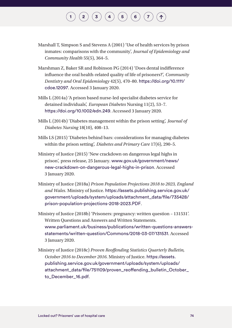- Marshall T, Simpson S and Stevens A (2001) 'Use of health services by prison inmates: comparisons with the community', *Journal of Epidemiology and Community Health* 55(5), 364–5.
- Marshman Z, Baker SR and Robinson PG (2014) 'Does dental indifference influence the oral health-related quality of life of prisoners?', *Community Dentistry and Oral Epidemiology* 42(5), 470–80. [https://doi.org/10.1111/](https://doi.org/10.1111/cdoe.12097) [cdoe.12097](https://doi.org/10.1111/cdoe.12097). Accessed 3 January 2020.
- Mills L (2014a) 'A prison based nurse-led specialist diabetes service for detained individuals', *European Diabetes* Nursing 11(2), 53–7. <https://doi.org/10.1002/edn.249>. Accessed 3 January 2020.
- Mills L (2014b) 'Diabetes management within the prison setting', *Journal of Diabetes Nursing* 18(10), 408–13.
- Mills LS (2015) 'Diabetes behind bars: considerations for managing diabetes within the prison setting', *Diabetes and Primary Care* 17(6), 290–5.
- Ministry of Justice (2015) 'New crackdown on dangerous legal highs in prison', press release, 25 January. [www.gov.uk/government/news/](http://www.gov.uk/government/news/new-crackdown-on-dangerous-legal-highs-in-prison) [new-crackdown-on-dangerous-legal-highs-in-prison](http://www.gov.uk/government/news/new-crackdown-on-dangerous-legal-highs-in-prison). Accessed 3 January 2020.
- Ministry of Justice (2018a) *Prison Population Projections 2018 to 2023, England and Wales*. Ministry of Justice. [https://assets.publishing.service.gov.uk/](https://assets.publishing.service.gov.uk/government/uploads/system/uploads/attachment_data/file/735428/prison-population-projections-2018-2023.PDF) [government/uploads/system/uploads/attachment\\_data/file/735428/](https://assets.publishing.service.gov.uk/government/uploads/system/uploads/attachment_data/file/735428/prison-population-projections-2018-2023.PDF) [prison-population-projections-2018-2023.PDF](https://assets.publishing.service.gov.uk/government/uploads/system/uploads/attachment_data/file/735428/prison-population-projections-2018-2023.PDF).
- Ministry of Justice (2018b) 'Prisoners: pregnancy: written question 131531'. Written Questions and Answers and Written Statements. [www.parliament.uk/business/publications/written-questions-answers](http://www.parliament.uk/business/publications/written-questions-answers-statements/written-question/Commons/2018-03-07/131531)[statements/written-question/Commons/2018-03-07/131531](http://www.parliament.uk/business/publications/written-questions-answers-statements/written-question/Commons/2018-03-07/131531). Accessed 3 January 2020.
- Ministry of Justice (2018c) *Proven Reoffending Statistics Quarterly Bulletin, October 2016 to December 2016*. Ministry of Justice. [https://assets.](https://assets.publishing.service.gov.uk/government/uploads/system/uploads/attachment_data/file/751109/proven_reoffending_bulletin_October_to_December_16.pdf) [publishing.service.gov.uk/government/uploads/system/uploads/](https://assets.publishing.service.gov.uk/government/uploads/system/uploads/attachment_data/file/751109/proven_reoffending_bulletin_October_to_December_16.pdf) [attachment\\_data/file/751109/proven\\_reoffending\\_bulletin\\_October\\_](https://assets.publishing.service.gov.uk/government/uploads/system/uploads/attachment_data/file/751109/proven_reoffending_bulletin_October_to_December_16.pdf) [to\\_December\\_16.pdf](https://assets.publishing.service.gov.uk/government/uploads/system/uploads/attachment_data/file/751109/proven_reoffending_bulletin_October_to_December_16.pdf).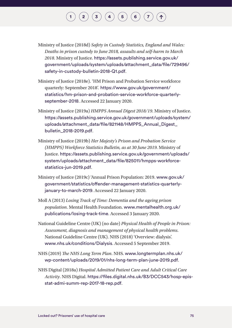- Ministry of Justice (2018d) *Safety in Custody Statistics, England and Wales: Deaths in prison custody to June 2018, assaults and self-harm to March 2018*. Ministry of Justice. [https://assets.publishing.service.gov.uk/](https://assets.publishing.service.gov.uk/government/uploads/system/uploads/attachment_data/file/729496/safety-in-custody-bulletin-2018-Q1.pdf) [government/uploads/system/uploads/attachment\\_data/file/729496/](https://assets.publishing.service.gov.uk/government/uploads/system/uploads/attachment_data/file/729496/safety-in-custody-bulletin-2018-Q1.pdf) [safety-in-custody-bulletin-2018-Q1.pdf](https://assets.publishing.service.gov.uk/government/uploads/system/uploads/attachment_data/file/729496/safety-in-custody-bulletin-2018-Q1.pdf).
- Ministry of Justice (2018e). 'HM Prison and Probation Service workforce quarterly: September 2018'. [https://www.gov.uk/government/](https://www.gov.uk/government/statistics/hm-prison-and-probation-service-workforce-quarterly-september-2018) [statistics/hm-prison-and-probation-service-workforce-quarterly](https://www.gov.uk/government/statistics/hm-prison-and-probation-service-workforce-quarterly-september-2018)[september-2018](https://www.gov.uk/government/statistics/hm-prison-and-probation-service-workforce-quarterly-september-2018). Accessed 22 January 2020.
- Ministry of Justice (2019a) *HMPPS Annual Digest 2018/19*. Ministry of Justice. [https://assets.publishing.service.gov.uk/government/uploads/system/](https://assets.publishing.service.gov.uk/government/uploads/system/uploads/attachment_data/file/821148/HMPPS_Annual_Digest_bulletin_2018-2019.pdf) [uploads/attachment\\_data/file/821148/HMPPS\\_Annual\\_Digest\\_](https://assets.publishing.service.gov.uk/government/uploads/system/uploads/attachment_data/file/821148/HMPPS_Annual_Digest_bulletin_2018-2019.pdf) [bulletin\\_2018-2019.pdf](https://assets.publishing.service.gov.uk/government/uploads/system/uploads/attachment_data/file/821148/HMPPS_Annual_Digest_bulletin_2018-2019.pdf).
- Ministry of Justice (2019b) *Her Majesty's Prison and Probation Service (HMPPS) Workforce Statistics Bulletin, as at 30 June 2019*. Ministry of Justice. [https://assets.publishing.service.gov.uk/government/uploads/](https://assets.publishing.service.gov.uk/government/uploads/system/uploads/attachment_data/file/825011/hmpps-workforce-statistics-jun-2019.pdf) [system/uploads/attachment\\_data/file/825011/hmpps-workforce](https://assets.publishing.service.gov.uk/government/uploads/system/uploads/attachment_data/file/825011/hmpps-workforce-statistics-jun-2019.pdf)[statistics-jun-2019.pdf](https://assets.publishing.service.gov.uk/government/uploads/system/uploads/attachment_data/file/825011/hmpps-workforce-statistics-jun-2019.pdf).
- Ministry of Justice (2019c) 'Annual Prison Population: 2019. [www.gov.uk/](http://www.gov.uk/government/statistics/offender-management-statistics-quarterly-january-to-march-2019) [government/statistics/offender-management-statistics-quarterly](http://www.gov.uk/government/statistics/offender-management-statistics-quarterly-january-to-march-2019)[january-to-march-2019](http://www.gov.uk/government/statistics/offender-management-statistics-quarterly-january-to-march-2019). Accessed 22 January 2020.
- Moll A (2013) *Losing Track of Time: Dementia and the ageing prison population*. Mental Health Foundation. [www.mentalhealth.org.uk/](http://www.mentalhealth.org.uk/publications/losing-track-time) [publications/losing-track-time](http://www.mentalhealth.org.uk/publications/losing-track-time). Accessed 3 January 2020.
- National Guideline Centre (UK) (no date) *Physical Health of People in Prison: Assessment, diagnosis and management of physical health problems*. National Guideline Centre (UK). NHS (2018) 'Overview: dialysis'. [www.nhs.uk/conditions/Dialysis](http://www.nhs.uk/conditions/Dialysis). Accessed 5 September 2019.
- NHS (2019) *The NHS Long Term Plan*. NHS. [www.longtermplan.nhs.uk/](http://www.longtermplan.nhs.uk/wp-content/uploads/2019/01/nhs-long-term-plan-june-2019.pdf) [wp-content/uploads/2019/01/nhs-long-term-plan-june-2019.pdf](http://www.longtermplan.nhs.uk/wp-content/uploads/2019/01/nhs-long-term-plan-june-2019.pdf).
- NHS Digital (2018a) *Hospital Admitted Patient Care and Adult Critical Care Activity*. NHS Digital. [https://files.digital.nhs.uk/B3/DCC543/hosp-epis](https://files.digital.nhs.uk/B3/DCC543/hosp-epis-stat-admi-summ-rep-2017-18-rep.pdf)[stat-admi-summ-rep-2017-18-rep.pdf](https://files.digital.nhs.uk/B3/DCC543/hosp-epis-stat-admi-summ-rep-2017-18-rep.pdf).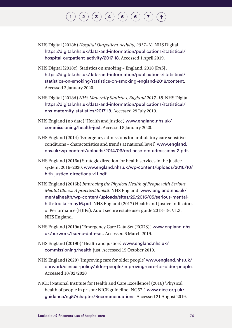- NHS Digital (2018b) *Hospital Outpatient Activity, 2017–18*. NHS Digital. [https://digital.nhs.uk/data-and-information/publications/statistical/](https://digital.nhs.uk/data-and-information/publications/statistical/hospital-outpatient-activity/2017-18) [hospital-outpatient-activity/2017-18](https://digital.nhs.uk/data-and-information/publications/statistical/hospital-outpatient-activity/2017-18). Accessed 1 April 2019.
- NHS Digital (2018c) 'Statistics on smoking England, 2018 [PAS]'. [https://digital.nhs.uk/data-and-information/publications/statistical/](https://digital.nhs.uk/data-and-information/publications/statistical/statistics-on-smoking/statistics-on-smoking-england-2018/content) [statistics-on-smoking/statistics-on-smoking-england-2018/content](https://digital.nhs.uk/data-and-information/publications/statistical/statistics-on-smoking/statistics-on-smoking-england-2018/content). Accessed 3 January 2020.
- NHS Digital (2018d) *NHS Maternity Statistics, England 2017–18*. NHS Digital. [https://digital.nhs.uk/data-and-information/publications/statistical/](https://digital.nhs.uk/data-and-information/publications/statistical/nhs-maternity-statistics/2017-18) [nhs-maternity-statistics/2017-18](https://digital.nhs.uk/data-and-information/publications/statistical/nhs-maternity-statistics/2017-18). Accessed 29 July 2019.
- NHS England (no date) 'Health and justice', [www.england.nhs.uk/](http://www.england.nhs.uk/commissioning/health-just) [commissioning/health-just](http://www.england.nhs.uk/commissioning/health-just). Accessed 8 January 2020.
- NHS England (2014) 'Emergency admissions for ambulatory care sensitive conditions – characteristics and trends at national level'. [www.england.](http://www.england.nhs.uk/wp-content/uploads/2014/03/red-acsc-em-admissions-2.pdf) [nhs.uk/wp-content/uploads/2014/03/red-acsc-em-admissions-2.pdf](http://www.england.nhs.uk/wp-content/uploads/2014/03/red-acsc-em-admissions-2.pdf).
- NHS England (2016a) Strategic direction for health services in the justice system: 2016–2020. [www.england.nhs.uk/wp-content/uploads/2016/10/](http://www.england.nhs.uk/wp-content/uploads/2016/10/hlth-justice-directions-v11.pdf) [hlth-justice-directions-v11.pdf](http://www.england.nhs.uk/wp-content/uploads/2016/10/hlth-justice-directions-v11.pdf).
- NHS England (2016b) *Improving the Physical Health of People with Serious Mental Illness: A practical toolkit*. NHS England. [www.england.nhs.uk/](http://www.england.nhs.uk/mentalhealth/wp-content/uploads/sites/29/2016/05/serious-mental-hlth-toolkit-may16.pdf) [mentalhealth/wp-content/uploads/sites/29/2016/05/serious-mental](http://www.england.nhs.uk/mentalhealth/wp-content/uploads/sites/29/2016/05/serious-mental-hlth-toolkit-may16.pdf)[hlth-toolkit-may16.pdf](http://www.england.nhs.uk/mentalhealth/wp-content/uploads/sites/29/2016/05/serious-mental-hlth-toolkit-may16.pdf). NHS England (2017) Health and Justice Indicators of Performance (HJIPs): Adult secure estate user guide 2018–19: V1.3. NHS England.
- NHS England (2019a) 'Emergency Care Data Set (ECDS)'. [www.england.nhs.](http://www.england.nhs.uk/ourwork/tsd/ec-data-set) [uk/ourwork/tsd/ec-data-set](http://www.england.nhs.uk/ourwork/tsd/ec-data-set). Accessed 6 March 2019.
- NHS England (2019b) 'Health and justice'. [www.england.nhs.uk/](http://www.england.nhs.uk/commissioning/health-) [commissioning/health-](http://www.england.nhs.uk/commissioning/health-)just. Accessed 15 October 2019.
- NHS England (2020) 'Improving care for older people' [www.england.nhs.uk/](http://www.england.nhs.uk/ourwork/clinical-policy/older-people/improving-care-for-older-people) [ourwork/clinical-policy/older-people/improving-care-for-older-people](http://www.england.nhs.uk/ourwork/clinical-policy/older-people/improving-care-for-older-people). Accessed 10/02/2020
- NICE (National Institute for Health and Care Excellence) (2016) 'Physical health of people in prison: NICE guideline [NG57]'. [www.nice.org.uk/](http://www.nice.org.uk/guidance/ng57/chapter/Recommendations) [guidance/ng57/chapter/Recommendations](http://www.nice.org.uk/guidance/ng57/chapter/Recommendations). Accessed 21 August 2019.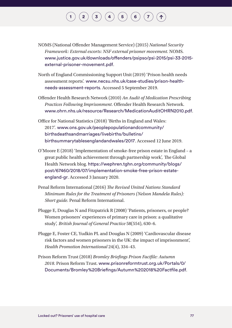# $\mathbf{2}\mathbf{2}\mathbf{3}\mathbf{4}$  $\mathbf{2}\mathbf{2}\mathbf{3}\mathbf{4}$  $\mathbf{2}\mathbf{2}\mathbf{3}\mathbf{4}$  $\mathbf{2}\mathbf{2}\mathbf{3}\mathbf{4}$  $\mathbf{2}\mathbf{2}\mathbf{3}\mathbf{4}$  $\mathbf{2}\mathbf{2}\mathbf{3}\mathbf{4}$  $\mathbf{2}\mathbf{2}\mathbf{3}\mathbf{4}$   $\mathbf{4}\mathbf{5}\mathbf{5}$  $\mathbf{4}\mathbf{5}\mathbf{5}$  $\mathbf{4}\mathbf{5}\mathbf{5}$   $\mathbf{5}\mathbf{6}\mathbf{6}$  $\mathbf{5}\mathbf{6}\mathbf{6}$  $\mathbf{5}\mathbf{6}\mathbf{6}$   $\mathbf{7}\mathbf{7}\mathbf{7}$  $\mathbf{7}\mathbf{7}\mathbf{7}$  $\mathbf{7}\mathbf{7}\mathbf{7}$

- NOMS (National Offender Management Service) (2015) *National Security Framework: External escorts: NSF external prisoner movement*. NOMS. [www.justice.gov.uk/downloads/offenders/psipso/psi-2015/psi-33-2015](http://www.justice.gov.uk/downloads/offenders/psipso/psi-2015/psi-33-2015-external-prisoner-movement.pdf) [external-prisoner-movement.pdf](http://www.justice.gov.uk/downloads/offenders/psipso/psi-2015/psi-33-2015-external-prisoner-movement.pdf).
- North of England Commissioning Support Unit (2019) 'Prison health needs assessment reports'. [www.necsu.nhs.uk/case-studies/prison-health](http://www.necsu.nhs.uk/case-studies/prison-health-needs-assessment-reports)[needs-assessment-reports](http://www.necsu.nhs.uk/case-studies/prison-health-needs-assessment-reports). Accessed 5 September 2019.
- Offender Health Research Network (2010) *An Audit of Medication Prescribing Practices Following Imprisonment*. Offender Health Research Network. [www.ohrn.nhs.uk/resource/Research/MedicationAuditOHRN2010.pdf](http://www.ohrn.nhs.uk/resource/Research/MedicationAuditOHRN2010.pdf).
- Office for National Statistics (2018) 'Births in England and Wales: 2017'. [www.ons.gov.uk/peoplepopulationandcommunity/](http://www.ons.gov.uk/peoplepopulationandcommunity/birthsdeathsandmarriages/livebirths/bulletins/birthsummarytablesenglandandwales/2017) [birthsdeathsandmarriages/livebirths/bulletins/](http://www.ons.gov.uk/peoplepopulationandcommunity/birthsdeathsandmarriages/livebirths/bulletins/birthsummarytablesenglandandwales/2017) [birthsummarytablesenglandandwales/2017](http://www.ons.gov.uk/peoplepopulationandcommunity/birthsdeathsandmarriages/livebirths/bulletins/birthsummarytablesenglandandwales/2017). Accessed 12 June 2019.
- O'Moore E (2018) 'Implementation of smoke-free prison estate in England a great public health achievement through partnership work', The Global Health Network blog. [https://wephren.tghn.org/community/blogs/](https://wephren.tghn.org/community/blogs/post/67460/2018/07/implementation-smoke-free-prison-estate-england-gr) [post/67460/2018/07/implementation-smoke-free-prison-estate](https://wephren.tghn.org/community/blogs/post/67460/2018/07/implementation-smoke-free-prison-estate-england-gr)[england-gr](https://wephren.tghn.org/community/blogs/post/67460/2018/07/implementation-smoke-free-prison-estate-england-gr). Accessed 3 January 2020.
- Penal Reform International (2016) *The Revised United Nations Standard Minimum Rules for the Treatment of Prisoners (Nelson Mandela Rules): Short guide*. Penal Reform International.
- Plugge E, Douglas N and Fitzpatrick R (2008) 'Patients, prisoners, or people? Women prisoners' experiences of primary care in prison: a qualitative study', *British Journal of General Practice* 58(554), 630–6.
- Plugge E, Foster CE, Yudkin PL and Douglas N (2009) 'Cardiovascular disease risk factors and women prisoners in the UK: the impact of imprisonment', *Health Promotion International* 24(4), 334–43.
- Prison Reform Trust (2018) *Bromley Briefings Prison Factfile: Autumn 2018*. Prison Reform Trust. [www.prisonreformtrust.org.uk/Portals/0/](http://www.prisonreformtrust.org.uk/Portals/0/Documents/Bromley%20Briefings/Autumn%202018%20Factfile.pdf) [Documents/Bromley%20Briefings/Autumn%202018%20Factfile.pdf](http://www.prisonreformtrust.org.uk/Portals/0/Documents/Bromley%20Briefings/Autumn%202018%20Factfile.pdf).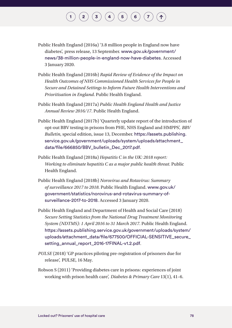#### $\begin{pmatrix} \mathbf{2} \end{pmatrix} \begin{pmatrix} \mathbf{3} \end{pmatrix} \begin{pmatrix} \mathbf{4} \end{pmatrix} \begin{pmatrix} \mathbf{5} \end{pmatrix} \begin{pmatrix} \mathbf{6} \end{pmatrix}$  $\begin{pmatrix} \mathbf{2} \end{pmatrix} \begin{pmatrix} \mathbf{3} \end{pmatrix} \begin{pmatrix} \mathbf{4} \end{pmatrix} \begin{pmatrix} \mathbf{5} \end{pmatrix} \begin{pmatrix} \mathbf{6} \end{pmatrix}$  $\begin{pmatrix} \mathbf{2} \end{pmatrix} \begin{pmatrix} \mathbf{3} \end{pmatrix} \begin{pmatrix} \mathbf{4} \end{pmatrix} \begin{pmatrix} \mathbf{5} \end{pmatrix} \begin{pmatrix} \mathbf{6} \end{pmatrix}$  $\begin{pmatrix} \mathbf{2} \end{pmatrix} \begin{pmatrix} \mathbf{3} \end{pmatrix} \begin{pmatrix} \mathbf{4} \end{pmatrix} \begin{pmatrix} \mathbf{5} \end{pmatrix} \begin{pmatrix} \mathbf{6} \end{pmatrix}$  $\begin{pmatrix} \mathbf{2} \end{pmatrix} \begin{pmatrix} \mathbf{3} \end{pmatrix} \begin{pmatrix} \mathbf{4} \end{pmatrix} \begin{pmatrix} \mathbf{5} \end{pmatrix} \begin{pmatrix} \mathbf{6} \end{pmatrix}$  $\begin{pmatrix} \mathbf{2} \end{pmatrix} \begin{pmatrix} \mathbf{3} \end{pmatrix} \begin{pmatrix} \mathbf{4} \end{pmatrix} \begin{pmatrix} \mathbf{5} \end{pmatrix} \begin{pmatrix} \mathbf{6} \end{pmatrix}$  $\begin{pmatrix} \mathbf{2} \end{pmatrix} \begin{pmatrix} \mathbf{3} \end{pmatrix} \begin{pmatrix} \mathbf{4} \end{pmatrix} \begin{pmatrix} \mathbf{5} \end{pmatrix} \begin{pmatrix} \mathbf{6} \end{pmatrix}$  $\begin{pmatrix} \mathbf{2} \end{pmatrix} \begin{pmatrix} \mathbf{3} \end{pmatrix} \begin{pmatrix} \mathbf{4} \end{pmatrix} \begin{pmatrix} \mathbf{5} \end{pmatrix} \begin{pmatrix} \mathbf{6} \end{pmatrix}$  $\begin{pmatrix} \mathbf{2} \end{pmatrix} \begin{pmatrix} \mathbf{3} \end{pmatrix} \begin{pmatrix} \mathbf{4} \end{pmatrix} \begin{pmatrix} \mathbf{5} \end{pmatrix} \begin{pmatrix} \mathbf{6} \end{pmatrix}$  $\begin{pmatrix} \mathbf{2} \end{pmatrix} \begin{pmatrix} \mathbf{3} \end{pmatrix} \begin{pmatrix} \mathbf{4} \end{pmatrix} \begin{pmatrix} \mathbf{5} \end{pmatrix} \begin{pmatrix} \mathbf{6} \end{pmatrix}$  $\begin{pmatrix} \mathbf{2} \end{pmatrix} \begin{pmatrix} \mathbf{3} \end{pmatrix} \begin{pmatrix} \mathbf{4} \end{pmatrix} \begin{pmatrix} \mathbf{5} \end{pmatrix} \begin{pmatrix} \mathbf{6} \end{pmatrix}$

- Public Health England (2016a) '3.8 million people in England now have diabetes', press release, 13 September. [www.gov.uk/government/](http://www.gov.uk/government/news/38-million-people-in-england-now-have-diabetes) [news/38-million-people-in-england-now-have-diabetes](http://www.gov.uk/government/news/38-million-people-in-england-now-have-diabetes). Accessed 3 January 2020.
- Public Health England (2016b) *Rapid Review of Evidence of the Impact on Health Outcomes of NHS Commissioned Health Services for People in Secure and Detained Settings to Inform Future Health Interventions and Prioritisation in England*. Public Health England.
- Public Health England (2017a) *Public Health England Health and Justice Annual Review 2016/17*. Public Health England.
- Public Health England (2017b) 'Quarterly update report of the introduction of opt-out BBV testing in prisons from PHE, NHS England and HMPPS', *BBV Bulletin*, special edition, issue 13, December. [https://assets.publishing.](https://assets.publishing.service.gov.uk/government/uploads/system/uploads/attachment_data/file/666850/BBV_bulletin_Dec_2017.pdf) [service.gov.uk/government/uploads/system/uploads/attachment\\_](https://assets.publishing.service.gov.uk/government/uploads/system/uploads/attachment_data/file/666850/BBV_bulletin_Dec_2017.pdf) [data/file/666850/BBV\\_bulletin\\_Dec\\_2017.pdf](https://assets.publishing.service.gov.uk/government/uploads/system/uploads/attachment_data/file/666850/BBV_bulletin_Dec_2017.pdf).
- Public Health England (2018a) *Hepatitis C in the UK: 2018 report: Working to eliminate hepatitis C as a major public health threat*. Public Health England.
- Public Health England (2018b) *Norovirus and Rotavirus: Summary of surveillance 2017 to 2018*. Public Health England. [www.gov.uk/](http://www.gov.uk/government/statistics/norovirus-and-rotavirus-summary-of-surveillance-2017-to-2018) [government/statistics/norovirus-and-rotavirus-summary-of](http://www.gov.uk/government/statistics/norovirus-and-rotavirus-summary-of-surveillance-2017-to-2018)[surveillance-2017-to-2018](http://www.gov.uk/government/statistics/norovirus-and-rotavirus-summary-of-surveillance-2017-to-2018). Accessed 3 January 2020.
- Public Health England and Department of Health and Social Care (2018) *Secure Setting Statistics from the National Drug Treatment Monitoring System (NDTMS): 1 April 2016 to 31 March 2017*. Public Health England. [https://assets.publishing.service.gov.uk/government/uploads/system/](https://assets.publishing.service.gov.uk/government/uploads/system/uploads/attachment_data/file/677500/OFFICIAL-SENSITIVE_secure_setting_annual_report_2016-17FINAL-v1.2.pdf) uploads/attachment\_data/file/677500/OFFICIAL-SENSITIVE\_secure [setting\\_annual\\_report\\_2016-17FINAL-v1.2.pdf](https://assets.publishing.service.gov.uk/government/uploads/system/uploads/attachment_data/file/677500/OFFICIAL-SENSITIVE_secure_setting_annual_report_2016-17FINAL-v1.2.pdf).
- *PULSE* (2018) 'GP practices piloting pre-registration of prisoners due for release', PULSE, 16 May.
- Robson S (2011) 'Providing diabetes care in prisons: experiences of joint working with prison health care', *Diabetes & Primary Care* 13(1), 41–6.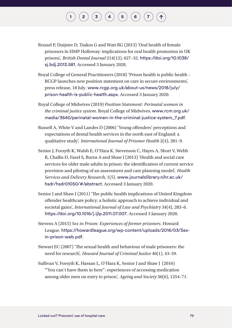#### $\mathbf{2}\mathbf{2}\mathbf{3}\mathbf{4}$  $\mathbf{2}\mathbf{2}\mathbf{3}\mathbf{4}$  $\mathbf{2}\mathbf{2}\mathbf{3}\mathbf{4}$  $\mathbf{2}\mathbf{2}\mathbf{3}\mathbf{4}$  $\mathbf{2}\mathbf{2}\mathbf{3}\mathbf{4}$  $\mathbf{2}\mathbf{2}\mathbf{3}\mathbf{4}$  $\mathbf{2}\mathbf{2}\mathbf{3}\mathbf{4}$   $\mathbf{4}\mathbf{5}\mathbf{5}$  $\mathbf{4}\mathbf{5}\mathbf{5}$  $\mathbf{4}\mathbf{5}\mathbf{5}$   $\mathbf{5}\mathbf{6}\mathbf{6}$  $\mathbf{5}\mathbf{6}\mathbf{6}$  $\mathbf{5}\mathbf{6}\mathbf{6}$   $\mathbf{7}\mathbf{7}\mathbf{7}$  $\mathbf{7}\mathbf{7}\mathbf{7}$  $\mathbf{7}\mathbf{7}\mathbf{7}$

- Rouxel P, Duijster D, Tsakos G and Watt RG (2013) 'Oral health of female prisoners in HMP Holloway: implications for oral health promotion in UK prisons', *British Dental Journal* 214(12), 627–32. [https://doi.org/10.1038/](https://doi.org/10.1038/sj.bdj.2013.581) [sj.bdj.2013.581](https://doi.org/10.1038/sj.bdj.2013.581). Accessed 3 January 2020.
- Royal College of General Practitioners (2018) 'Prison health is public health RCGP launches new position statement on care in secure environments', press release, 18 July. [www.rcgp.org.uk/about-us/news/2018/july/](http://www.rcgp.org.uk/about-us/news/2018/july/prison-health-is-public-health.aspx) [prison-health-is-public-health.aspx](http://www.rcgp.org.uk/about-us/news/2018/july/prison-health-is-public-health.aspx). Accessed 3 January 2020.
- Royal College of Midwives (2019) *Position Statement: Perinatal women in the criminal justice system*. Royal College of Midwives. [www.rcm.org.uk/](http://www.rcm.org.uk/media/3640/perinatal-women-in-the-criminal-justice-system_7.pdf) [media/3640/perinatal-women-in-the-criminal-justice-system\\_7.pdf](http://www.rcm.org.uk/media/3640/perinatal-women-in-the-criminal-justice-system_7.pdf).
- Russell A, White V and Landes D (2006) 'Young offenders' perceptions and expectations of dental health services in the north east of England: a qualitative study', *International Journal of Prisoner Health* 2(4), 281–9.
- Senior J, Forsyth K, Walsh E, O'Hara K, Stevenson C, Hayes A, Short V, Webb R, Challis D, Fazel S, Burns A and Shaw J (2013) 'Health and social care services for older male adults in prison: the identification of current service provision and piloting of an assessment and care planning model', *Health Services and Delivery Research*, 1(5). [www.journalslibrary.nihr.ac.uk/](http://www.journalslibrary.nihr.ac.uk/hsdr/hsdr01050/#/abstract) [hsdr/hsdr01050/#/abstract](http://www.journalslibrary.nihr.ac.uk/hsdr/hsdr01050/#/abstract). Accessed 3 January 2020.
- Senior J and Shaw J (2011) 'The public health implications of United Kingdom offender healthcare policy: a holistic approach to achieve individual and societal gains', *International Journal of Law and Psychiatry* 34(4), 283–6. <https://doi.org/10.1016/j.ijlp.2011.07.007>. Accessed 3 January 2020.
- Stevens A (2015) *Sex in Prison: Experiences of former prisoners*. Howard League. [https://howardleague.org/wp-content/uploads/2016/03/Sex](https://howardleague.org/wp-content/uploads/2016/03/Sex-in-prison-web.pdf)[in-prison-web.pdf](https://howardleague.org/wp-content/uploads/2016/03/Sex-in-prison-web.pdf).
- Stewart EC (2007) 'The sexual health and behaviour of male prisoners: the need for research', *Howard Journal of Criminal Justice* 46(1), 43–59.
- Sullivan V, Forsyth K, Hassan L, O'Hara K, Senior J and Shaw J (2016) '"You can't have them in here": experiences of accessing medication among older men on entry to prison', *Ageing and Society* 36(6), 1254–71.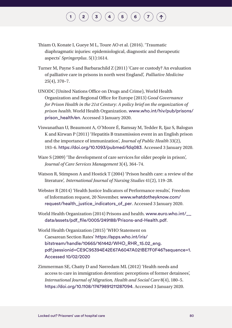- Thiam O, Konate I, Gueye M L, Toure AO et al. (2016). 'Traumatic diaphragmatic injuries: epidemiological, diagnostic and therapeutic aspects' *Springerplus*. 5(1):1614.
- Turner M, Payne S and Barbarachild Z (2011) 'Care or custody? An evaluation of palliative care in prisons in north west England', *Palliative Medicine* 25(4), 370–7.
- UNODC (United Nations Office on Drugs and Crime), World Health Organization and Regional Office for Europe (2013) *Good Governance for Prison Health in the 21st Century: A policy brief on the organization of prison health*. World Health Organization. [www.who.int/hiv/pub/prisons/](http://www.who.int/hiv/pub/prisons/prison_health/en) [prison\\_health/en](http://www.who.int/hiv/pub/prisons/prison_health/en). Accessed 3 January 2020.
- Viswanathan U, Beaumont A, O'Moore É, Ramsay M, Tedder R, Ijaz S, Balogun K and Kirwan P (2011) 'Hepatitis B transmission event in an English prison and the importance of immunization', *Journal of Public Health* 33(2), 193–6. [https://doi.org/10.1093/pubmed/fdq083](https://academic.oup.com/jpubhealth/article/33/2/193/1589674). Accessed 3 January 2020.
- Ware S (2009) 'The development of care services for older people in prison', *Journal of Care Services Management* 3(4), 364–74.
- Watson R, Stimpson A and Hostick T (2004) 'Prison health care: a review of the literature', *International Journal of Nursing Studies* 41(2), 119–28.
- Webster R (2014) 'Health Justice Indicators of Performance results', Freedom of Information request, 20 November. [www.whatdotheyknow.com/](http://www.whatdotheyknow.com/request/health_justice_indicators_of_per) [request/health\\_justice\\_indicators\\_of\\_per](http://www.whatdotheyknow.com/request/health_justice_indicators_of_per). Accessed 3 January 2020.
- World Health Organization (2014) Prisons and health. [www.euro.who.int/\\_\\_](http://www.euro.who.int/__data/assets/pdf_file/0005/249188/Prisons-and-Health.pdf) [data/assets/pdf\\_file/0005/249188/Prisons-and-Health.pdf](http://www.euro.who.int/__data/assets/pdf_file/0005/249188/Prisons-and-Health.pdf).
- World Health Organization (2015) 'WHO Statement on Caesarean Section Rates' [https://apps.who.int/iris/](https://apps.who.int/iris/bitstream/handle/10665/161442/WHO_RHR_15.02_eng.pdf;jsessionid=CE9C95394E42E67A6047A021BE7F0F46?sequence=1.%20Accessed%2010/02/2020) [bitstream/handle/10665/161442/WHO\\_RHR\\_15.02\\_eng.](https://apps.who.int/iris/bitstream/handle/10665/161442/WHO_RHR_15.02_eng.pdf;jsessionid=CE9C95394E42E67A6047A021BE7F0F46?sequence=1.%20Accessed%2010/02/2020) [pdf;jsessionid=CE9C95394E42E67A6047A021BE7F0F46?sequence=1.](https://apps.who.int/iris/bitstream/handle/10665/161442/WHO_RHR_15.02_eng.pdf;jsessionid=CE9C95394E42E67A6047A021BE7F0F46?sequence=1.%20Accessed%2010/02/2020)  [Accessed 10/02/2020](https://apps.who.int/iris/bitstream/handle/10665/161442/WHO_RHR_15.02_eng.pdf;jsessionid=CE9C95394E42E67A6047A021BE7F0F46?sequence=1.%20Accessed%2010/02/2020)
- Zimmerman SE, Chatty D and Nørredam ML (2012) 'Health needs and access to care in immigration detention: perceptions of former detainees', *International Journal of Migration, Health and Social Care* 8(4), 180–5. <https://doi.org/10.1108/17479891211287094>. Accessed 3 January 2020.